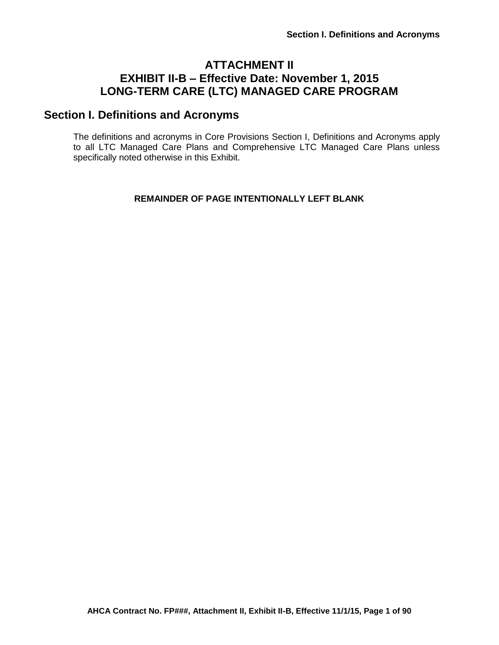# **ATTACHMENT II EXHIBIT II-B – Effective Date: November 1, 2015 LONG-TERM CARE (LTC) MANAGED CARE PROGRAM**

# **Section I. Definitions and Acronyms**

The definitions and acronyms in Core Provisions Section I, Definitions and Acronyms apply to all LTC Managed Care Plans and Comprehensive LTC Managed Care Plans unless specifically noted otherwise in this Exhibit.

## **REMAINDER OF PAGE INTENTIONALLY LEFT BLANK**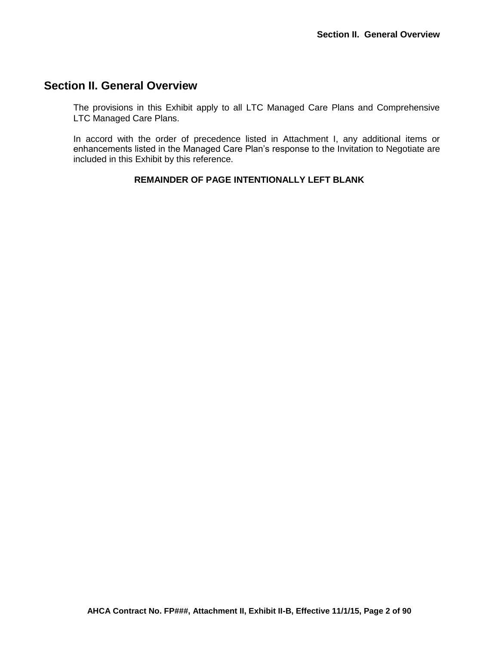# **Section II. General Overview**

The provisions in this Exhibit apply to all LTC Managed Care Plans and Comprehensive LTC Managed Care Plans.

In accord with the order of precedence listed in Attachment I, any additional items or enhancements listed in the Managed Care Plan's response to the Invitation to Negotiate are included in this Exhibit by this reference.

## **REMAINDER OF PAGE INTENTIONALLY LEFT BLANK**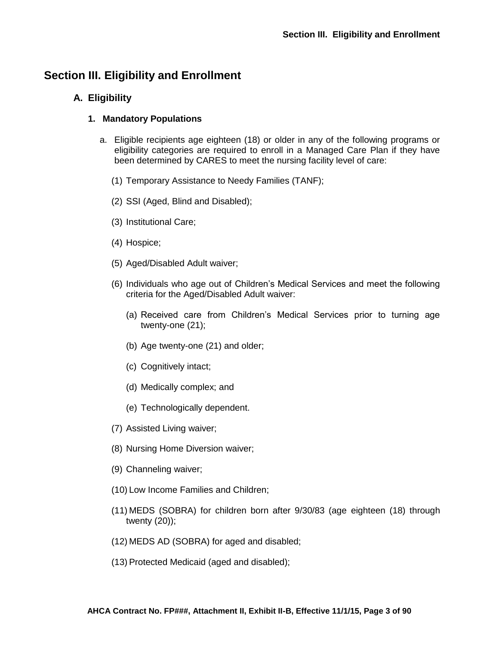# **Section III. Eligibility and Enrollment**

# **A. Eligibility**

## **1. Mandatory Populations**

- a. Eligible recipients age eighteen (18) or older in any of the following programs or eligibility categories are required to enroll in a Managed Care Plan if they have been determined by CARES to meet the nursing facility level of care:
	- (1) Temporary Assistance to Needy Families (TANF);
	- (2) SSI (Aged, Blind and Disabled);
	- (3) Institutional Care;
	- (4) Hospice;
	- (5) Aged/Disabled Adult waiver;
	- (6) Individuals who age out of Children's Medical Services and meet the following criteria for the Aged/Disabled Adult waiver:
		- (a) Received care from Children's Medical Services prior to turning age twenty-one (21);
		- (b) Age twenty-one (21) and older;
		- (c) Cognitively intact;
		- (d) Medically complex; and
		- (e) Technologically dependent.
	- (7) Assisted Living waiver;
	- (8) Nursing Home Diversion waiver;
	- (9) Channeling waiver;
	- (10) Low Income Families and Children;
	- (11) MEDS (SOBRA) for children born after 9/30/83 (age eighteen (18) through twenty (20));
	- (12) MEDS AD (SOBRA) for aged and disabled;
	- (13) Protected Medicaid (aged and disabled);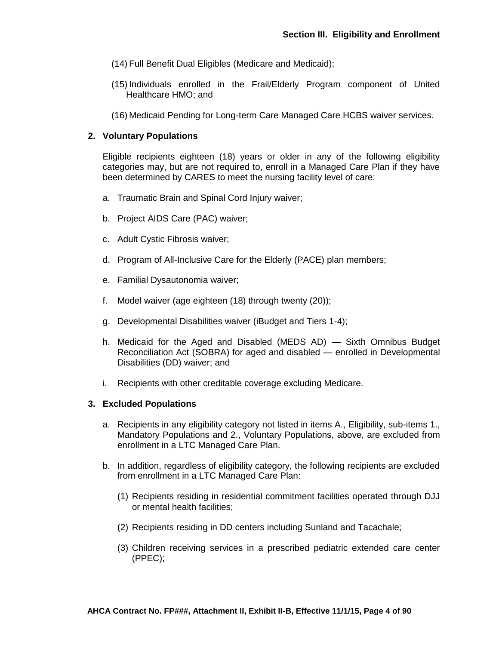- (14) Full Benefit Dual Eligibles (Medicare and Medicaid);
- (15) Individuals enrolled in the Frail/Elderly Program component of United Healthcare HMO; and
- (16) Medicaid Pending for Long-term Care Managed Care HCBS waiver services.

### **2. Voluntary Populations**

Eligible recipients eighteen (18) years or older in any of the following eligibility categories may, but are not required to, enroll in a Managed Care Plan if they have been determined by CARES to meet the nursing facility level of care:

- a. Traumatic Brain and Spinal Cord Injury waiver;
- b. Project AIDS Care (PAC) waiver;
- c. Adult Cystic Fibrosis waiver;
- d. Program of All-Inclusive Care for the Elderly (PACE) plan members;
- e. Familial Dysautonomia waiver;
- f. Model waiver (age eighteen (18) through twenty (20));
- g. Developmental Disabilities waiver (iBudget and Tiers 1-4);
- h. Medicaid for the Aged and Disabled (MEDS AD) Sixth Omnibus Budget Reconciliation Act (SOBRA) for aged and disabled — enrolled in Developmental Disabilities (DD) waiver; and
- i. Recipients with other creditable coverage excluding Medicare.

### **3. Excluded Populations**

- a. Recipients in any eligibility category not listed in items A., Eligibility, sub-items 1., Mandatory Populations and 2., Voluntary Populations, above, are excluded from enrollment in a LTC Managed Care Plan.
- b. In addition, regardless of eligibility category, the following recipients are excluded from enrollment in a LTC Managed Care Plan:
	- (1) Recipients residing in residential commitment facilities operated through DJJ or mental health facilities;
	- (2) Recipients residing in DD centers including Sunland and Tacachale;
	- (3) Children receiving services in a prescribed pediatric extended care center (PPEC);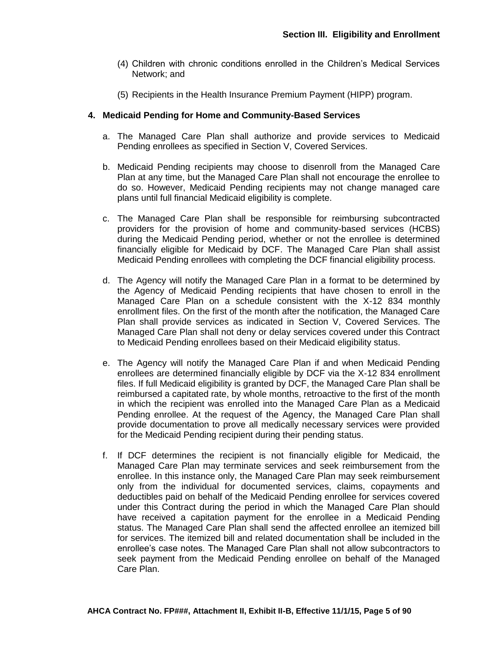- (4) Children with chronic conditions enrolled in the Children's Medical Services Network; and
- (5) Recipients in the Health Insurance Premium Payment (HIPP) program.

## **4. Medicaid Pending for Home and Community-Based Services**

- a. The Managed Care Plan shall authorize and provide services to Medicaid Pending enrollees as specified in Section V, Covered Services.
- b. Medicaid Pending recipients may choose to disenroll from the Managed Care Plan at any time, but the Managed Care Plan shall not encourage the enrollee to do so. However, Medicaid Pending recipients may not change managed care plans until full financial Medicaid eligibility is complete.
- c. The Managed Care Plan shall be responsible for reimbursing subcontracted providers for the provision of home and community-based services (HCBS) during the Medicaid Pending period, whether or not the enrollee is determined financially eligible for Medicaid by DCF. The Managed Care Plan shall assist Medicaid Pending enrollees with completing the DCF financial eligibility process.
- d. The Agency will notify the Managed Care Plan in a format to be determined by the Agency of Medicaid Pending recipients that have chosen to enroll in the Managed Care Plan on a schedule consistent with the X-12 834 monthly enrollment files. On the first of the month after the notification, the Managed Care Plan shall provide services as indicated in Section V, Covered Services. The Managed Care Plan shall not deny or delay services covered under this Contract to Medicaid Pending enrollees based on their Medicaid eligibility status.
- e. The Agency will notify the Managed Care Plan if and when Medicaid Pending enrollees are determined financially eligible by DCF via the X-12 834 enrollment files. If full Medicaid eligibility is granted by DCF, the Managed Care Plan shall be reimbursed a capitated rate, by whole months, retroactive to the first of the month in which the recipient was enrolled into the Managed Care Plan as a Medicaid Pending enrollee. At the request of the Agency, the Managed Care Plan shall provide documentation to prove all medically necessary services were provided for the Medicaid Pending recipient during their pending status.
- f. If DCF determines the recipient is not financially eligible for Medicaid, the Managed Care Plan may terminate services and seek reimbursement from the enrollee. In this instance only, the Managed Care Plan may seek reimbursement only from the individual for documented services, claims, copayments and deductibles paid on behalf of the Medicaid Pending enrollee for services covered under this Contract during the period in which the Managed Care Plan should have received a capitation payment for the enrollee in a Medicaid Pending status. The Managed Care Plan shall send the affected enrollee an itemized bill for services. The itemized bill and related documentation shall be included in the enrollee's case notes. The Managed Care Plan shall not allow subcontractors to seek payment from the Medicaid Pending enrollee on behalf of the Managed Care Plan.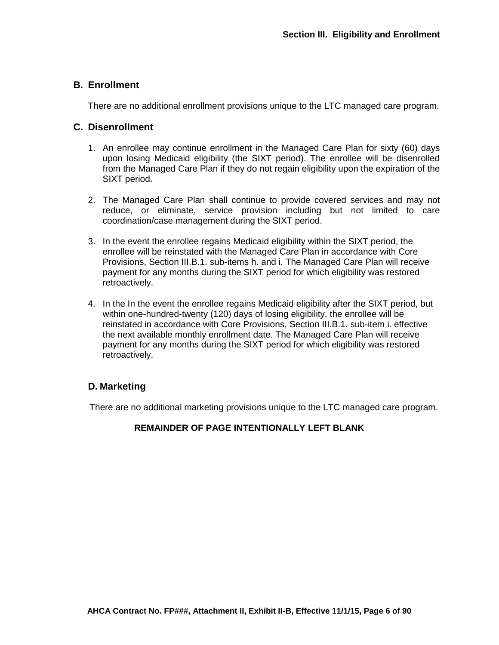## **B. Enrollment**

There are no additional enrollment provisions unique to the LTC managed care program.

## **C. Disenrollment**

- 1. An enrollee may continue enrollment in the Managed Care Plan for sixty (60) days upon losing Medicaid eligibility (the SIXT period). The enrollee will be disenrolled from the Managed Care Plan if they do not regain eligibility upon the expiration of the SIXT period.
- 2. The Managed Care Plan shall continue to provide covered services and may not reduce, or eliminate, service provision including but not limited to care coordination/case management during the SIXT period.
- 3. In the event the enrollee regains Medicaid eligibility within the SIXT period, the enrollee will be reinstated with the Managed Care Plan in accordance with Core Provisions, Section III.B.1. sub-items h. and i. The Managed Care Plan will receive payment for any months during the SIXT period for which eligibility was restored retroactively.
- 4. In the In the event the enrollee regains Medicaid eligibility after the SIXT period, but within one-hundred-twenty (120) days of losing eligibility, the enrollee will be reinstated in accordance with Core Provisions, Section III.B.1. sub-item i. effective the next available monthly enrollment date. The Managed Care Plan will receive payment for any months during the SIXT period for which eligibility was restored retroactively.

# **D. Marketing**

There are no additional marketing provisions unique to the LTC managed care program.

## **REMAINDER OF PAGE INTENTIONALLY LEFT BLANK**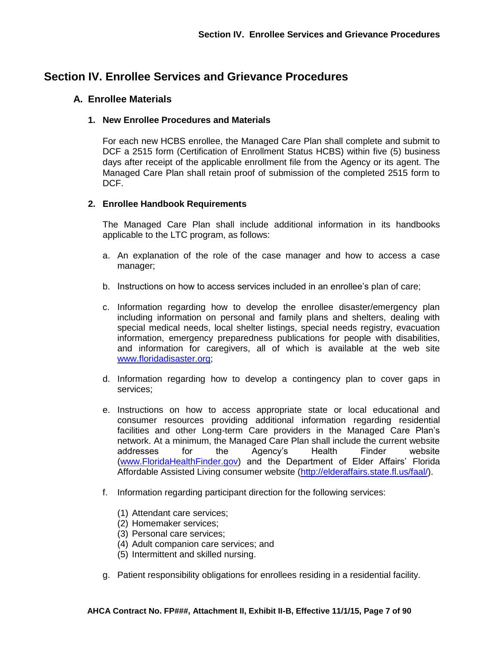# **Section IV. Enrollee Services and Grievance Procedures**

## **A. Enrollee Materials**

### **1. New Enrollee Procedures and Materials**

For each new HCBS enrollee, the Managed Care Plan shall complete and submit to DCF a 2515 form (Certification of Enrollment Status HCBS) within five (5) business days after receipt of the applicable enrollment file from the Agency or its agent. The Managed Care Plan shall retain proof of submission of the completed 2515 form to DCF.

### **2. Enrollee Handbook Requirements**

The Managed Care Plan shall include additional information in its handbooks applicable to the LTC program, as follows:

- a. An explanation of the role of the case manager and how to access a case manager;
- b. Instructions on how to access services included in an enrollee's plan of care;
- c. Information regarding how to develop the enrollee disaster/emergency plan including information on personal and family plans and shelters, dealing with special medical needs, local shelter listings, special needs registry, evacuation information, emergency preparedness publications for people with disabilities, and information for caregivers, all of which is available at the web site [www.floridadisaster.org;](http://www.floridadisaster.org/)
- d. Information regarding how to develop a contingency plan to cover gaps in services;
- e. Instructions on how to access appropriate state or local educational and consumer resources providing additional information regarding residential facilities and other Long-term Care providers in the Managed Care Plan's network. At a minimum, the Managed Care Plan shall include the current website addresses for the Agency's Health Finder website [\(www.FloridaHealthFinder.gov\)](http://www.floridahealthfinder.gov/) and the Department of Elder Affairs' Florida Affordable Assisted Living consumer website [\(http://elderaffairs.state.fl.us/faal/\)](http://elderaffairs.state.fl.us/faal/).
- f. Information regarding participant direction for the following services:
	- (1) Attendant care services;
	- (2) Homemaker services;
	- (3) Personal care services;
	- (4) Adult companion care services; and
	- (5) Intermittent and skilled nursing.
- g. Patient responsibility obligations for enrollees residing in a residential facility.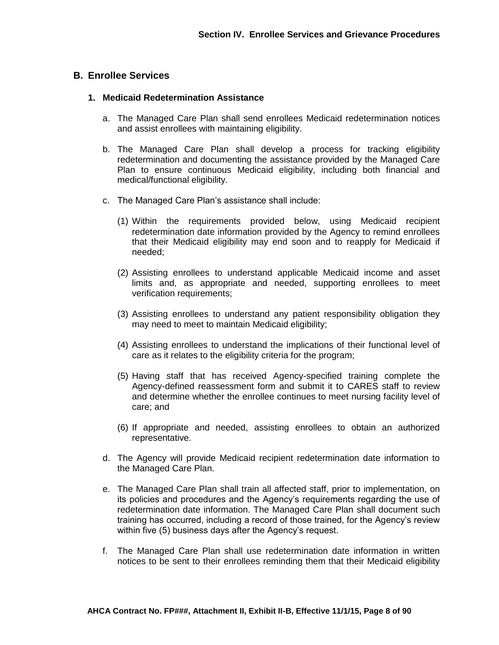## **B. Enrollee Services**

### **1. Medicaid Redetermination Assistance**

- a. The Managed Care Plan shall send enrollees Medicaid redetermination notices and assist enrollees with maintaining eligibility.
- b. The Managed Care Plan shall develop a process for tracking eligibility redetermination and documenting the assistance provided by the Managed Care Plan to ensure continuous Medicaid eligibility, including both financial and medical/functional eligibility.
- c. The Managed Care Plan's assistance shall include:
	- (1) Within the requirements provided below, using Medicaid recipient redetermination date information provided by the Agency to remind enrollees that their Medicaid eligibility may end soon and to reapply for Medicaid if needed;
	- (2) Assisting enrollees to understand applicable Medicaid income and asset limits and, as appropriate and needed, supporting enrollees to meet verification requirements;
	- (3) Assisting enrollees to understand any patient responsibility obligation they may need to meet to maintain Medicaid eligibility;
	- (4) Assisting enrollees to understand the implications of their functional level of care as it relates to the eligibility criteria for the program;
	- (5) Having staff that has received Agency-specified training complete the Agency-defined reassessment form and submit it to CARES staff to review and determine whether the enrollee continues to meet nursing facility level of care; and
	- (6) If appropriate and needed, assisting enrollees to obtain an authorized representative.
- d. The Agency will provide Medicaid recipient redetermination date information to the Managed Care Plan.
- e. The Managed Care Plan shall train all affected staff, prior to implementation, on its policies and procedures and the Agency's requirements regarding the use of redetermination date information. The Managed Care Plan shall document such training has occurred, including a record of those trained, for the Agency's review within five (5) business days after the Agency's request.
- f. The Managed Care Plan shall use redetermination date information in written notices to be sent to their enrollees reminding them that their Medicaid eligibility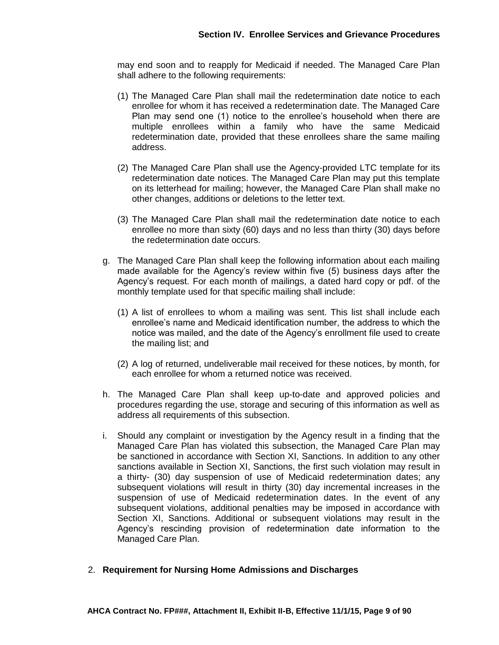may end soon and to reapply for Medicaid if needed. The Managed Care Plan shall adhere to the following requirements:

- (1) The Managed Care Plan shall mail the redetermination date notice to each enrollee for whom it has received a redetermination date. The Managed Care Plan may send one (1) notice to the enrollee's household when there are multiple enrollees within a family who have the same Medicaid redetermination date, provided that these enrollees share the same mailing address.
- (2) The Managed Care Plan shall use the Agency-provided LTC template for its redetermination date notices. The Managed Care Plan may put this template on its letterhead for mailing; however, the Managed Care Plan shall make no other changes, additions or deletions to the letter text.
- (3) The Managed Care Plan shall mail the redetermination date notice to each enrollee no more than sixty (60) days and no less than thirty (30) days before the redetermination date occurs.
- g. The Managed Care Plan shall keep the following information about each mailing made available for the Agency's review within five (5) business days after the Agency's request. For each month of mailings, a dated hard copy or pdf. of the monthly template used for that specific mailing shall include:
	- (1) A list of enrollees to whom a mailing was sent. This list shall include each enrollee's name and Medicaid identification number, the address to which the notice was mailed, and the date of the Agency's enrollment file used to create the mailing list; and
	- (2) A log of returned, undeliverable mail received for these notices, by month, for each enrollee for whom a returned notice was received.
- h. The Managed Care Plan shall keep up-to-date and approved policies and procedures regarding the use, storage and securing of this information as well as address all requirements of this subsection.
- i. Should any complaint or investigation by the Agency result in a finding that the Managed Care Plan has violated this subsection, the Managed Care Plan may be sanctioned in accordance with Section XI, Sanctions. In addition to any other sanctions available in Section XI, Sanctions, the first such violation may result in a thirty- (30) day suspension of use of Medicaid redetermination dates; any subsequent violations will result in thirty (30) day incremental increases in the suspension of use of Medicaid redetermination dates. In the event of any subsequent violations, additional penalties may be imposed in accordance with Section XI, Sanctions. Additional or subsequent violations may result in the Agency's rescinding provision of redetermination date information to the Managed Care Plan.
- 2. **Requirement for Nursing Home Admissions and Discharges**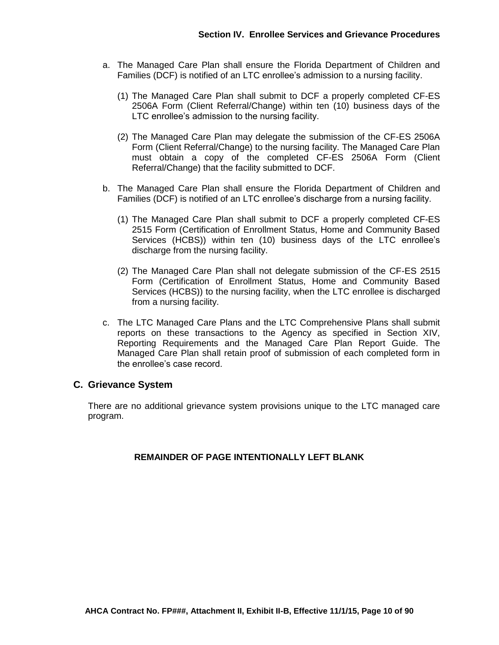- a. The Managed Care Plan shall ensure the Florida Department of Children and Families (DCF) is notified of an LTC enrollee's admission to a nursing facility.
	- (1) The Managed Care Plan shall submit to DCF a properly completed CF-ES 2506A Form (Client Referral/Change) within ten (10) business days of the LTC enrollee's admission to the nursing facility.
	- (2) The Managed Care Plan may delegate the submission of the CF-ES 2506A Form (Client Referral/Change) to the nursing facility. The Managed Care Plan must obtain a copy of the completed CF-ES 2506A Form (Client Referral/Change) that the facility submitted to DCF.
- b. The Managed Care Plan shall ensure the Florida Department of Children and Families (DCF) is notified of an LTC enrollee's discharge from a nursing facility.
	- (1) The Managed Care Plan shall submit to DCF a properly completed CF-ES 2515 Form (Certification of Enrollment Status, Home and Community Based Services (HCBS)) within ten (10) business days of the LTC enrollee's discharge from the nursing facility.
	- (2) The Managed Care Plan shall not delegate submission of the CF-ES 2515 Form (Certification of Enrollment Status, Home and Community Based Services (HCBS)) to the nursing facility, when the LTC enrollee is discharged from a nursing facility.
- c. The LTC Managed Care Plans and the LTC Comprehensive Plans shall submit reports on these transactions to the Agency as specified in Section XIV, Reporting Requirements and the Managed Care Plan Report Guide. The Managed Care Plan shall retain proof of submission of each completed form in the enrollee's case record.

## **C. Grievance System**

There are no additional grievance system provisions unique to the LTC managed care program.

## **REMAINDER OF PAGE INTENTIONALLY LEFT BLANK**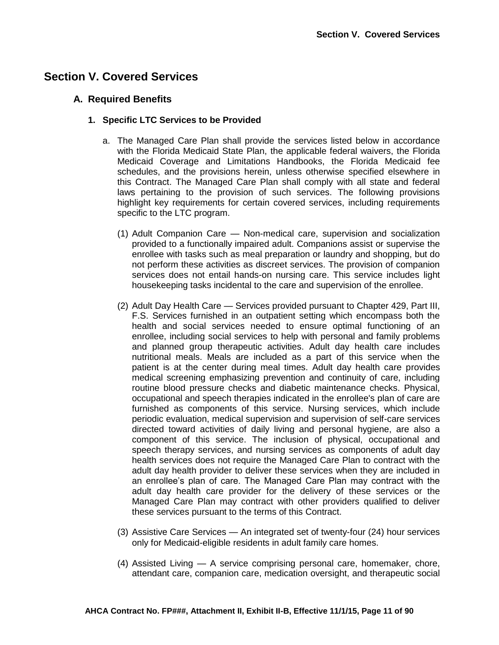# **Section V. Covered Services**

## **A. Required Benefits**

### **1. Specific LTC Services to be Provided**

- a. The Managed Care Plan shall provide the services listed below in accordance with the Florida Medicaid State Plan, the applicable federal waivers, the Florida Medicaid Coverage and Limitations Handbooks, the Florida Medicaid fee schedules, and the provisions herein, unless otherwise specified elsewhere in this Contract. The Managed Care Plan shall comply with all state and federal laws pertaining to the provision of such services. The following provisions highlight key requirements for certain covered services, including requirements specific to the LTC program.
	- (1) Adult Companion Care Non-medical care, supervision and socialization provided to a functionally impaired adult. Companions assist or supervise the enrollee with tasks such as meal preparation or laundry and shopping, but do not perform these activities as discreet services. The provision of companion services does not entail hands-on nursing care. This service includes light housekeeping tasks incidental to the care and supervision of the enrollee.
	- (2) Adult Day Health Care Services provided pursuant to Chapter 429, Part III, F.S. Services furnished in an outpatient setting which encompass both the health and social services needed to ensure optimal functioning of an enrollee, including social services to help with personal and family problems and planned group therapeutic activities. Adult day health care includes nutritional meals. Meals are included as a part of this service when the patient is at the center during meal times. Adult day health care provides medical screening emphasizing prevention and continuity of care, including routine blood pressure checks and diabetic maintenance checks. Physical, occupational and speech therapies indicated in the enrollee's plan of care are furnished as components of this service. Nursing services, which include periodic evaluation, medical supervision and supervision of self-care services directed toward activities of daily living and personal hygiene, are also a component of this service. The inclusion of physical, occupational and speech therapy services, and nursing services as components of adult day health services does not require the Managed Care Plan to contract with the adult day health provider to deliver these services when they are included in an enrollee's plan of care. The Managed Care Plan may contract with the adult day health care provider for the delivery of these services or the Managed Care Plan may contract with other providers qualified to deliver these services pursuant to the terms of this Contract.
	- (3) Assistive Care Services An integrated set of twenty-four (24) hour services only for Medicaid-eligible residents in adult family care homes.
	- (4) Assisted Living A service comprising personal care, homemaker, chore, attendant care, companion care, medication oversight, and therapeutic social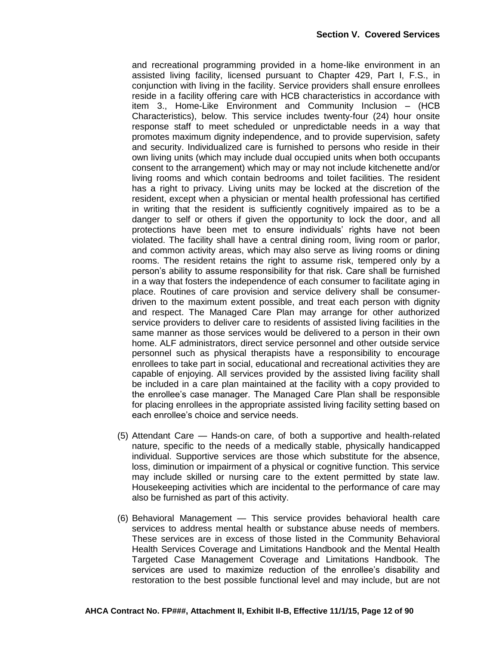and recreational programming provided in a home-like environment in an assisted living facility, licensed pursuant to Chapter 429, Part I, F.S., in conjunction with living in the facility. Service providers shall ensure enrollees reside in a facility offering care with HCB characteristics in accordance with item 3., Home-Like Environment and Community Inclusion – (HCB Characteristics), below. This service includes twenty-four (24) hour onsite response staff to meet scheduled or unpredictable needs in a way that promotes maximum dignity independence, and to provide supervision, safety and security. Individualized care is furnished to persons who reside in their own living units (which may include dual occupied units when both occupants consent to the arrangement) which may or may not include kitchenette and/or living rooms and which contain bedrooms and toilet facilities. The resident has a right to privacy. Living units may be locked at the discretion of the resident, except when a physician or mental health professional has certified in writing that the resident is sufficiently cognitively impaired as to be a danger to self or others if given the opportunity to lock the door, and all protections have been met to ensure individuals' rights have not been violated. The facility shall have a central dining room, living room or parlor, and common activity areas, which may also serve as living rooms or dining rooms. The resident retains the right to assume risk, tempered only by a person's ability to assume responsibility for that risk. Care shall be furnished in a way that fosters the independence of each consumer to facilitate aging in place. Routines of care provision and service delivery shall be consumerdriven to the maximum extent possible, and treat each person with dignity and respect. The Managed Care Plan may arrange for other authorized service providers to deliver care to residents of assisted living facilities in the same manner as those services would be delivered to a person in their own home. ALF administrators, direct service personnel and other outside service personnel such as physical therapists have a responsibility to encourage enrollees to take part in social, educational and recreational activities they are capable of enjoying. All services provided by the assisted living facility shall be included in a care plan maintained at the facility with a copy provided to the enrollee's case manager. The Managed Care Plan shall be responsible for placing enrollees in the appropriate assisted living facility setting based on each enrollee's choice and service needs.

- (5) Attendant Care Hands-on care, of both a supportive and health-related nature, specific to the needs of a medically stable, physically handicapped individual. Supportive services are those which substitute for the absence, loss, diminution or impairment of a physical or cognitive function. This service may include skilled or nursing care to the extent permitted by state law. Housekeeping activities which are incidental to the performance of care may also be furnished as part of this activity.
- (6) Behavioral Management This service provides behavioral health care services to address mental health or substance abuse needs of members. These services are in excess of those listed in the Community Behavioral Health Services Coverage and Limitations Handbook and the Mental Health Targeted Case Management Coverage and Limitations Handbook. The services are used to maximize reduction of the enrollee's disability and restoration to the best possible functional level and may include, but are not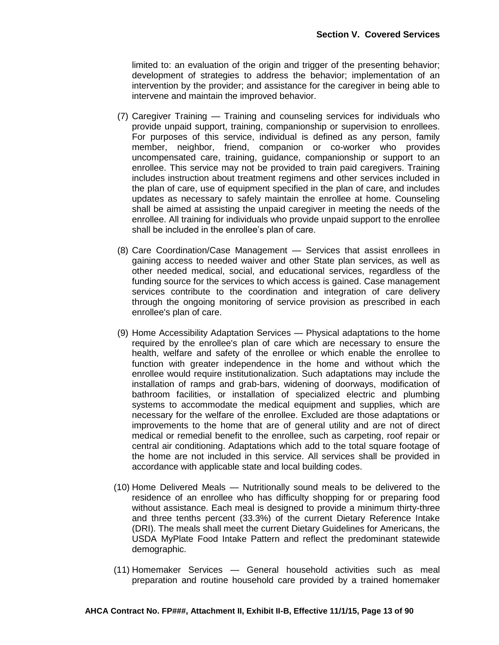limited to: an evaluation of the origin and trigger of the presenting behavior; development of strategies to address the behavior; implementation of an intervention by the provider; and assistance for the caregiver in being able to intervene and maintain the improved behavior.

- (7) Caregiver Training Training and counseling services for individuals who provide unpaid support, training, companionship or supervision to enrollees. For purposes of this service, individual is defined as any person, family member, neighbor, friend, companion or co-worker who provides uncompensated care, training, guidance, companionship or support to an enrollee. This service may not be provided to train paid caregivers. Training includes instruction about treatment regimens and other services included in the plan of care, use of equipment specified in the plan of care, and includes updates as necessary to safely maintain the enrollee at home. Counseling shall be aimed at assisting the unpaid caregiver in meeting the needs of the enrollee. All training for individuals who provide unpaid support to the enrollee shall be included in the enrollee's plan of care.
- (8) Care Coordination/Case Management Services that assist enrollees in gaining access to needed waiver and other State plan services, as well as other needed medical, social, and educational services, regardless of the funding source for the services to which access is gained. Case management services contribute to the coordination and integration of care delivery through the ongoing monitoring of service provision as prescribed in each enrollee's plan of care.
- (9) Home Accessibility Adaptation Services Physical adaptations to the home required by the enrollee's plan of care which are necessary to ensure the health, welfare and safety of the enrollee or which enable the enrollee to function with greater independence in the home and without which the enrollee would require institutionalization. Such adaptations may include the installation of ramps and grab-bars, widening of doorways, modification of bathroom facilities, or installation of specialized electric and plumbing systems to accommodate the medical equipment and supplies, which are necessary for the welfare of the enrollee. Excluded are those adaptations or improvements to the home that are of general utility and are not of direct medical or remedial benefit to the enrollee, such as carpeting, roof repair or central air conditioning. Adaptations which add to the total square footage of the home are not included in this service. All services shall be provided in accordance with applicable state and local building codes.
- (10) Home Delivered Meals Nutritionally sound meals to be delivered to the residence of an enrollee who has difficulty shopping for or preparing food without assistance. Each meal is designed to provide a minimum thirty-three and three tenths percent (33.3%) of the current Dietary Reference Intake (DRI). The meals shall meet the current Dietary Guidelines for Americans, the USDA MyPlate Food Intake Pattern and reflect the predominant statewide demographic.
- (11) Homemaker Services General household activities such as meal preparation and routine household care provided by a trained homemaker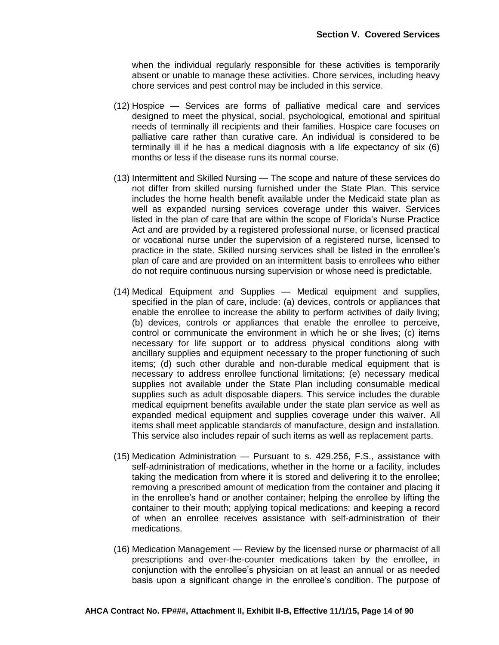when the individual regularly responsible for these activities is temporarily absent or unable to manage these activities. Chore services, including heavy chore services and pest control may be included in this service.

- (12) Hospice Services are forms of palliative medical care and services designed to meet the physical, social, psychological, emotional and spiritual needs of terminally ill recipients and their families. Hospice care focuses on palliative care rather than curative care. An individual is considered to be terminally ill if he has a medical diagnosis with a life expectancy of six (6) months or less if the disease runs its normal course.
- (13) Intermittent and Skilled Nursing The scope and nature of these services do not differ from skilled nursing furnished under the State Plan. This service includes the home health benefit available under the Medicaid state plan as well as expanded nursing services coverage under this waiver. Services listed in the plan of care that are within the scope of Florida's Nurse Practice Act and are provided by a registered professional nurse, or licensed practical or vocational nurse under the supervision of a registered nurse, licensed to practice in the state. Skilled nursing services shall be listed in the enrollee's plan of care and are provided on an intermittent basis to enrollees who either do not require continuous nursing supervision or whose need is predictable.
- (14) Medical Equipment and Supplies Medical equipment and supplies, specified in the plan of care, include: (a) devices, controls or appliances that enable the enrollee to increase the ability to perform activities of daily living; (b) devices, controls or appliances that enable the enrollee to perceive, control or communicate the environment in which he or she lives; (c) items necessary for life support or to address physical conditions along with ancillary supplies and equipment necessary to the proper functioning of such items; (d) such other durable and non-durable medical equipment that is necessary to address enrollee functional limitations; (e) necessary medical supplies not available under the State Plan including consumable medical supplies such as adult disposable diapers. This service includes the durable medical equipment benefits available under the state plan service as well as expanded medical equipment and supplies coverage under this waiver. All items shall meet applicable standards of manufacture, design and installation. This service also includes repair of such items as well as replacement parts.
- (15) Medication Administration Pursuant to s. 429.256, F.S., assistance with self-administration of medications, whether in the home or a facility, includes taking the medication from where it is stored and delivering it to the enrollee; removing a prescribed amount of medication from the container and placing it in the enrollee's hand or another container; helping the enrollee by lifting the container to their mouth; applying topical medications; and keeping a record of when an enrollee receives assistance with self-administration of their medications.
- (16) Medication Management Review by the licensed nurse or pharmacist of all prescriptions and over-the-counter medications taken by the enrollee, in conjunction with the enrollee's physician on at least an annual or as needed basis upon a significant change in the enrollee's condition. The purpose of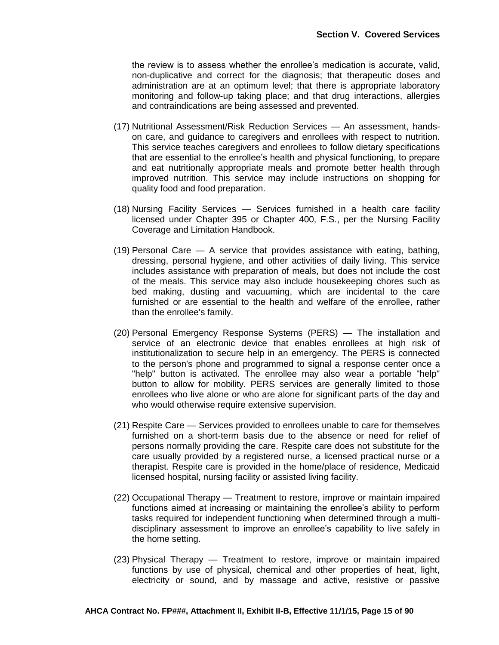the review is to assess whether the enrollee's medication is accurate, valid, non-duplicative and correct for the diagnosis; that therapeutic doses and administration are at an optimum level; that there is appropriate laboratory monitoring and follow-up taking place; and that drug interactions, allergies and contraindications are being assessed and prevented.

- (17) Nutritional Assessment/Risk Reduction Services An assessment, handson care, and guidance to caregivers and enrollees with respect to nutrition. This service teaches caregivers and enrollees to follow dietary specifications that are essential to the enrollee's health and physical functioning, to prepare and eat nutritionally appropriate meals and promote better health through improved nutrition. This service may include instructions on shopping for quality food and food preparation.
- (18) Nursing Facility Services Services furnished in a health care facility licensed under Chapter 395 or Chapter 400, F.S., per the Nursing Facility Coverage and Limitation Handbook.
- (19) Personal Care A service that provides assistance with eating, bathing, dressing, personal hygiene, and other activities of daily living. This service includes assistance with preparation of meals, but does not include the cost of the meals. This service may also include housekeeping chores such as bed making, dusting and vacuuming, which are incidental to the care furnished or are essential to the health and welfare of the enrollee, rather than the enrollee's family.
- (20) Personal Emergency Response Systems (PERS) The installation and service of an electronic device that enables enrollees at high risk of institutionalization to secure help in an emergency. The PERS is connected to the person's phone and programmed to signal a response center once a "help" button is activated. The enrollee may also wear a portable "help" button to allow for mobility. PERS services are generally limited to those enrollees who live alone or who are alone for significant parts of the day and who would otherwise require extensive supervision.
- (21) Respite Care Services provided to enrollees unable to care for themselves furnished on a short-term basis due to the absence or need for relief of persons normally providing the care. Respite care does not substitute for the care usually provided by a registered nurse, a licensed practical nurse or a therapist. Respite care is provided in the home/place of residence, Medicaid licensed hospital, nursing facility or assisted living facility.
- (22) Occupational Therapy Treatment to restore, improve or maintain impaired functions aimed at increasing or maintaining the enrollee's ability to perform tasks required for independent functioning when determined through a multidisciplinary assessment to improve an enrollee's capability to live safely in the home setting.
- (23) Physical Therapy Treatment to restore, improve or maintain impaired functions by use of physical, chemical and other properties of heat, light, electricity or sound, and by massage and active, resistive or passive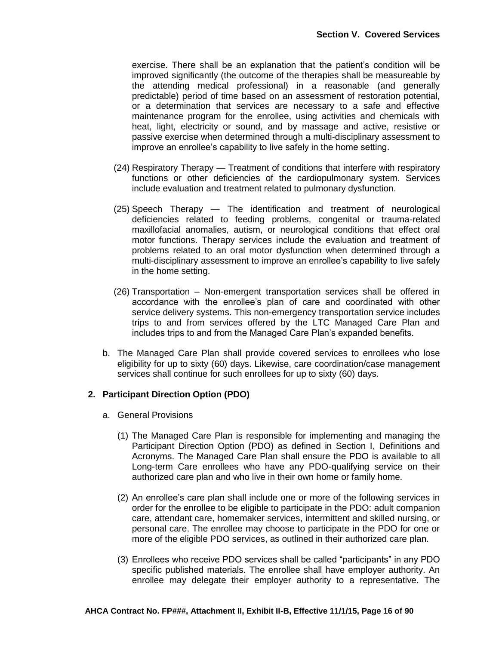exercise. There shall be an explanation that the patient's condition will be improved significantly (the outcome of the therapies shall be measureable by the attending medical professional) in a reasonable (and generally predictable) period of time based on an assessment of restoration potential, or a determination that services are necessary to a safe and effective maintenance program for the enrollee, using activities and chemicals with heat, light, electricity or sound, and by massage and active, resistive or passive exercise when determined through a multi-disciplinary assessment to improve an enrollee's capability to live safely in the home setting.

- (24) Respiratory Therapy Treatment of conditions that interfere with respiratory functions or other deficiencies of the cardiopulmonary system. Services include evaluation and treatment related to pulmonary dysfunction.
- (25) Speech Therapy The identification and treatment of neurological deficiencies related to feeding problems, congenital or trauma-related maxillofacial anomalies, autism, or neurological conditions that effect oral motor functions. Therapy services include the evaluation and treatment of problems related to an oral motor dysfunction when determined through a multi-disciplinary assessment to improve an enrollee's capability to live safely in the home setting.
- (26) Transportation Non-emergent transportation services shall be offered in accordance with the enrollee's plan of care and coordinated with other service delivery systems. This non-emergency transportation service includes trips to and from services offered by the LTC Managed Care Plan and includes trips to and from the Managed Care Plan's expanded benefits.
- b. The Managed Care Plan shall provide covered services to enrollees who lose eligibility for up to sixty (60) days. Likewise, care coordination/case management services shall continue for such enrollees for up to sixty (60) days.

### **2. Participant Direction Option (PDO)**

- a. General Provisions
	- (1) The Managed Care Plan is responsible for implementing and managing the Participant Direction Option (PDO) as defined in Section I, Definitions and Acronyms. The Managed Care Plan shall ensure the PDO is available to all Long-term Care enrollees who have any PDO-qualifying service on their authorized care plan and who live in their own home or family home.
	- (2) An enrollee's care plan shall include one or more of the following services in order for the enrollee to be eligible to participate in the PDO: adult companion care, attendant care, homemaker services, intermittent and skilled nursing, or personal care. The enrollee may choose to participate in the PDO for one or more of the eligible PDO services, as outlined in their authorized care plan.
	- (3) Enrollees who receive PDO services shall be called "participants" in any PDO specific published materials. The enrollee shall have employer authority. An enrollee may delegate their employer authority to a representative. The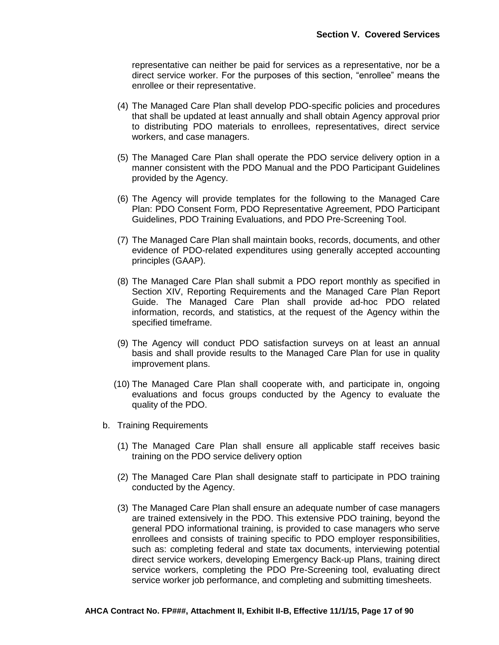representative can neither be paid for services as a representative, nor be a direct service worker. For the purposes of this section, "enrollee" means the enrollee or their representative.

- (4) The Managed Care Plan shall develop PDO-specific policies and procedures that shall be updated at least annually and shall obtain Agency approval prior to distributing PDO materials to enrollees, representatives, direct service workers, and case managers.
- (5) The Managed Care Plan shall operate the PDO service delivery option in a manner consistent with the PDO Manual and the PDO Participant Guidelines provided by the Agency.
- (6) The Agency will provide templates for the following to the Managed Care Plan: PDO Consent Form, PDO Representative Agreement, PDO Participant Guidelines, PDO Training Evaluations, and PDO Pre-Screening Tool.
- (7) The Managed Care Plan shall maintain books, records, documents, and other evidence of PDO-related expenditures using generally accepted accounting principles (GAAP).
- (8) The Managed Care Plan shall submit a PDO report monthly as specified in Section XIV, Reporting Requirements and the Managed Care Plan Report Guide. The Managed Care Plan shall provide ad-hoc PDO related information, records, and statistics, at the request of the Agency within the specified timeframe.
- (9) The Agency will conduct PDO satisfaction surveys on at least an annual basis and shall provide results to the Managed Care Plan for use in quality improvement plans.
- (10) The Managed Care Plan shall cooperate with, and participate in, ongoing evaluations and focus groups conducted by the Agency to evaluate the quality of the PDO.
- b. Training Requirements
	- (1) The Managed Care Plan shall ensure all applicable staff receives basic training on the PDO service delivery option
	- (2) The Managed Care Plan shall designate staff to participate in PDO training conducted by the Agency.
	- (3) The Managed Care Plan shall ensure an adequate number of case managers are trained extensively in the PDO. This extensive PDO training, beyond the general PDO informational training, is provided to case managers who serve enrollees and consists of training specific to PDO employer responsibilities, such as: completing federal and state tax documents, interviewing potential direct service workers, developing Emergency Back-up Plans, training direct service workers, completing the PDO Pre-Screening tool, evaluating direct service worker job performance, and completing and submitting timesheets.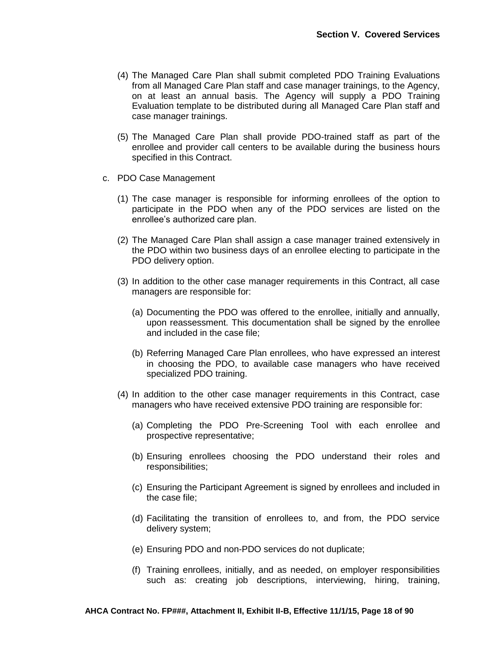- (4) The Managed Care Plan shall submit completed PDO Training Evaluations from all Managed Care Plan staff and case manager trainings, to the Agency, on at least an annual basis. The Agency will supply a PDO Training Evaluation template to be distributed during all Managed Care Plan staff and case manager trainings.
- (5) The Managed Care Plan shall provide PDO-trained staff as part of the enrollee and provider call centers to be available during the business hours specified in this Contract.
- c. PDO Case Management
	- (1) The case manager is responsible for informing enrollees of the option to participate in the PDO when any of the PDO services are listed on the enrollee's authorized care plan.
	- (2) The Managed Care Plan shall assign a case manager trained extensively in the PDO within two business days of an enrollee electing to participate in the PDO delivery option.
	- (3) In addition to the other case manager requirements in this Contract, all case managers are responsible for:
		- (a) Documenting the PDO was offered to the enrollee, initially and annually, upon reassessment. This documentation shall be signed by the enrollee and included in the case file;
		- (b) Referring Managed Care Plan enrollees, who have expressed an interest in choosing the PDO, to available case managers who have received specialized PDO training.
	- (4) In addition to the other case manager requirements in this Contract, case managers who have received extensive PDO training are responsible for:
		- (a) Completing the PDO Pre-Screening Tool with each enrollee and prospective representative;
		- (b) Ensuring enrollees choosing the PDO understand their roles and responsibilities;
		- (c) Ensuring the Participant Agreement is signed by enrollees and included in the case file;
		- (d) Facilitating the transition of enrollees to, and from, the PDO service delivery system;
		- (e) Ensuring PDO and non-PDO services do not duplicate;
		- (f) Training enrollees, initially, and as needed, on employer responsibilities such as: creating job descriptions, interviewing, hiring, training,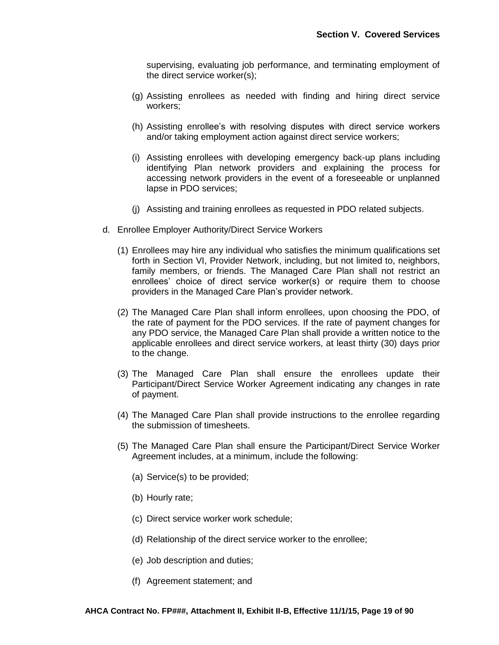supervising, evaluating job performance, and terminating employment of the direct service worker(s);

- (g) Assisting enrollees as needed with finding and hiring direct service workers;
- (h) Assisting enrollee's with resolving disputes with direct service workers and/or taking employment action against direct service workers;
- (i) Assisting enrollees with developing emergency back-up plans including identifying Plan network providers and explaining the process for accessing network providers in the event of a foreseeable or unplanned lapse in PDO services;
- (j) Assisting and training enrollees as requested in PDO related subjects.
- d. Enrollee Employer Authority/Direct Service Workers
	- (1) Enrollees may hire any individual who satisfies the minimum qualifications set forth in Section VI, Provider Network, including, but not limited to, neighbors, family members, or friends. The Managed Care Plan shall not restrict an enrollees' choice of direct service worker(s) or require them to choose providers in the Managed Care Plan's provider network.
	- (2) The Managed Care Plan shall inform enrollees, upon choosing the PDO, of the rate of payment for the PDO services. If the rate of payment changes for any PDO service, the Managed Care Plan shall provide a written notice to the applicable enrollees and direct service workers, at least thirty (30) days prior to the change.
	- (3) The Managed Care Plan shall ensure the enrollees update their Participant/Direct Service Worker Agreement indicating any changes in rate of payment.
	- (4) The Managed Care Plan shall provide instructions to the enrollee regarding the submission of timesheets.
	- (5) The Managed Care Plan shall ensure the Participant/Direct Service Worker Agreement includes, at a minimum, include the following:
		- (a) Service(s) to be provided;
		- (b) Hourly rate;
		- (c) Direct service worker work schedule;
		- (d) Relationship of the direct service worker to the enrollee;
		- (e) Job description and duties;
		- (f) Agreement statement; and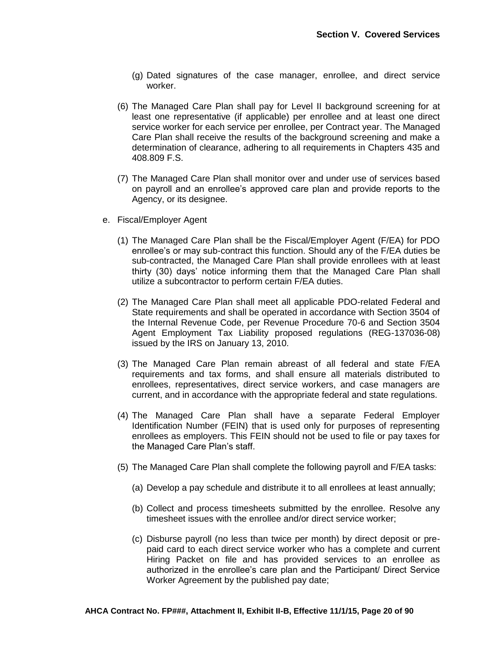- (g) Dated signatures of the case manager, enrollee, and direct service worker.
- (6) The Managed Care Plan shall pay for Level II background screening for at least one representative (if applicable) per enrollee and at least one direct service worker for each service per enrollee, per Contract year. The Managed Care Plan shall receive the results of the background screening and make a determination of clearance, adhering to all requirements in Chapters 435 and 408.809 F.S.
- (7) The Managed Care Plan shall monitor over and under use of services based on payroll and an enrollee's approved care plan and provide reports to the Agency, or its designee.
- e. Fiscal/Employer Agent
	- (1) The Managed Care Plan shall be the Fiscal/Employer Agent (F/EA) for PDO enrollee's or may sub-contract this function. Should any of the F/EA duties be sub-contracted, the Managed Care Plan shall provide enrollees with at least thirty (30) days' notice informing them that the Managed Care Plan shall utilize a subcontractor to perform certain F/EA duties.
	- (2) The Managed Care Plan shall meet all applicable PDO-related Federal and State requirements and shall be operated in accordance with Section 3504 of the Internal Revenue Code, per Revenue Procedure 70-6 and Section 3504 Agent Employment Tax Liability proposed regulations (REG-137036-08) issued by the IRS on January 13, 2010.
	- (3) The Managed Care Plan remain abreast of all federal and state F/EA requirements and tax forms, and shall ensure all materials distributed to enrollees, representatives, direct service workers, and case managers are current, and in accordance with the appropriate federal and state regulations.
	- (4) The Managed Care Plan shall have a separate Federal Employer Identification Number (FEIN) that is used only for purposes of representing enrollees as employers. This FEIN should not be used to file or pay taxes for the Managed Care Plan's staff.
	- (5) The Managed Care Plan shall complete the following payroll and F/EA tasks:
		- (a) Develop a pay schedule and distribute it to all enrollees at least annually;
		- (b) Collect and process timesheets submitted by the enrollee. Resolve any timesheet issues with the enrollee and/or direct service worker;
		- (c) Disburse payroll (no less than twice per month) by direct deposit or prepaid card to each direct service worker who has a complete and current Hiring Packet on file and has provided services to an enrollee as authorized in the enrollee's care plan and the Participant/ Direct Service Worker Agreement by the published pay date;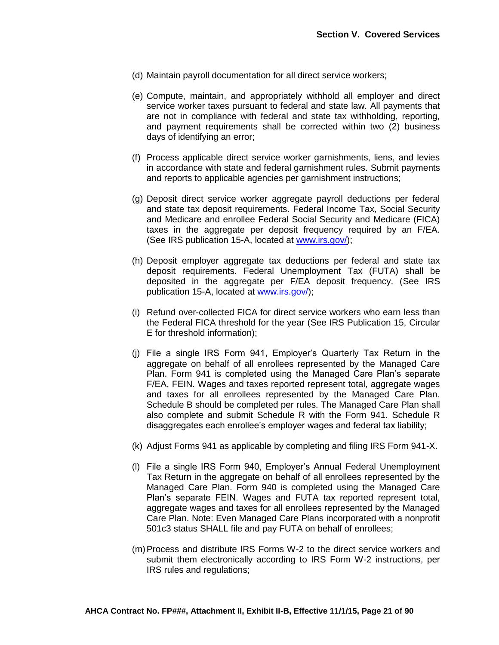- (d) Maintain payroll documentation for all direct service workers;
- (e) Compute, maintain, and appropriately withhold all employer and direct service worker taxes pursuant to federal and state law. All payments that are not in compliance with federal and state tax withholding, reporting, and payment requirements shall be corrected within two (2) business days of identifying an error;
- (f) Process applicable direct service worker garnishments, liens, and levies in accordance with state and federal garnishment rules. Submit payments and reports to applicable agencies per garnishment instructions;
- (g) Deposit direct service worker aggregate payroll deductions per federal and state tax deposit requirements. Federal Income Tax, Social Security and Medicare and enrollee Federal Social Security and Medicare (FICA) taxes in the aggregate per deposit frequency required by an F/EA. (See IRS publication 15-A, located at [www.irs.gov/\)](http://www.irs.gov/);
- (h) Deposit employer aggregate tax deductions per federal and state tax deposit requirements. Federal Unemployment Tax (FUTA) shall be deposited in the aggregate per F/EA deposit frequency. (See IRS publication 15-A, located at [www.irs.gov/\)](http://www.irs.gov/);
- (i) Refund over-collected FICA for direct service workers who earn less than the Federal FICA threshold for the year (See IRS Publication 15, Circular E for threshold information);
- (j) File a single IRS Form 941, Employer's Quarterly Tax Return in the aggregate on behalf of all enrollees represented by the Managed Care Plan. Form 941 is completed using the Managed Care Plan's separate F/EA, FEIN. Wages and taxes reported represent total, aggregate wages and taxes for all enrollees represented by the Managed Care Plan. Schedule B should be completed per rules. The Managed Care Plan shall also complete and submit Schedule R with the Form 941. Schedule R disaggregates each enrollee's employer wages and federal tax liability;
- (k) Adjust Forms 941 as applicable by completing and filing IRS Form 941-X.
- (l) File a single IRS Form 940, Employer's Annual Federal Unemployment Tax Return in the aggregate on behalf of all enrollees represented by the Managed Care Plan. Form 940 is completed using the Managed Care Plan's separate FEIN. Wages and FUTA tax reported represent total, aggregate wages and taxes for all enrollees represented by the Managed Care Plan. Note: Even Managed Care Plans incorporated with a nonprofit 501c3 status SHALL file and pay FUTA on behalf of enrollees;
- (m)Process and distribute IRS Forms W-2 to the direct service workers and submit them electronically according to IRS Form W-2 instructions, per IRS rules and regulations;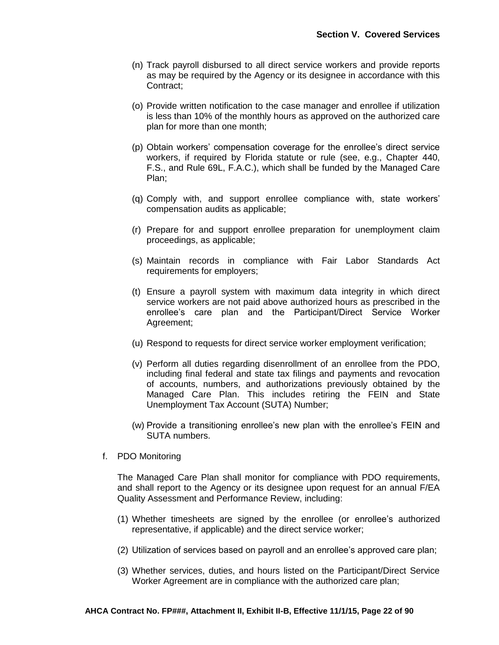- (n) Track payroll disbursed to all direct service workers and provide reports as may be required by the Agency or its designee in accordance with this Contract;
- (o) Provide written notification to the case manager and enrollee if utilization is less than 10% of the monthly hours as approved on the authorized care plan for more than one month;
- (p) Obtain workers' compensation coverage for the enrollee's direct service workers, if required by Florida statute or rule (see, e.g., Chapter 440, F.S., and Rule 69L, F.A.C.), which shall be funded by the Managed Care Plan;
- (q) Comply with, and support enrollee compliance with, state workers' compensation audits as applicable;
- (r) Prepare for and support enrollee preparation for unemployment claim proceedings, as applicable;
- (s) Maintain records in compliance with Fair Labor Standards Act requirements for employers;
- (t) Ensure a payroll system with maximum data integrity in which direct service workers are not paid above authorized hours as prescribed in the enrollee's care plan and the Participant/Direct Service Worker Agreement;
- (u) Respond to requests for direct service worker employment verification;
- (v) Perform all duties regarding disenrollment of an enrollee from the PDO, including final federal and state tax filings and payments and revocation of accounts, numbers, and authorizations previously obtained by the Managed Care Plan. This includes retiring the FEIN and State Unemployment Tax Account (SUTA) Number;
- (w) Provide a transitioning enrollee's new plan with the enrollee's FEIN and SUTA numbers.
- f. PDO Monitoring

The Managed Care Plan shall monitor for compliance with PDO requirements, and shall report to the Agency or its designee upon request for an annual F/EA Quality Assessment and Performance Review, including:

- (1) Whether timesheets are signed by the enrollee (or enrollee's authorized representative, if applicable) and the direct service worker;
- (2) Utilization of services based on payroll and an enrollee's approved care plan;
- (3) Whether services, duties, and hours listed on the Participant/Direct Service Worker Agreement are in compliance with the authorized care plan;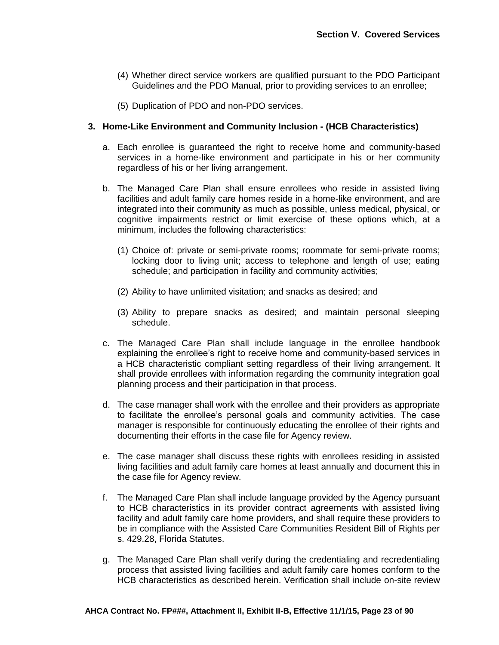- (4) Whether direct service workers are qualified pursuant to the PDO Participant Guidelines and the PDO Manual, prior to providing services to an enrollee;
- (5) Duplication of PDO and non-PDO services.

### **3. Home-Like Environment and Community Inclusion - (HCB Characteristics)**

- a. Each enrollee is guaranteed the right to receive home and community-based services in a home-like environment and participate in his or her community regardless of his or her living arrangement.
- b. The Managed Care Plan shall ensure enrollees who reside in assisted living facilities and adult family care homes reside in a home-like environment, and are integrated into their community as much as possible, unless medical, physical, or cognitive impairments restrict or limit exercise of these options which, at a minimum, includes the following characteristics:
	- (1) Choice of: private or semi-private rooms; roommate for semi-private rooms; locking door to living unit; access to telephone and length of use; eating schedule; and participation in facility and community activities;
	- (2) Ability to have unlimited visitation; and snacks as desired; and
	- (3) Ability to prepare snacks as desired; and maintain personal sleeping schedule.
- c. The Managed Care Plan shall include language in the enrollee handbook explaining the enrollee's right to receive home and community-based services in a HCB characteristic compliant setting regardless of their living arrangement. It shall provide enrollees with information regarding the community integration goal planning process and their participation in that process.
- d. The case manager shall work with the enrollee and their providers as appropriate to facilitate the enrollee's personal goals and community activities. The case manager is responsible for continuously educating the enrollee of their rights and documenting their efforts in the case file for Agency review.
- e. The case manager shall discuss these rights with enrollees residing in assisted living facilities and adult family care homes at least annually and document this in the case file for Agency review.
- f. The Managed Care Plan shall include language provided by the Agency pursuant to HCB characteristics in its provider contract agreements with assisted living facility and adult family care home providers, and shall require these providers to be in compliance with the Assisted Care Communities Resident Bill of Rights per s. 429.28, Florida Statutes.
- g. The Managed Care Plan shall verify during the credentialing and recredentialing process that assisted living facilities and adult family care homes conform to the HCB characteristics as described herein. Verification shall include on-site review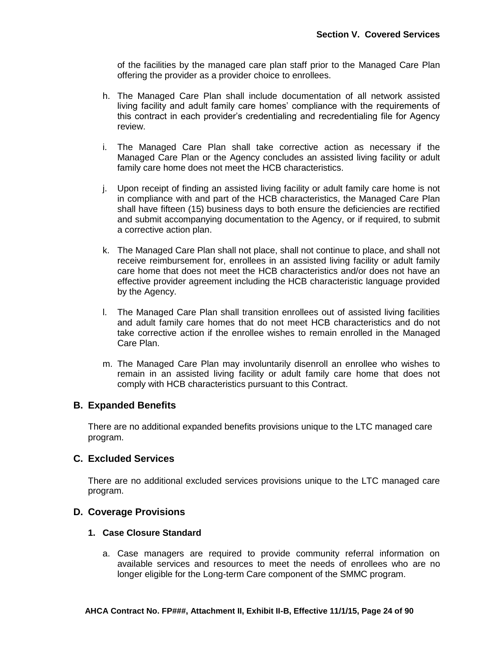of the facilities by the managed care plan staff prior to the Managed Care Plan offering the provider as a provider choice to enrollees.

- h. The Managed Care Plan shall include documentation of all network assisted living facility and adult family care homes' compliance with the requirements of this contract in each provider's credentialing and recredentialing file for Agency review.
- i. The Managed Care Plan shall take corrective action as necessary if the Managed Care Plan or the Agency concludes an assisted living facility or adult family care home does not meet the HCB characteristics.
- j. Upon receipt of finding an assisted living facility or adult family care home is not in compliance with and part of the HCB characteristics, the Managed Care Plan shall have fifteen (15) business days to both ensure the deficiencies are rectified and submit accompanying documentation to the Agency, or if required, to submit a corrective action plan.
- k. The Managed Care Plan shall not place, shall not continue to place, and shall not receive reimbursement for, enrollees in an assisted living facility or adult family care home that does not meet the HCB characteristics and/or does not have an effective provider agreement including the HCB characteristic language provided by the Agency.
- l. The Managed Care Plan shall transition enrollees out of assisted living facilities and adult family care homes that do not meet HCB characteristics and do not take corrective action if the enrollee wishes to remain enrolled in the Managed Care Plan.
- m. The Managed Care Plan may involuntarily disenroll an enrollee who wishes to remain in an assisted living facility or adult family care home that does not comply with HCB characteristics pursuant to this Contract.

## **B. Expanded Benefits**

There are no additional expanded benefits provisions unique to the LTC managed care program.

## **C. Excluded Services**

There are no additional excluded services provisions unique to the LTC managed care program.

## **D. Coverage Provisions**

## **1. Case Closure Standard**

a. Case managers are required to provide community referral information on available services and resources to meet the needs of enrollees who are no longer eligible for the Long-term Care component of the SMMC program.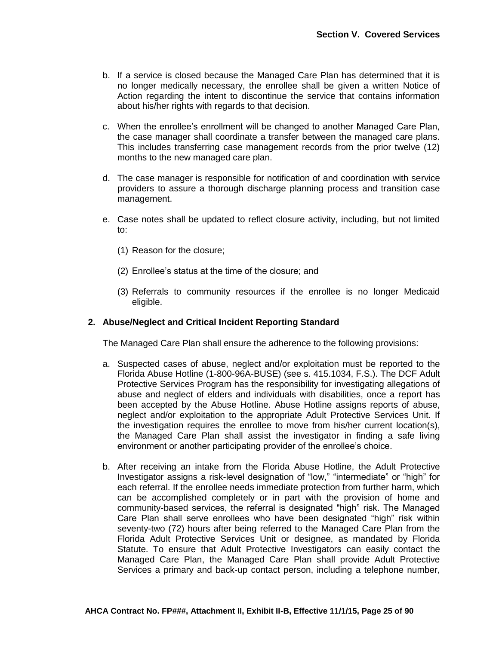- b. If a service is closed because the Managed Care Plan has determined that it is no longer medically necessary, the enrollee shall be given a written Notice of Action regarding the intent to discontinue the service that contains information about his/her rights with regards to that decision.
- c. When the enrollee's enrollment will be changed to another Managed Care Plan, the case manager shall coordinate a transfer between the managed care plans. This includes transferring case management records from the prior twelve (12) months to the new managed care plan.
- d. The case manager is responsible for notification of and coordination with service providers to assure a thorough discharge planning process and transition case management.
- e. Case notes shall be updated to reflect closure activity, including, but not limited to:
	- (1) Reason for the closure;
	- (2) Enrollee's status at the time of the closure; and
	- (3) Referrals to community resources if the enrollee is no longer Medicaid eligible.

### **2. Abuse/Neglect and Critical Incident Reporting Standard**

The Managed Care Plan shall ensure the adherence to the following provisions:

- a. Suspected cases of abuse, neglect and/or exploitation must be reported to the Florida Abuse Hotline (1-800-96A-BUSE) (see s. 415.1034, F.S.). The DCF Adult Protective Services Program has the responsibility for investigating allegations of abuse and neglect of elders and individuals with disabilities, once a report has been accepted by the Abuse Hotline. Abuse Hotline assigns reports of abuse, neglect and/or exploitation to the appropriate Adult Protective Services Unit. If the investigation requires the enrollee to move from his/her current location(s), the Managed Care Plan shall assist the investigator in finding a safe living environment or another participating provider of the enrollee's choice.
- b. After receiving an intake from the Florida Abuse Hotline, the Adult Protective Investigator assigns a risk-level designation of "low," "intermediate" or "high" for each referral. If the enrollee needs immediate protection from further harm, which can be accomplished completely or in part with the provision of home and community-based services, the referral is designated "high" risk. The Managed Care Plan shall serve enrollees who have been designated "high" risk within seventy-two (72) hours after being referred to the Managed Care Plan from the Florida Adult Protective Services Unit or designee, as mandated by Florida Statute. To ensure that Adult Protective Investigators can easily contact the Managed Care Plan, the Managed Care Plan shall provide Adult Protective Services a primary and back-up contact person, including a telephone number,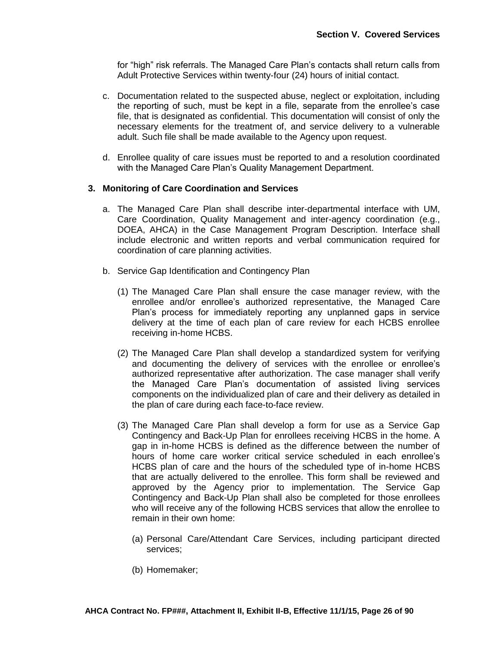for "high" risk referrals. The Managed Care Plan's contacts shall return calls from Adult Protective Services within twenty-four (24) hours of initial contact.

- c. Documentation related to the suspected abuse, neglect or exploitation, including the reporting of such, must be kept in a file, separate from the enrollee's case file, that is designated as confidential. This documentation will consist of only the necessary elements for the treatment of, and service delivery to a vulnerable adult. Such file shall be made available to the Agency upon request.
- d. Enrollee quality of care issues must be reported to and a resolution coordinated with the Managed Care Plan's Quality Management Department.

#### **3. Monitoring of Care Coordination and Services**

- a. The Managed Care Plan shall describe inter-departmental interface with UM, Care Coordination, Quality Management and inter-agency coordination (e.g., DOEA, AHCA) in the Case Management Program Description. Interface shall include electronic and written reports and verbal communication required for coordination of care planning activities.
- b. Service Gap Identification and Contingency Plan
	- (1) The Managed Care Plan shall ensure the case manager review, with the enrollee and/or enrollee's authorized representative, the Managed Care Plan's process for immediately reporting any unplanned gaps in service delivery at the time of each plan of care review for each HCBS enrollee receiving in-home HCBS.
	- (2) The Managed Care Plan shall develop a standardized system for verifying and documenting the delivery of services with the enrollee or enrollee's authorized representative after authorization. The case manager shall verify the Managed Care Plan's documentation of assisted living services components on the individualized plan of care and their delivery as detailed in the plan of care during each face-to-face review.
	- (3) The Managed Care Plan shall develop a form for use as a Service Gap Contingency and Back-Up Plan for enrollees receiving HCBS in the home. A gap in in-home HCBS is defined as the difference between the number of hours of home care worker critical service scheduled in each enrollee's HCBS plan of care and the hours of the scheduled type of in-home HCBS that are actually delivered to the enrollee. This form shall be reviewed and approved by the Agency prior to implementation. The Service Gap Contingency and Back-Up Plan shall also be completed for those enrollees who will receive any of the following HCBS services that allow the enrollee to remain in their own home:
		- (a) Personal Care/Attendant Care Services, including participant directed services;
		- (b) Homemaker;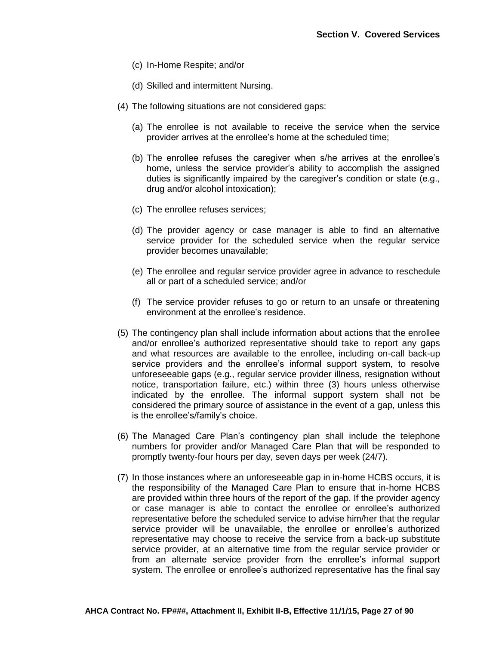- (c) In-Home Respite; and/or
- (d) Skilled and intermittent Nursing.
- (4) The following situations are not considered gaps:
	- (a) The enrollee is not available to receive the service when the service provider arrives at the enrollee's home at the scheduled time;
	- (b) The enrollee refuses the caregiver when s/he arrives at the enrollee's home, unless the service provider's ability to accomplish the assigned duties is significantly impaired by the caregiver's condition or state (e.g., drug and/or alcohol intoxication);
	- (c) The enrollee refuses services;
	- (d) The provider agency or case manager is able to find an alternative service provider for the scheduled service when the regular service provider becomes unavailable;
	- (e) The enrollee and regular service provider agree in advance to reschedule all or part of a scheduled service; and/or
	- (f) The service provider refuses to go or return to an unsafe or threatening environment at the enrollee's residence.
- (5) The contingency plan shall include information about actions that the enrollee and/or enrollee's authorized representative should take to report any gaps and what resources are available to the enrollee, including on-call back-up service providers and the enrollee's informal support system, to resolve unforeseeable gaps (e.g., regular service provider illness, resignation without notice, transportation failure, etc.) within three (3) hours unless otherwise indicated by the enrollee. The informal support system shall not be considered the primary source of assistance in the event of a gap, unless this is the enrollee's/family's choice.
- (6) The Managed Care Plan's contingency plan shall include the telephone numbers for provider and/or Managed Care Plan that will be responded to promptly twenty-four hours per day, seven days per week (24/7).
- (7) In those instances where an unforeseeable gap in in-home HCBS occurs, it is the responsibility of the Managed Care Plan to ensure that in-home HCBS are provided within three hours of the report of the gap. If the provider agency or case manager is able to contact the enrollee or enrollee's authorized representative before the scheduled service to advise him/her that the regular service provider will be unavailable, the enrollee or enrollee's authorized representative may choose to receive the service from a back-up substitute service provider, at an alternative time from the regular service provider or from an alternate service provider from the enrollee's informal support system. The enrollee or enrollee's authorized representative has the final say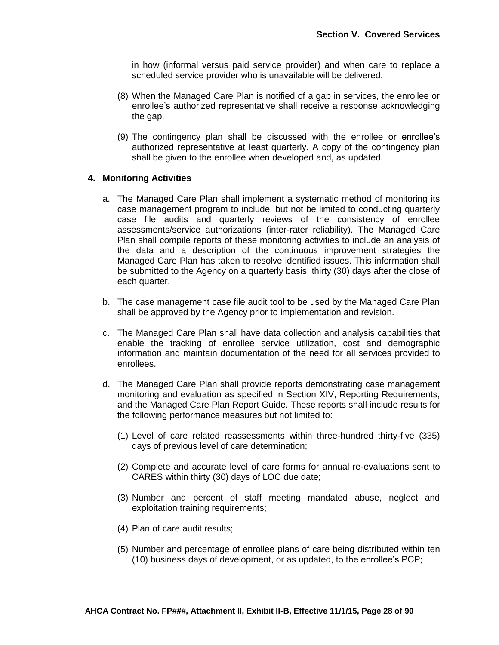in how (informal versus paid service provider) and when care to replace a scheduled service provider who is unavailable will be delivered.

- (8) When the Managed Care Plan is notified of a gap in services, the enrollee or enrollee's authorized representative shall receive a response acknowledging the gap.
- (9) The contingency plan shall be discussed with the enrollee or enrollee's authorized representative at least quarterly. A copy of the contingency plan shall be given to the enrollee when developed and, as updated.

#### **4. Monitoring Activities**

- a. The Managed Care Plan shall implement a systematic method of monitoring its case management program to include, but not be limited to conducting quarterly case file audits and quarterly reviews of the consistency of enrollee assessments/service authorizations (inter-rater reliability). The Managed Care Plan shall compile reports of these monitoring activities to include an analysis of the data and a description of the continuous improvement strategies the Managed Care Plan has taken to resolve identified issues. This information shall be submitted to the Agency on a quarterly basis, thirty (30) days after the close of each quarter.
- b. The case management case file audit tool to be used by the Managed Care Plan shall be approved by the Agency prior to implementation and revision.
- c. The Managed Care Plan shall have data collection and analysis capabilities that enable the tracking of enrollee service utilization, cost and demographic information and maintain documentation of the need for all services provided to enrollees.
- d. The Managed Care Plan shall provide reports demonstrating case management monitoring and evaluation as specified in Section XIV, Reporting Requirements, and the Managed Care Plan Report Guide. These reports shall include results for the following performance measures but not limited to:
	- (1) Level of care related reassessments within three-hundred thirty-five (335) days of previous level of care determination;
	- (2) Complete and accurate level of care forms for annual re-evaluations sent to CARES within thirty (30) days of LOC due date;
	- (3) Number and percent of staff meeting mandated abuse, neglect and exploitation training requirements;
	- (4) Plan of care audit results;
	- (5) Number and percentage of enrollee plans of care being distributed within ten (10) business days of development, or as updated, to the enrollee's PCP;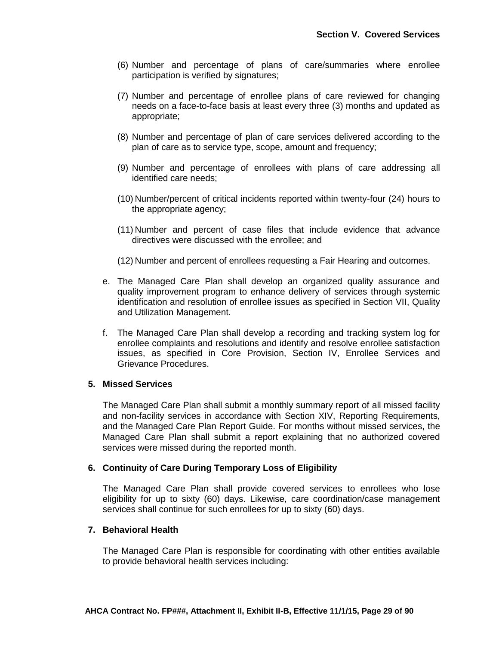- (6) Number and percentage of plans of care/summaries where enrollee participation is verified by signatures;
- (7) Number and percentage of enrollee plans of care reviewed for changing needs on a face-to-face basis at least every three (3) months and updated as appropriate;
- (8) Number and percentage of plan of care services delivered according to the plan of care as to service type, scope, amount and frequency;
- (9) Number and percentage of enrollees with plans of care addressing all identified care needs;
- (10) Number/percent of critical incidents reported within twenty-four (24) hours to the appropriate agency;
- (11) Number and percent of case files that include evidence that advance directives were discussed with the enrollee; and
- (12) Number and percent of enrollees requesting a Fair Hearing and outcomes.
- e. The Managed Care Plan shall develop an organized quality assurance and quality improvement program to enhance delivery of services through systemic identification and resolution of enrollee issues as specified in Section VII, Quality and Utilization Management.
- f. The Managed Care Plan shall develop a recording and tracking system log for enrollee complaints and resolutions and identify and resolve enrollee satisfaction issues, as specified in Core Provision, Section IV, Enrollee Services and Grievance Procedures.

#### **5. Missed Services**

The Managed Care Plan shall submit a monthly summary report of all missed facility and non-facility services in accordance with Section XIV, Reporting Requirements, and the Managed Care Plan Report Guide. For months without missed services, the Managed Care Plan shall submit a report explaining that no authorized covered services were missed during the reported month.

### **6. Continuity of Care During Temporary Loss of Eligibility**

The Managed Care Plan shall provide covered services to enrollees who lose eligibility for up to sixty (60) days. Likewise, care coordination/case management services shall continue for such enrollees for up to sixty (60) days.

### **7. Behavioral Health**

The Managed Care Plan is responsible for coordinating with other entities available to provide behavioral health services including: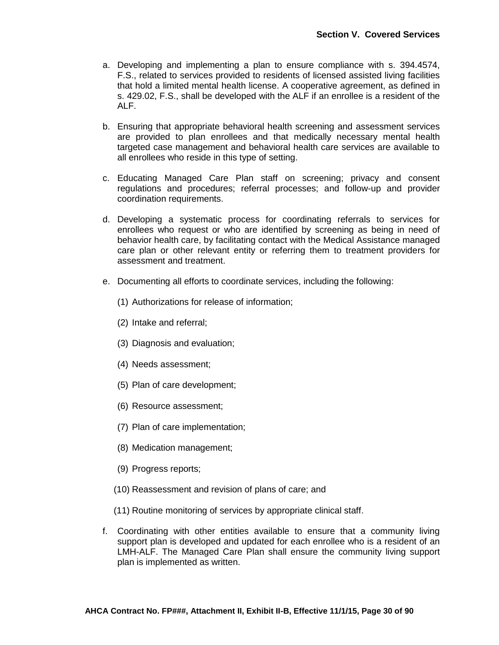- a. Developing and implementing a plan to ensure compliance with s. 394.4574, F.S., related to services provided to residents of licensed assisted living facilities that hold a limited mental health license. A cooperative agreement, as defined in s. 429.02, F.S., shall be developed with the ALF if an enrollee is a resident of the ALF.
- b. Ensuring that appropriate behavioral health screening and assessment services are provided to plan enrollees and that medically necessary mental health targeted case management and behavioral health care services are available to all enrollees who reside in this type of setting.
- c. Educating Managed Care Plan staff on screening; privacy and consent regulations and procedures; referral processes; and follow-up and provider coordination requirements.
- d. Developing a systematic process for coordinating referrals to services for enrollees who request or who are identified by screening as being in need of behavior health care, by facilitating contact with the Medical Assistance managed care plan or other relevant entity or referring them to treatment providers for assessment and treatment.
- e. Documenting all efforts to coordinate services, including the following:
	- (1) Authorizations for release of information;
	- (2) Intake and referral;
	- (3) Diagnosis and evaluation;
	- (4) Needs assessment;
	- (5) Plan of care development;
	- (6) Resource assessment;
	- (7) Plan of care implementation;
	- (8) Medication management;
	- (9) Progress reports;
	- (10) Reassessment and revision of plans of care; and
	- (11) Routine monitoring of services by appropriate clinical staff.
- f. Coordinating with other entities available to ensure that a community living support plan is developed and updated for each enrollee who is a resident of an LMH-ALF. The Managed Care Plan shall ensure the community living support plan is implemented as written.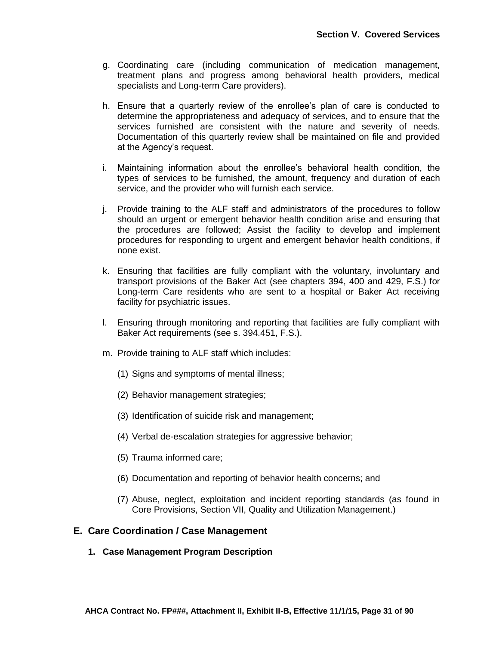- g. Coordinating care (including communication of medication management, treatment plans and progress among behavioral health providers, medical specialists and Long-term Care providers).
- h. Ensure that a quarterly review of the enrollee's plan of care is conducted to determine the appropriateness and adequacy of services, and to ensure that the services furnished are consistent with the nature and severity of needs. Documentation of this quarterly review shall be maintained on file and provided at the Agency's request.
- i. Maintaining information about the enrollee's behavioral health condition, the types of services to be furnished, the amount, frequency and duration of each service, and the provider who will furnish each service.
- j. Provide training to the ALF staff and administrators of the procedures to follow should an urgent or emergent behavior health condition arise and ensuring that the procedures are followed; Assist the facility to develop and implement procedures for responding to urgent and emergent behavior health conditions, if none exist.
- k. Ensuring that facilities are fully compliant with the voluntary, involuntary and transport provisions of the Baker Act (see chapters 394, 400 and 429, F.S.) for Long-term Care residents who are sent to a hospital or Baker Act receiving facility for psychiatric issues.
- l. Ensuring through monitoring and reporting that facilities are fully compliant with Baker Act requirements (see s. 394.451, F.S.).
- m. Provide training to ALF staff which includes:
	- (1) Signs and symptoms of mental illness;
	- (2) Behavior management strategies;
	- (3) Identification of suicide risk and management;
	- (4) Verbal de-escalation strategies for aggressive behavior;
	- (5) Trauma informed care;
	- (6) Documentation and reporting of behavior health concerns; and
	- (7) Abuse, neglect, exploitation and incident reporting standards (as found in Core Provisions, Section VII, Quality and Utilization Management.)

### **E. Care Coordination / Case Management**

**1. Case Management Program Description**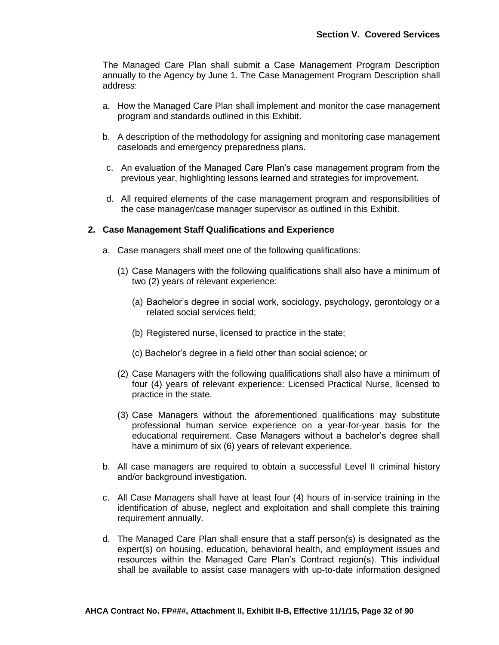The Managed Care Plan shall submit a Case Management Program Description annually to the Agency by June 1. The Case Management Program Description shall address:

- a. How the Managed Care Plan shall implement and monitor the case management program and standards outlined in this Exhibit.
- b. A description of the methodology for assigning and monitoring case management caseloads and emergency preparedness plans.
- c. An evaluation of the Managed Care Plan's case management program from the previous year, highlighting lessons learned and strategies for improvement.
- d. All required elements of the case management program and responsibilities of the case manager/case manager supervisor as outlined in this Exhibit.

### **2. Case Management Staff Qualifications and Experience**

- a. Case managers shall meet one of the following qualifications:
	- (1) Case Managers with the following qualifications shall also have a minimum of two (2) years of relevant experience:
		- (a) Bachelor's degree in social work, sociology, psychology, gerontology or a related social services field;
		- (b) Registered nurse, licensed to practice in the state;
		- (c) Bachelor's degree in a field other than social science; or
	- (2) Case Managers with the following qualifications shall also have a minimum of four (4) years of relevant experience: Licensed Practical Nurse, licensed to practice in the state.
	- (3) Case Managers without the aforementioned qualifications may substitute professional human service experience on a year-for-year basis for the educational requirement. Case Managers without a bachelor's degree shall have a minimum of six (6) years of relevant experience.
- b. All case managers are required to obtain a successful Level II criminal history and/or background investigation.
- c. All Case Managers shall have at least four (4) hours of in-service training in the identification of abuse, neglect and exploitation and shall complete this training requirement annually.
- d. The Managed Care Plan shall ensure that a staff person(s) is designated as the expert(s) on housing, education, behavioral health, and employment issues and resources within the Managed Care Plan's Contract region(s). This individual shall be available to assist case managers with up-to-date information designed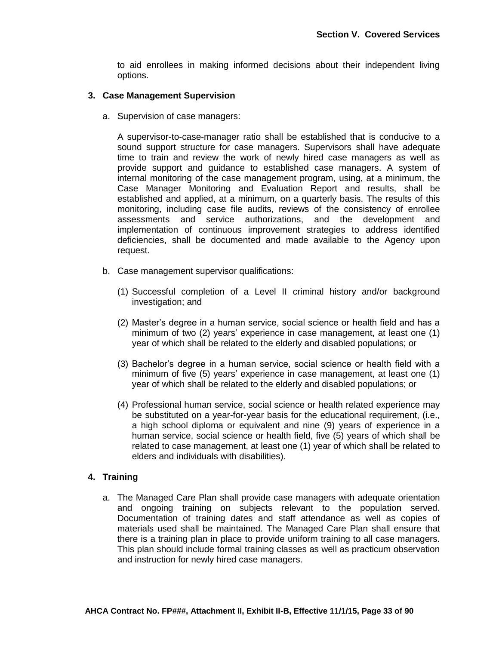to aid enrollees in making informed decisions about their independent living options.

### **3. Case Management Supervision**

a. Supervision of case managers:

A supervisor-to-case-manager ratio shall be established that is conducive to a sound support structure for case managers. Supervisors shall have adequate time to train and review the work of newly hired case managers as well as provide support and guidance to established case managers. A system of internal monitoring of the case management program, using, at a minimum, the Case Manager Monitoring and Evaluation Report and results, shall be established and applied, at a minimum, on a quarterly basis. The results of this monitoring, including case file audits, reviews of the consistency of enrollee assessments and service authorizations, and the development and implementation of continuous improvement strategies to address identified deficiencies, shall be documented and made available to the Agency upon request.

- b. Case management supervisor qualifications:
	- (1) Successful completion of a Level II criminal history and/or background investigation; and
	- (2) Master's degree in a human service, social science or health field and has a minimum of two (2) years' experience in case management, at least one (1) year of which shall be related to the elderly and disabled populations; or
	- (3) Bachelor's degree in a human service, social science or health field with a minimum of five (5) years' experience in case management, at least one (1) year of which shall be related to the elderly and disabled populations; or
	- (4) Professional human service, social science or health related experience may be substituted on a year-for-year basis for the educational requirement, (i.e., a high school diploma or equivalent and nine (9) years of experience in a human service, social science or health field, five (5) years of which shall be related to case management, at least one (1) year of which shall be related to elders and individuals with disabilities).

## **4. Training**

a. The Managed Care Plan shall provide case managers with adequate orientation and ongoing training on subjects relevant to the population served. Documentation of training dates and staff attendance as well as copies of materials used shall be maintained. The Managed Care Plan shall ensure that there is a training plan in place to provide uniform training to all case managers. This plan should include formal training classes as well as practicum observation and instruction for newly hired case managers.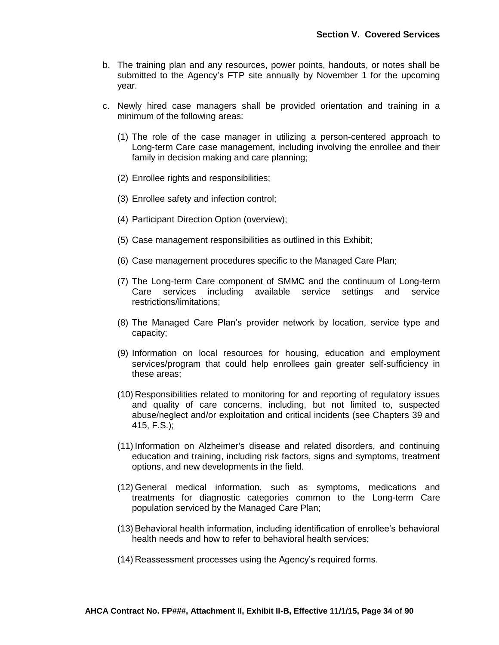- b. The training plan and any resources, power points, handouts, or notes shall be submitted to the Agency's FTP site annually by November 1 for the upcoming year.
- c. Newly hired case managers shall be provided orientation and training in a minimum of the following areas:
	- (1) The role of the case manager in utilizing a person-centered approach to Long-term Care case management, including involving the enrollee and their family in decision making and care planning;
	- (2) Enrollee rights and responsibilities;
	- (3) Enrollee safety and infection control;
	- (4) Participant Direction Option (overview);
	- (5) Case management responsibilities as outlined in this Exhibit;
	- (6) Case management procedures specific to the Managed Care Plan;
	- (7) The Long-term Care component of SMMC and the continuum of Long-term Care services including available service settings and service restrictions/limitations;
	- (8) The Managed Care Plan's provider network by location, service type and capacity;
	- (9) Information on local resources for housing, education and employment services/program that could help enrollees gain greater self-sufficiency in these areas;
	- (10) Responsibilities related to monitoring for and reporting of regulatory issues and quality of care concerns, including, but not limited to, suspected abuse/neglect and/or exploitation and critical incidents (see Chapters 39 and 415, F.S.);
	- (11) Information on Alzheimer's disease and related disorders, and continuing education and training, including risk factors, signs and symptoms, treatment options, and new developments in the field.
	- (12) General medical information, such as symptoms, medications and treatments for diagnostic categories common to the Long-term Care population serviced by the Managed Care Plan;
	- (13) Behavioral health information, including identification of enrollee's behavioral health needs and how to refer to behavioral health services;
	- (14) Reassessment processes using the Agency's required forms.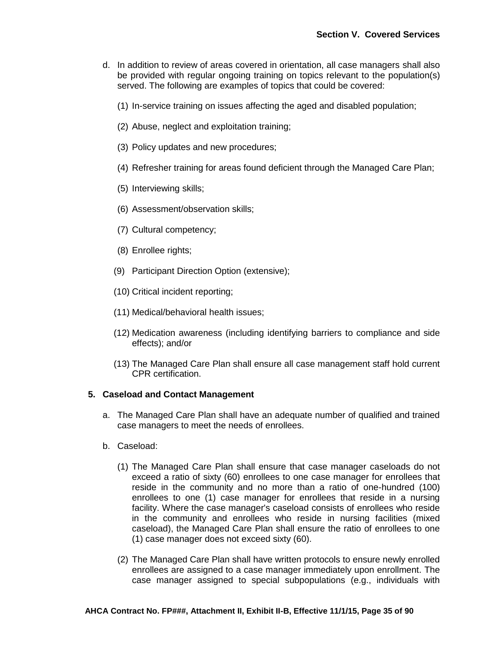- d. In addition to review of areas covered in orientation, all case managers shall also be provided with regular ongoing training on topics relevant to the population(s) served. The following are examples of topics that could be covered:
	- (1) In-service training on issues affecting the aged and disabled population;
	- (2) Abuse, neglect and exploitation training;
	- (3) Policy updates and new procedures;
	- (4) Refresher training for areas found deficient through the Managed Care Plan;
	- (5) Interviewing skills;
	- (6) Assessment/observation skills;
	- (7) Cultural competency;
	- (8) Enrollee rights;
	- (9) Participant Direction Option (extensive);
	- (10) Critical incident reporting;
	- (11) Medical/behavioral health issues;
	- (12) Medication awareness (including identifying barriers to compliance and side effects); and/or
	- (13) The Managed Care Plan shall ensure all case management staff hold current CPR certification.

### **5. Caseload and Contact Management**

- a. The Managed Care Plan shall have an adequate number of qualified and trained case managers to meet the needs of enrollees.
- b. Caseload:
	- (1) The Managed Care Plan shall ensure that case manager caseloads do not exceed a ratio of sixty (60) enrollees to one case manager for enrollees that reside in the community and no more than a ratio of one-hundred (100) enrollees to one (1) case manager for enrollees that reside in a nursing facility. Where the case manager's caseload consists of enrollees who reside in the community and enrollees who reside in nursing facilities (mixed caseload), the Managed Care Plan shall ensure the ratio of enrollees to one (1) case manager does not exceed sixty (60).
	- (2) The Managed Care Plan shall have written protocols to ensure newly enrolled enrollees are assigned to a case manager immediately upon enrollment. The case manager assigned to special subpopulations (e.g., individuals with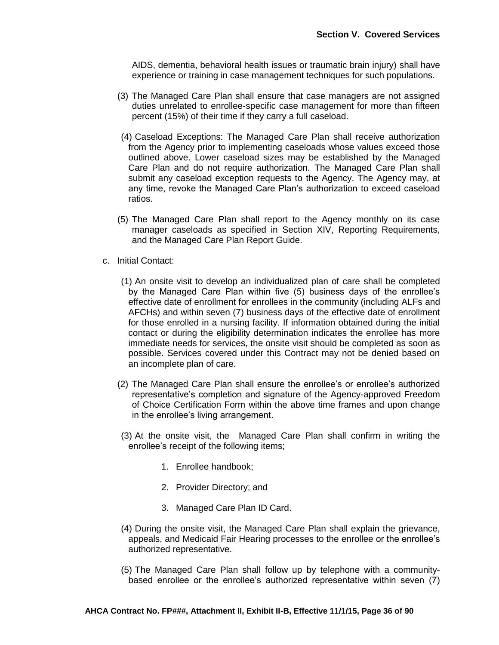AIDS, dementia, behavioral health issues or traumatic brain injury) shall have experience or training in case management techniques for such populations.

- (3) The Managed Care Plan shall ensure that case managers are not assigned duties unrelated to enrollee-specific case management for more than fifteen percent (15%) of their time if they carry a full caseload.
- (4) Caseload Exceptions: The Managed Care Plan shall receive authorization from the Agency prior to implementing caseloads whose values exceed those outlined above. Lower caseload sizes may be established by the Managed Care Plan and do not require authorization. The Managed Care Plan shall submit any caseload exception requests to the Agency. The Agency may, at any time, revoke the Managed Care Plan's authorization to exceed caseload ratios.
- (5) The Managed Care Plan shall report to the Agency monthly on its case manager caseloads as specified in Section XIV, Reporting Requirements, and the Managed Care Plan Report Guide.
- c. Initial Contact:
	- (1) An onsite visit to develop an individualized plan of care shall be completed by the Managed Care Plan within five (5) business days of the enrollee's effective date of enrollment for enrollees in the community (including ALFs and AFCHs) and within seven (7) business days of the effective date of enrollment for those enrolled in a nursing facility. If information obtained during the initial contact or during the eligibility determination indicates the enrollee has more immediate needs for services, the onsite visit should be completed as soon as possible. Services covered under this Contract may not be denied based on an incomplete plan of care.
	- (2) The Managed Care Plan shall ensure the enrollee's or enrollee's authorized representative's completion and signature of the Agency-approved Freedom of Choice Certification Form within the above time frames and upon change in the enrollee's living arrangement.
	- (3) At the onsite visit, the Managed Care Plan shall confirm in writing the enrollee's receipt of the following items;
		- 1. Enrollee handbook;
		- 2. Provider Directory; and
		- 3. Managed Care Plan ID Card.
	- (4) During the onsite visit, the Managed Care Plan shall explain the grievance, appeals, and Medicaid Fair Hearing processes to the enrollee or the enrollee's authorized representative.
	- (5) The Managed Care Plan shall follow up by telephone with a communitybased enrollee or the enrollee's authorized representative within seven (7)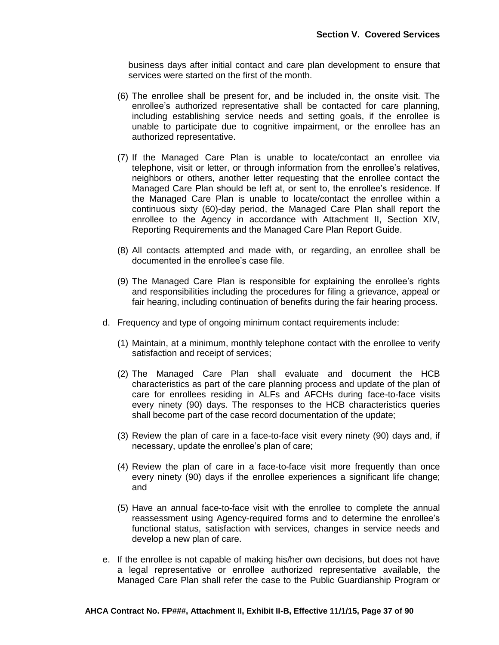business days after initial contact and care plan development to ensure that services were started on the first of the month.

- (6) The enrollee shall be present for, and be included in, the onsite visit. The enrollee's authorized representative shall be contacted for care planning, including establishing service needs and setting goals, if the enrollee is unable to participate due to cognitive impairment, or the enrollee has an authorized representative.
- (7) If the Managed Care Plan is unable to locate/contact an enrollee via telephone, visit or letter, or through information from the enrollee's relatives, neighbors or others, another letter requesting that the enrollee contact the Managed Care Plan should be left at, or sent to, the enrollee's residence. If the Managed Care Plan is unable to locate/contact the enrollee within a continuous sixty (60)-day period, the Managed Care Plan shall report the enrollee to the Agency in accordance with Attachment II, Section XIV, Reporting Requirements and the Managed Care Plan Report Guide.
- (8) All contacts attempted and made with, or regarding, an enrollee shall be documented in the enrollee's case file.
- (9) The Managed Care Plan is responsible for explaining the enrollee's rights and responsibilities including the procedures for filing a grievance, appeal or fair hearing, including continuation of benefits during the fair hearing process.
- d. Frequency and type of ongoing minimum contact requirements include:
	- (1) Maintain, at a minimum, monthly telephone contact with the enrollee to verify satisfaction and receipt of services;
	- (2) The Managed Care Plan shall evaluate and document the HCB characteristics as part of the care planning process and update of the plan of care for enrollees residing in ALFs and AFCHs during face-to-face visits every ninety (90) days. The responses to the HCB characteristics queries shall become part of the case record documentation of the update;
	- (3) Review the plan of care in a face-to-face visit every ninety (90) days and, if necessary, update the enrollee's plan of care;
	- (4) Review the plan of care in a face-to-face visit more frequently than once every ninety (90) days if the enrollee experiences a significant life change; and
	- (5) Have an annual face-to-face visit with the enrollee to complete the annual reassessment using Agency-required forms and to determine the enrollee's functional status, satisfaction with services, changes in service needs and develop a new plan of care.
- e. If the enrollee is not capable of making his/her own decisions, but does not have a legal representative or enrollee authorized representative available, the Managed Care Plan shall refer the case to the Public Guardianship Program or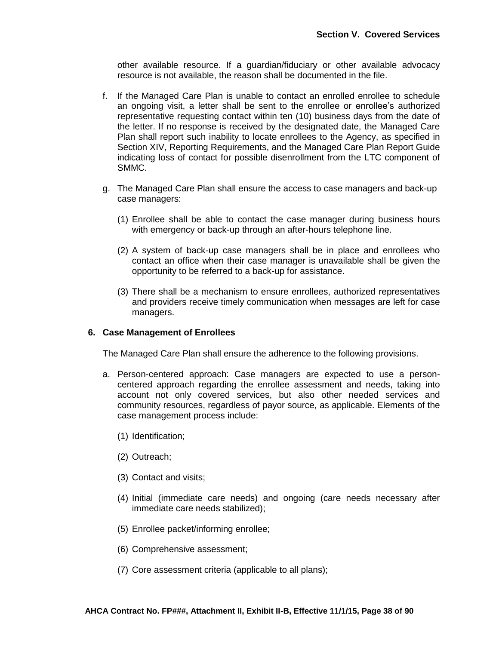other available resource. If a guardian/fiduciary or other available advocacy resource is not available, the reason shall be documented in the file.

- f. If the Managed Care Plan is unable to contact an enrolled enrollee to schedule an ongoing visit, a letter shall be sent to the enrollee or enrollee's authorized representative requesting contact within ten (10) business days from the date of the letter. If no response is received by the designated date, the Managed Care Plan shall report such inability to locate enrollees to the Agency, as specified in Section XIV, Reporting Requirements, and the Managed Care Plan Report Guide indicating loss of contact for possible disenrollment from the LTC component of SMMC.
- g. The Managed Care Plan shall ensure the access to case managers and back-up case managers:
	- (1) Enrollee shall be able to contact the case manager during business hours with emergency or back-up through an after-hours telephone line.
	- (2) A system of back-up case managers shall be in place and enrollees who contact an office when their case manager is unavailable shall be given the opportunity to be referred to a back-up for assistance.
	- (3) There shall be a mechanism to ensure enrollees, authorized representatives and providers receive timely communication when messages are left for case managers.

## **6. Case Management of Enrollees**

The Managed Care Plan shall ensure the adherence to the following provisions.

- a. Person-centered approach: Case managers are expected to use a personcentered approach regarding the enrollee assessment and needs, taking into account not only covered services, but also other needed services and community resources, regardless of payor source, as applicable. Elements of the case management process include:
	- (1) Identification;
	- (2) Outreach;
	- (3) Contact and visits;
	- (4) Initial (immediate care needs) and ongoing (care needs necessary after immediate care needs stabilized);
	- (5) Enrollee packet/informing enrollee;
	- (6) Comprehensive assessment;
	- (7) Core assessment criteria (applicable to all plans);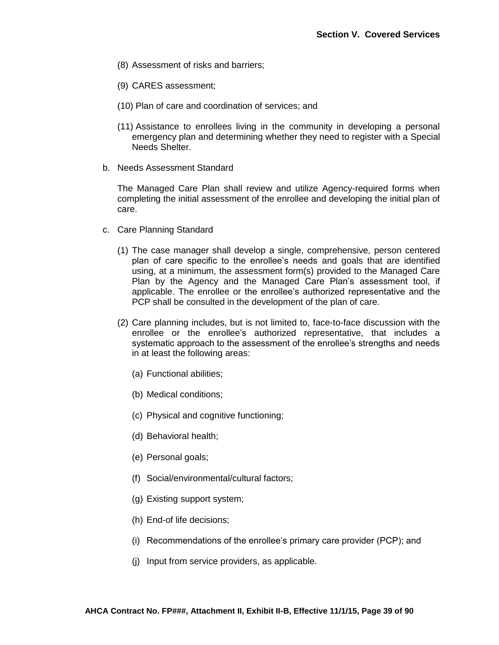- (8) Assessment of risks and barriers;
- (9) CARES assessment;
- (10) Plan of care and coordination of services; and
- (11) Assistance to enrollees living in the community in developing a personal emergency plan and determining whether they need to register with a Special Needs Shelter.
- b. Needs Assessment Standard

The Managed Care Plan shall review and utilize Agency-required forms when completing the initial assessment of the enrollee and developing the initial plan of care.

- c. Care Planning Standard
	- (1) The case manager shall develop a single, comprehensive, person centered plan of care specific to the enrollee's needs and goals that are identified using, at a minimum, the assessment form(s) provided to the Managed Care Plan by the Agency and the Managed Care Plan's assessment tool, if applicable. The enrollee or the enrollee's authorized representative and the PCP shall be consulted in the development of the plan of care.
	- (2) Care planning includes, but is not limited to, face-to-face discussion with the enrollee or the enrollee's authorized representative, that includes a systematic approach to the assessment of the enrollee's strengths and needs in at least the following areas:
		- (a) Functional abilities;
		- (b) Medical conditions;
		- (c) Physical and cognitive functioning;
		- (d) Behavioral health;
		- (e) Personal goals;
		- (f) Social/environmental/cultural factors;
		- (g) Existing support system;
		- (h) End-of life decisions;
		- (i) Recommendations of the enrollee's primary care provider (PCP); and
		- (j) Input from service providers, as applicable.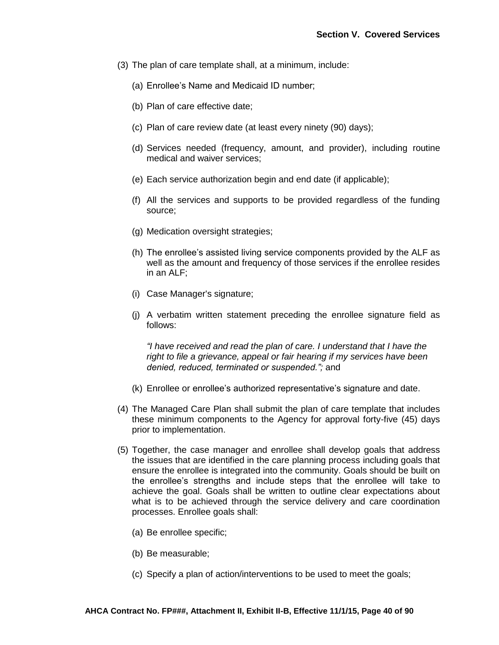- (3) The plan of care template shall, at a minimum, include:
	- (a) Enrollee's Name and Medicaid ID number;
	- (b) Plan of care effective date;
	- (c) Plan of care review date (at least every ninety (90) days);
	- (d) Services needed (frequency, amount, and provider), including routine medical and waiver services;
	- (e) Each service authorization begin and end date (if applicable);
	- (f) All the services and supports to be provided regardless of the funding source;
	- (g) Medication oversight strategies;
	- (h) The enrollee's assisted living service components provided by the ALF as well as the amount and frequency of those services if the enrollee resides in an ALF;
	- (i) Case Manager's signature;
	- (j) A verbatim written statement preceding the enrollee signature field as follows:

*"I have received and read the plan of care. I understand that I have the right to file a grievance, appeal or fair hearing if my services have been denied, reduced, terminated or suspended.";* and

- (k) Enrollee or enrollee's authorized representative's signature and date.
- (4) The Managed Care Plan shall submit the plan of care template that includes these minimum components to the Agency for approval forty-five (45) days prior to implementation.
- (5) Together, the case manager and enrollee shall develop goals that address the issues that are identified in the care planning process including goals that ensure the enrollee is integrated into the community. Goals should be built on the enrollee's strengths and include steps that the enrollee will take to achieve the goal. Goals shall be written to outline clear expectations about what is to be achieved through the service delivery and care coordination processes. Enrollee goals shall:
	- (a) Be enrollee specific;
	- (b) Be measurable;
	- (c) Specify a plan of action/interventions to be used to meet the goals;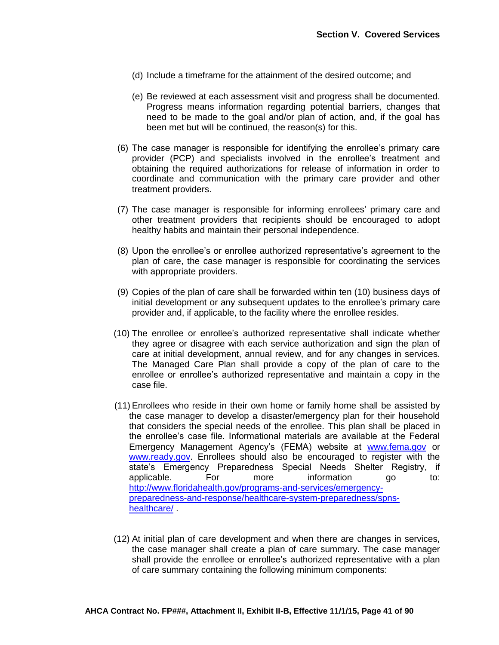- (d) Include a timeframe for the attainment of the desired outcome; and
- (e) Be reviewed at each assessment visit and progress shall be documented. Progress means information regarding potential barriers, changes that need to be made to the goal and/or plan of action, and, if the goal has been met but will be continued, the reason(s) for this.
- (6) The case manager is responsible for identifying the enrollee's primary care provider (PCP) and specialists involved in the enrollee's treatment and obtaining the required authorizations for release of information in order to coordinate and communication with the primary care provider and other treatment providers.
- (7) The case manager is responsible for informing enrollees' primary care and other treatment providers that recipients should be encouraged to adopt healthy habits and maintain their personal independence.
- (8) Upon the enrollee's or enrollee authorized representative's agreement to the plan of care, the case manager is responsible for coordinating the services with appropriate providers.
- (9) Copies of the plan of care shall be forwarded within ten (10) business days of initial development or any subsequent updates to the enrollee's primary care provider and, if applicable, to the facility where the enrollee resides.
- (10) The enrollee or enrollee's authorized representative shall indicate whether they agree or disagree with each service authorization and sign the plan of care at initial development, annual review, and for any changes in services. The Managed Care Plan shall provide a copy of the plan of care to the enrollee or enrollee's authorized representative and maintain a copy in the case file.
- (11) Enrollees who reside in their own home or family home shall be assisted by the case manager to develop a disaster/emergency plan for their household that considers the special needs of the enrollee. This plan shall be placed in the enrollee's case file. Informational materials are available at the Federal Emergency Management Agency's (FEMA) website at [www.fema.gov](http://www.fema.gov/) or [www.ready.gov.](http://www.ready.gov/) Enrollees should also be encouraged to register with the state's Emergency Preparedness Special Needs Shelter Registry, if applicable. For more information go to: [http://www.floridahealth.gov/programs-and-services/emergency](http://www.floridahealth.gov/programs-and-services/emergency-preparedness-and-response/healthcare-system-preparedness/spns-healthcare/)[preparedness-and-response/healthcare-system-preparedness/spns](http://www.floridahealth.gov/programs-and-services/emergency-preparedness-and-response/healthcare-system-preparedness/spns-healthcare/)[healthcare/](http://www.floridahealth.gov/programs-and-services/emergency-preparedness-and-response/healthcare-system-preparedness/spns-healthcare/) .
- (12) At initial plan of care development and when there are changes in services, the case manager shall create a plan of care summary. The case manager shall provide the enrollee or enrollee's authorized representative with a plan of care summary containing the following minimum components: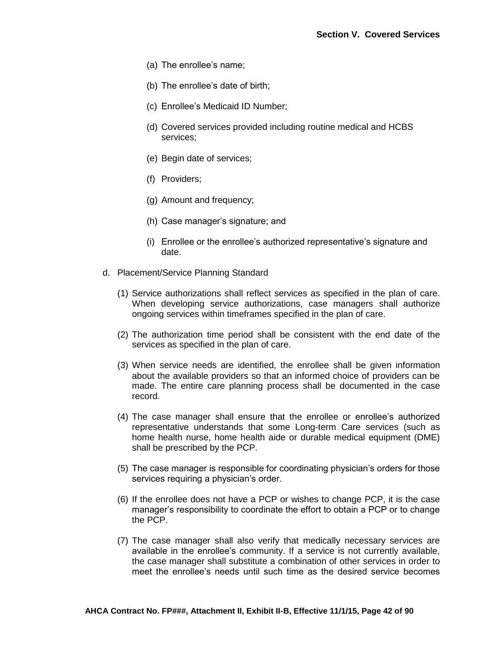- (a) The enrollee's name;
- (b) The enrollee's date of birth;
- (c) Enrollee's Medicaid ID Number;
- (d) Covered services provided including routine medical and HCBS services;
- (e) Begin date of services;
- (f) Providers;
- (g) Amount and frequency;
- (h) Case manager's signature; and
- (i) Enrollee or the enrollee's authorized representative's signature and date.
- d. Placement/Service Planning Standard
	- (1) Service authorizations shall reflect services as specified in the plan of care. When developing service authorizations, case managers shall authorize ongoing services within timeframes specified in the plan of care.
	- (2) The authorization time period shall be consistent with the end date of the services as specified in the plan of care.
	- (3) When service needs are identified, the enrollee shall be given information about the available providers so that an informed choice of providers can be made. The entire care planning process shall be documented in the case record.
	- (4) The case manager shall ensure that the enrollee or enrollee's authorized representative understands that some Long-term Care services (such as home health nurse, home health aide or durable medical equipment (DME) shall be prescribed by the PCP.
	- (5) The case manager is responsible for coordinating physician's orders for those services requiring a physician's order.
	- (6) If the enrollee does not have a PCP or wishes to change PCP, it is the case manager's responsibility to coordinate the effort to obtain a PCP or to change the PCP.
	- (7) The case manager shall also verify that medically necessary services are available in the enrollee's community. If a service is not currently available, the case manager shall substitute a combination of other services in order to meet the enrollee's needs until such time as the desired service becomes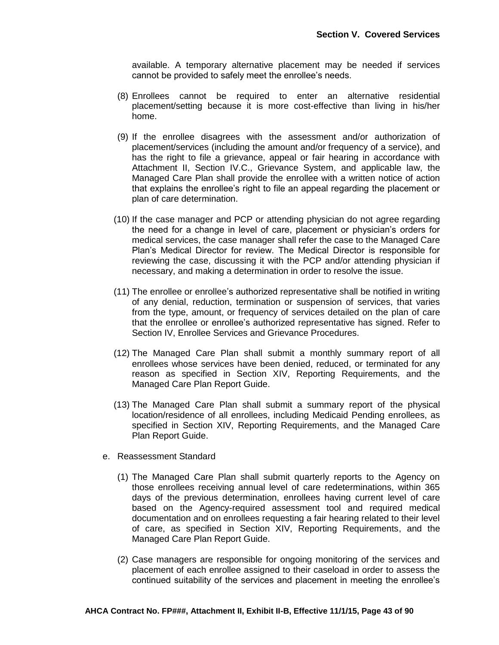available. A temporary alternative placement may be needed if services cannot be provided to safely meet the enrollee's needs.

- (8) Enrollees cannot be required to enter an alternative residential placement/setting because it is more cost-effective than living in his/her home.
- (9) If the enrollee disagrees with the assessment and/or authorization of placement/services (including the amount and/or frequency of a service), and has the right to file a grievance, appeal or fair hearing in accordance with Attachment II, Section IV.C., Grievance System, and applicable law, the Managed Care Plan shall provide the enrollee with a written notice of action that explains the enrollee's right to file an appeal regarding the placement or plan of care determination.
- (10) If the case manager and PCP or attending physician do not agree regarding the need for a change in level of care, placement or physician's orders for medical services, the case manager shall refer the case to the Managed Care Plan's Medical Director for review. The Medical Director is responsible for reviewing the case, discussing it with the PCP and/or attending physician if necessary, and making a determination in order to resolve the issue.
- (11) The enrollee or enrollee's authorized representative shall be notified in writing of any denial, reduction, termination or suspension of services, that varies from the type, amount, or frequency of services detailed on the plan of care that the enrollee or enrollee's authorized representative has signed. Refer to Section IV, Enrollee Services and Grievance Procedures.
- (12) The Managed Care Plan shall submit a monthly summary report of all enrollees whose services have been denied, reduced, or terminated for any reason as specified in Section XIV, Reporting Requirements, and the Managed Care Plan Report Guide.
- (13) The Managed Care Plan shall submit a summary report of the physical location/residence of all enrollees, including Medicaid Pending enrollees, as specified in Section XIV, Reporting Requirements, and the Managed Care Plan Report Guide.
- e. Reassessment Standard
	- (1) The Managed Care Plan shall submit quarterly reports to the Agency on those enrollees receiving annual level of care redeterminations, within 365 days of the previous determination, enrollees having current level of care based on the Agency-required assessment tool and required medical documentation and on enrollees requesting a fair hearing related to their level of care, as specified in Section XIV, Reporting Requirements, and the Managed Care Plan Report Guide.
	- (2) Case managers are responsible for ongoing monitoring of the services and placement of each enrollee assigned to their caseload in order to assess the continued suitability of the services and placement in meeting the enrollee's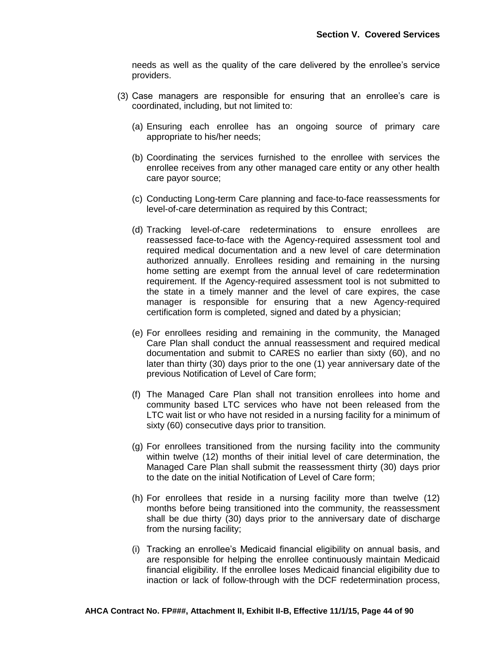needs as well as the quality of the care delivered by the enrollee's service providers.

- (3) Case managers are responsible for ensuring that an enrollee's care is coordinated, including, but not limited to:
	- (a) Ensuring each enrollee has an ongoing source of primary care appropriate to his/her needs;
	- (b) Coordinating the services furnished to the enrollee with services the enrollee receives from any other managed care entity or any other health care payor source;
	- (c) Conducting Long-term Care planning and face-to-face reassessments for level-of-care determination as required by this Contract;
	- (d) Tracking level-of-care redeterminations to ensure enrollees are reassessed face-to-face with the Agency-required assessment tool and required medical documentation and a new level of care determination authorized annually. Enrollees residing and remaining in the nursing home setting are exempt from the annual level of care redetermination requirement. If the Agency-required assessment tool is not submitted to the state in a timely manner and the level of care expires, the case manager is responsible for ensuring that a new Agency-required certification form is completed, signed and dated by a physician;
	- (e) For enrollees residing and remaining in the community, the Managed Care Plan shall conduct the annual reassessment and required medical documentation and submit to CARES no earlier than sixty (60), and no later than thirty (30) days prior to the one (1) year anniversary date of the previous Notification of Level of Care form;
	- (f) The Managed Care Plan shall not transition enrollees into home and community based LTC services who have not been released from the LTC wait list or who have not resided in a nursing facility for a minimum of sixty (60) consecutive days prior to transition.
	- (g) For enrollees transitioned from the nursing facility into the community within twelve (12) months of their initial level of care determination, the Managed Care Plan shall submit the reassessment thirty (30) days prior to the date on the initial Notification of Level of Care form;
	- (h) For enrollees that reside in a nursing facility more than twelve (12) months before being transitioned into the community, the reassessment shall be due thirty (30) days prior to the anniversary date of discharge from the nursing facility;
	- (i) Tracking an enrollee's Medicaid financial eligibility on annual basis, and are responsible for helping the enrollee continuously maintain Medicaid financial eligibility. If the enrollee loses Medicaid financial eligibility due to inaction or lack of follow-through with the DCF redetermination process,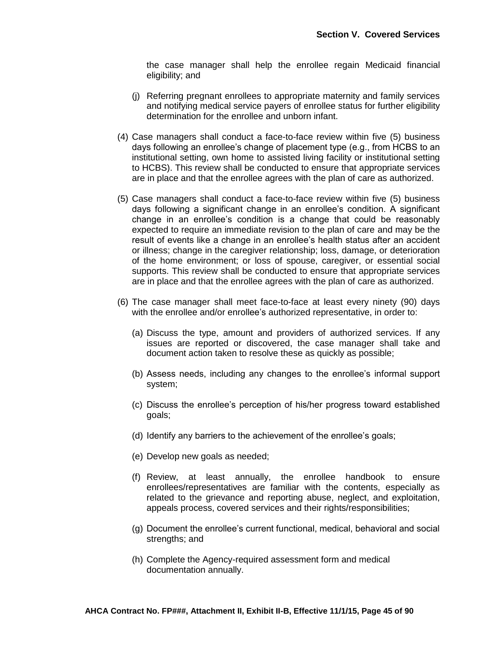the case manager shall help the enrollee regain Medicaid financial eligibility; and

- (j) Referring pregnant enrollees to appropriate maternity and family services and notifying medical service payers of enrollee status for further eligibility determination for the enrollee and unborn infant.
- (4) Case managers shall conduct a face-to-face review within five (5) business days following an enrollee's change of placement type (e.g., from HCBS to an institutional setting, own home to assisted living facility or institutional setting to HCBS). This review shall be conducted to ensure that appropriate services are in place and that the enrollee agrees with the plan of care as authorized.
- (5) Case managers shall conduct a face-to-face review within five (5) business days following a significant change in an enrollee's condition. A significant change in an enrollee's condition is a change that could be reasonably expected to require an immediate revision to the plan of care and may be the result of events like a change in an enrollee's health status after an accident or illness; change in the caregiver relationship; loss, damage, or deterioration of the home environment; or loss of spouse, caregiver, or essential social supports. This review shall be conducted to ensure that appropriate services are in place and that the enrollee agrees with the plan of care as authorized.
- (6) The case manager shall meet face-to-face at least every ninety (90) days with the enrollee and/or enrollee's authorized representative, in order to:
	- (a) Discuss the type, amount and providers of authorized services. If any issues are reported or discovered, the case manager shall take and document action taken to resolve these as quickly as possible;
	- (b) Assess needs, including any changes to the enrollee's informal support system;
	- (c) Discuss the enrollee's perception of his/her progress toward established goals;
	- (d) Identify any barriers to the achievement of the enrollee's goals;
	- (e) Develop new goals as needed;
	- (f) Review, at least annually, the enrollee handbook to ensure enrollees/representatives are familiar with the contents, especially as related to the grievance and reporting abuse, neglect, and exploitation, appeals process, covered services and their rights/responsibilities;
	- (g) Document the enrollee's current functional, medical, behavioral and social strengths; and
	- (h) Complete the Agency-required assessment form and medical documentation annually.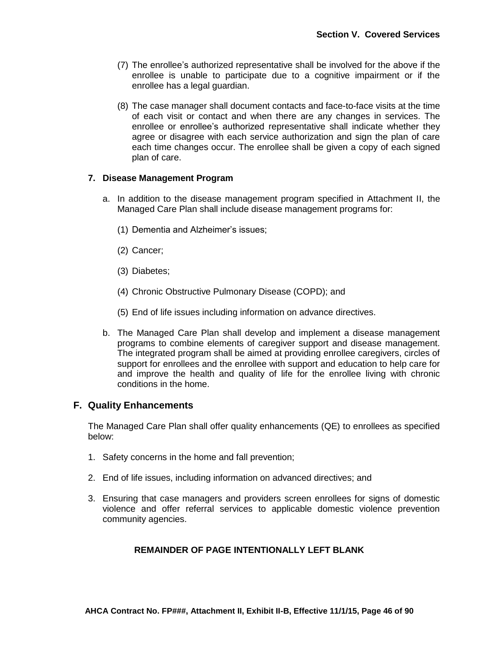- (7) The enrollee's authorized representative shall be involved for the above if the enrollee is unable to participate due to a cognitive impairment or if the enrollee has a legal guardian.
- (8) The case manager shall document contacts and face-to-face visits at the time of each visit or contact and when there are any changes in services. The enrollee or enrollee's authorized representative shall indicate whether they agree or disagree with each service authorization and sign the plan of care each time changes occur. The enrollee shall be given a copy of each signed plan of care.

## **7. Disease Management Program**

- a. In addition to the disease management program specified in Attachment II, the Managed Care Plan shall include disease management programs for:
	- (1) Dementia and Alzheimer's issues;
	- (2) Cancer;
	- (3) Diabetes;
	- (4) Chronic Obstructive Pulmonary Disease (COPD); and
	- (5) End of life issues including information on advance directives.
- b. The Managed Care Plan shall develop and implement a disease management programs to combine elements of caregiver support and disease management. The integrated program shall be aimed at providing enrollee caregivers, circles of support for enrollees and the enrollee with support and education to help care for and improve the health and quality of life for the enrollee living with chronic conditions in the home.

## **F. Quality Enhancements**

The Managed Care Plan shall offer quality enhancements (QE) to enrollees as specified below:

- 1. Safety concerns in the home and fall prevention;
- 2. End of life issues, including information on advanced directives; and
- 3. Ensuring that case managers and providers screen enrollees for signs of domestic violence and offer referral services to applicable domestic violence prevention community agencies.

## **REMAINDER OF PAGE INTENTIONALLY LEFT BLANK**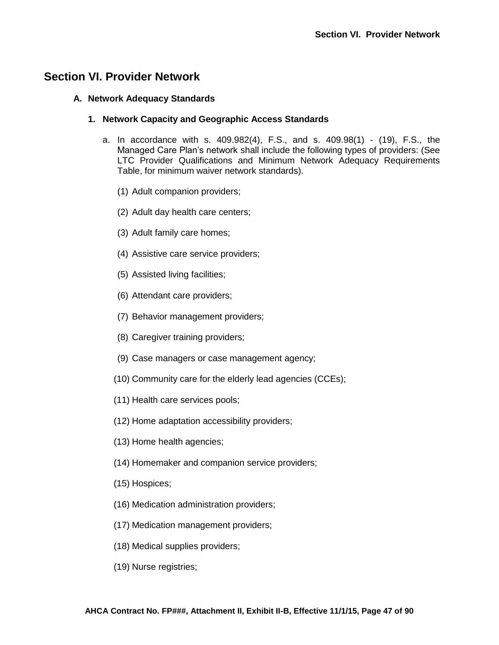# **Section VI. Provider Network**

### **A. Network Adequacy Standards**

## **1. Network Capacity and Geographic Access Standards**

- a. In accordance with s. 409.982(4), F.S., and s. 409.98(1) (19), F.S., the Managed Care Plan's network shall include the following types of providers: (See LTC Provider Qualifications and Minimum Network Adequacy Requirements Table, for minimum waiver network standards).
	- (1) Adult companion providers;
	- (2) Adult day health care centers;
	- (3) Adult family care homes;
	- (4) Assistive care service providers;
	- (5) Assisted living facilities;
	- (6) Attendant care providers;
	- (7) Behavior management providers;
	- (8) Caregiver training providers;
	- (9) Case managers or case management agency;
	- (10) Community care for the elderly lead agencies (CCEs);
	- (11) Health care services pools;
	- (12) Home adaptation accessibility providers;
	- (13) Home health agencies;
	- (14) Homemaker and companion service providers;
	- (15) Hospices;
	- (16) Medication administration providers;
	- (17) Medication management providers;
	- (18) Medical supplies providers;
	- (19) Nurse registries;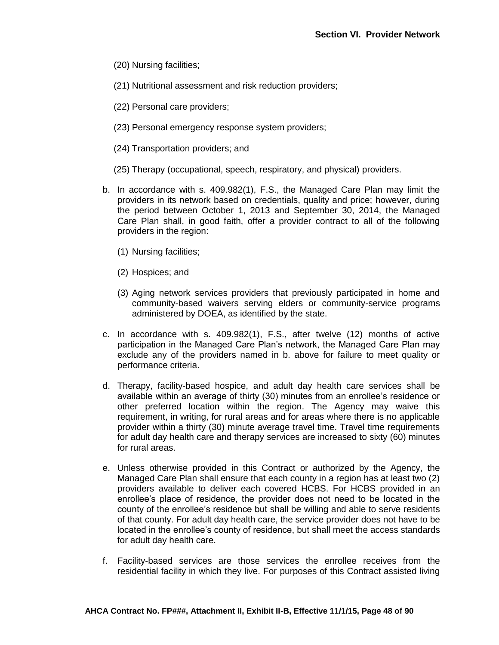- (20) Nursing facilities;
- (21) Nutritional assessment and risk reduction providers;
- (22) Personal care providers;
- (23) Personal emergency response system providers;
- (24) Transportation providers; and
- (25) Therapy (occupational, speech, respiratory, and physical) providers.
- b. In accordance with s. 409.982(1), F.S., the Managed Care Plan may limit the providers in its network based on credentials, quality and price; however, during the period between October 1, 2013 and September 30, 2014, the Managed Care Plan shall, in good faith, offer a provider contract to all of the following providers in the region:
	- (1) Nursing facilities;
	- (2) Hospices; and
	- (3) Aging network services providers that previously participated in home and community-based waivers serving elders or community-service programs administered by DOEA, as identified by the state.
- c. In accordance with s. 409.982(1), F.S., after twelve (12) months of active participation in the Managed Care Plan's network, the Managed Care Plan may exclude any of the providers named in b. above for failure to meet quality or performance criteria.
- d. Therapy, facility-based hospice, and adult day health care services shall be available within an average of thirty (30) minutes from an enrollee's residence or other preferred location within the region. The Agency may waive this requirement, in writing, for rural areas and for areas where there is no applicable provider within a thirty (30) minute average travel time. Travel time requirements for adult day health care and therapy services are increased to sixty (60) minutes for rural areas.
- e. Unless otherwise provided in this Contract or authorized by the Agency, the Managed Care Plan shall ensure that each county in a region has at least two (2) providers available to deliver each covered HCBS. For HCBS provided in an enrollee's place of residence, the provider does not need to be located in the county of the enrollee's residence but shall be willing and able to serve residents of that county. For adult day health care, the service provider does not have to be located in the enrollee's county of residence, but shall meet the access standards for adult day health care.
- f. Facility-based services are those services the enrollee receives from the residential facility in which they live. For purposes of this Contract assisted living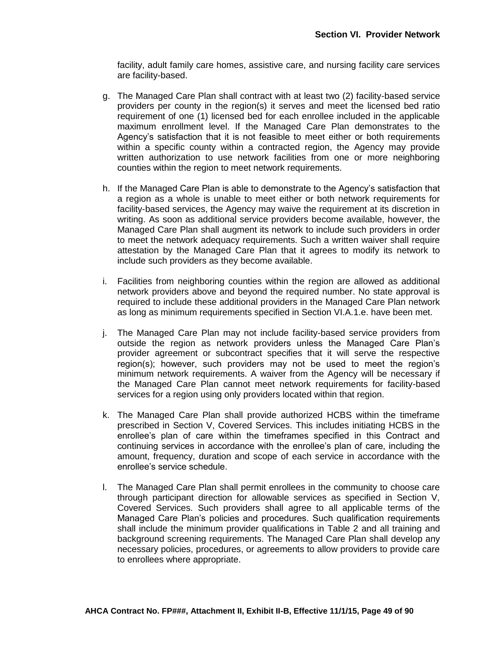facility, adult family care homes, assistive care, and nursing facility care services are facility-based.

- g. The Managed Care Plan shall contract with at least two (2) facility-based service providers per county in the region(s) it serves and meet the licensed bed ratio requirement of one (1) licensed bed for each enrollee included in the applicable maximum enrollment level. If the Managed Care Plan demonstrates to the Agency's satisfaction that it is not feasible to meet either or both requirements within a specific county within a contracted region, the Agency may provide written authorization to use network facilities from one or more neighboring counties within the region to meet network requirements.
- h. If the Managed Care Plan is able to demonstrate to the Agency's satisfaction that a region as a whole is unable to meet either or both network requirements for facility-based services, the Agency may waive the requirement at its discretion in writing. As soon as additional service providers become available, however, the Managed Care Plan shall augment its network to include such providers in order to meet the network adequacy requirements. Such a written waiver shall require attestation by the Managed Care Plan that it agrees to modify its network to include such providers as they become available.
- i. Facilities from neighboring counties within the region are allowed as additional network providers above and beyond the required number. No state approval is required to include these additional providers in the Managed Care Plan network as long as minimum requirements specified in Section VI.A.1.e. have been met.
- j. The Managed Care Plan may not include facility-based service providers from outside the region as network providers unless the Managed Care Plan's provider agreement or subcontract specifies that it will serve the respective region(s); however, such providers may not be used to meet the region's minimum network requirements. A waiver from the Agency will be necessary if the Managed Care Plan cannot meet network requirements for facility-based services for a region using only providers located within that region.
- k. The Managed Care Plan shall provide authorized HCBS within the timeframe prescribed in Section V, Covered Services. This includes initiating HCBS in the enrollee's plan of care within the timeframes specified in this Contract and continuing services in accordance with the enrollee's plan of care, including the amount, frequency, duration and scope of each service in accordance with the enrollee's service schedule.
- l. The Managed Care Plan shall permit enrollees in the community to choose care through participant direction for allowable services as specified in Section V, Covered Services. Such providers shall agree to all applicable terms of the Managed Care Plan's policies and procedures. Such qualification requirements shall include the minimum provider qualifications in Table 2 and all training and background screening requirements. The Managed Care Plan shall develop any necessary policies, procedures, or agreements to allow providers to provide care to enrollees where appropriate.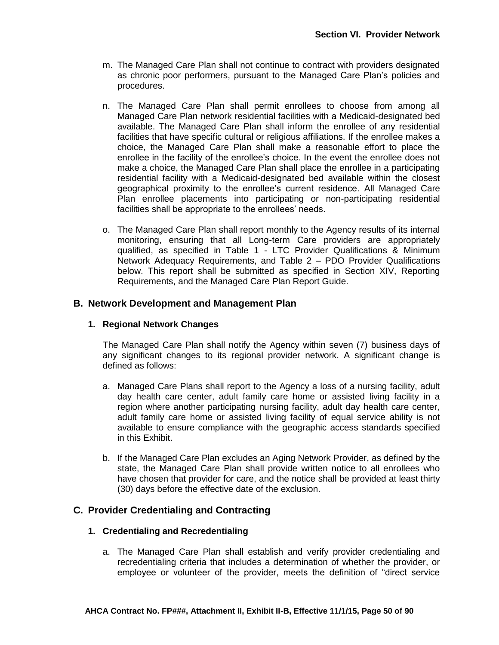- m. The Managed Care Plan shall not continue to contract with providers designated as chronic poor performers, pursuant to the Managed Care Plan's policies and procedures.
- n. The Managed Care Plan shall permit enrollees to choose from among all Managed Care Plan network residential facilities with a Medicaid-designated bed available. The Managed Care Plan shall inform the enrollee of any residential facilities that have specific cultural or religious affiliations. If the enrollee makes a choice, the Managed Care Plan shall make a reasonable effort to place the enrollee in the facility of the enrollee's choice. In the event the enrollee does not make a choice, the Managed Care Plan shall place the enrollee in a participating residential facility with a Medicaid-designated bed available within the closest geographical proximity to the enrollee's current residence. All Managed Care Plan enrollee placements into participating or non-participating residential facilities shall be appropriate to the enrollees' needs.
- o. The Managed Care Plan shall report monthly to the Agency results of its internal monitoring, ensuring that all Long-term Care providers are appropriately qualified, as specified in Table 1 - LTC Provider Qualifications & Minimum Network Adequacy Requirements, and Table 2 – PDO Provider Qualifications below. This report shall be submitted as specified in Section XIV, Reporting Requirements, and the Managed Care Plan Report Guide.

## **B. Network Development and Management Plan**

### **1. Regional Network Changes**

The Managed Care Plan shall notify the Agency within seven (7) business days of any significant changes to its regional provider network. A significant change is defined as follows:

- a. Managed Care Plans shall report to the Agency a loss of a nursing facility, adult day health care center, adult family care home or assisted living facility in a region where another participating nursing facility, adult day health care center, adult family care home or assisted living facility of equal service ability is not available to ensure compliance with the geographic access standards specified in this Exhibit.
- b. If the Managed Care Plan excludes an Aging Network Provider, as defined by the state, the Managed Care Plan shall provide written notice to all enrollees who have chosen that provider for care, and the notice shall be provided at least thirty (30) days before the effective date of the exclusion.

## **C. Provider Credentialing and Contracting**

### **1. Credentialing and Recredentialing**

a. The Managed Care Plan shall establish and verify provider credentialing and recredentialing criteria that includes a determination of whether the provider, or employee or volunteer of the provider, meets the definition of "direct service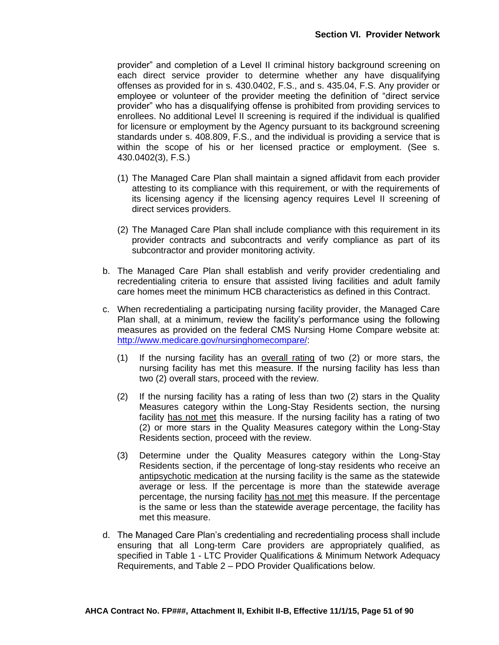provider" and completion of a Level II criminal history background screening on each direct service provider to determine whether any have disqualifying offenses as provided for in s. 430.0402, F.S., and s. 435.04, F.S. Any provider or employee or volunteer of the provider meeting the definition of "direct service provider" who has a disqualifying offense is prohibited from providing services to enrollees. No additional Level II screening is required if the individual is qualified for licensure or employment by the Agency pursuant to its background screening standards under s. 408.809, F.S., and the individual is providing a service that is within the scope of his or her licensed practice or employment. (See s. 430.0402(3), F.S.)

- (1) The Managed Care Plan shall maintain a signed affidavit from each provider attesting to its compliance with this requirement, or with the requirements of its licensing agency if the licensing agency requires Level II screening of direct services providers.
- (2) The Managed Care Plan shall include compliance with this requirement in its provider contracts and subcontracts and verify compliance as part of its subcontractor and provider monitoring activity.
- b. The Managed Care Plan shall establish and verify provider credentialing and recredentialing criteria to ensure that assisted living facilities and adult family care homes meet the minimum HCB characteristics as defined in this Contract.
- c. When recredentialing a participating nursing facility provider, the Managed Care Plan shall, at a minimum, review the facility's performance using the following measures as provided on the federal CMS Nursing Home Compare website at: [http://www.medicare.gov/nursinghomecompare/:](http://www.medicare.gov/nursinghomecompare/)
	- (1) If the nursing facility has an overall rating of two (2) or more stars, the nursing facility has met this measure. If the nursing facility has less than two (2) overall stars, proceed with the review.
	- (2) If the nursing facility has a rating of less than two (2) stars in the Quality Measures category within the Long-Stay Residents section, the nursing facility has not met this measure. If the nursing facility has a rating of two (2) or more stars in the Quality Measures category within the Long-Stay Residents section, proceed with the review.
	- (3) Determine under the Quality Measures category within the Long-Stay Residents section, if the percentage of long-stay residents who receive an antipsychotic medication at the nursing facility is the same as the statewide average or less. If the percentage is more than the statewide average percentage, the nursing facility has not met this measure. If the percentage is the same or less than the statewide average percentage, the facility has met this measure.
- d. The Managed Care Plan's credentialing and recredentialing process shall include ensuring that all Long-term Care providers are appropriately qualified, as specified in Table 1 - LTC Provider Qualifications & Minimum Network Adequacy Requirements, and Table 2 – PDO Provider Qualifications below.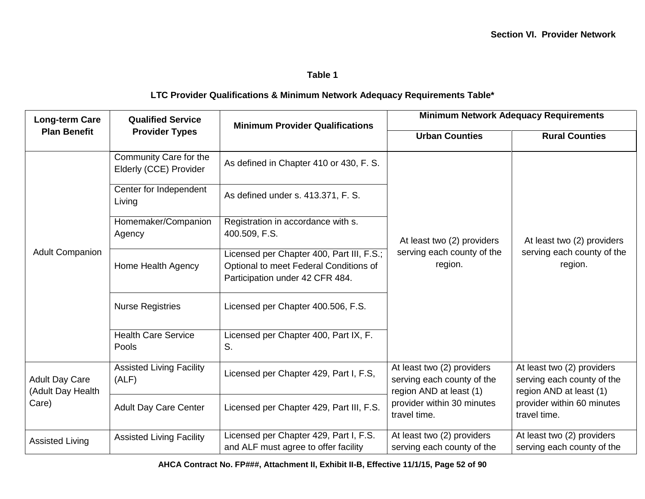## **Table 1**

## **LTC Provider Qualifications & Minimum Network Adequacy Requirements Table\***

| <b>Long-term Care</b>                               | <b>Qualified Service</b>                         | <b>Minimum Provider Qualifications</b>                                                                                 | <b>Minimum Network Adequacy Requirements</b>                                        |                                                                                     |
|-----------------------------------------------------|--------------------------------------------------|------------------------------------------------------------------------------------------------------------------------|-------------------------------------------------------------------------------------|-------------------------------------------------------------------------------------|
| <b>Plan Benefit</b>                                 | <b>Provider Types</b>                            |                                                                                                                        | <b>Urban Counties</b>                                                               | <b>Rural Counties</b>                                                               |
| <b>Adult Companion</b>                              | Community Care for the<br>Elderly (CCE) Provider | As defined in Chapter 410 or 430, F. S.                                                                                |                                                                                     |                                                                                     |
|                                                     | Center for Independent<br>Living                 | As defined under s. 413.371, F. S.                                                                                     |                                                                                     |                                                                                     |
|                                                     | Homemaker/Companion<br>Agency                    | Registration in accordance with s.<br>400.509, F.S.                                                                    | At least two (2) providers                                                          | At least two (2) providers<br>serving each county of the<br>region.                 |
|                                                     | Home Health Agency                               | Licensed per Chapter 400, Part III, F.S.;<br>Optional to meet Federal Conditions of<br>Participation under 42 CFR 484. | serving each county of the<br>region.                                               |                                                                                     |
|                                                     | <b>Nurse Registries</b>                          | Licensed per Chapter 400.506, F.S.                                                                                     |                                                                                     |                                                                                     |
|                                                     | <b>Health Care Service</b><br>Pools              | Licensed per Chapter 400, Part IX, F.<br>S.                                                                            |                                                                                     |                                                                                     |
| <b>Adult Day Care</b><br>(Adult Day Health<br>Care) | <b>Assisted Living Facility</b><br>(ALF)         | Licensed per Chapter 429, Part I, F.S,                                                                                 | At least two (2) providers<br>serving each county of the<br>region AND at least (1) | At least two (2) providers<br>serving each county of the<br>region AND at least (1) |
|                                                     | <b>Adult Day Care Center</b>                     | Licensed per Chapter 429, Part III, F.S.                                                                               | provider within 30 minutes<br>travel time.                                          | provider within 60 minutes<br>travel time.                                          |
| <b>Assisted Living</b>                              | <b>Assisted Living Facility</b>                  | Licensed per Chapter 429, Part I, F.S.<br>and ALF must agree to offer facility                                         | At least two (2) providers<br>serving each county of the                            | At least two (2) providers<br>serving each county of the                            |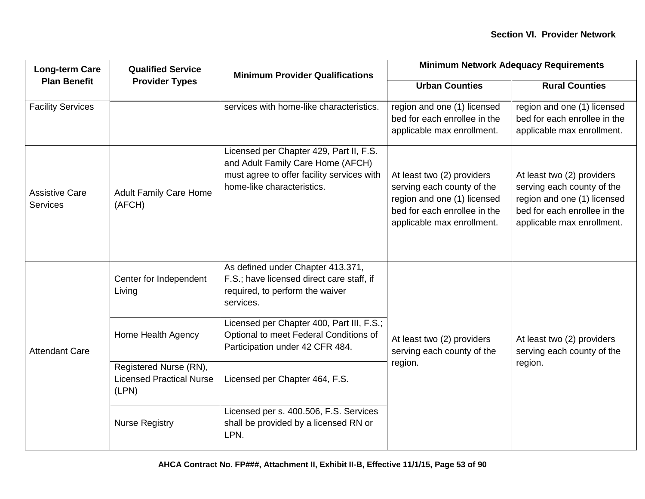| <b>Long-term Care</b>                    | <b>Qualified Service</b>                                           | <b>Minimum Provider Qualifications</b>                                                                                                                   | <b>Minimum Network Adequacy Requirements</b>                                                                                                          |                                                                                                                                                       |
|------------------------------------------|--------------------------------------------------------------------|----------------------------------------------------------------------------------------------------------------------------------------------------------|-------------------------------------------------------------------------------------------------------------------------------------------------------|-------------------------------------------------------------------------------------------------------------------------------------------------------|
|                                          | <b>Plan Benefit</b><br><b>Provider Types</b>                       | <b>Urban Counties</b>                                                                                                                                    | <b>Rural Counties</b>                                                                                                                                 |                                                                                                                                                       |
| <b>Facility Services</b>                 |                                                                    | services with home-like characteristics.                                                                                                                 | region and one (1) licensed<br>bed for each enrollee in the<br>applicable max enrollment.                                                             | region and one (1) licensed<br>bed for each enrollee in the<br>applicable max enrollment.                                                             |
| <b>Assistive Care</b><br><b>Services</b> | <b>Adult Family Care Home</b><br>(AFCH)                            | Licensed per Chapter 429, Part II, F.S.<br>and Adult Family Care Home (AFCH)<br>must agree to offer facility services with<br>home-like characteristics. | At least two (2) providers<br>serving each county of the<br>region and one (1) licensed<br>bed for each enrollee in the<br>applicable max enrollment. | At least two (2) providers<br>serving each county of the<br>region and one (1) licensed<br>bed for each enrollee in the<br>applicable max enrollment. |
|                                          | Center for Independent<br>Living                                   | As defined under Chapter 413.371,<br>F.S.; have licensed direct care staff, if<br>required, to perform the waiver<br>services.                           |                                                                                                                                                       |                                                                                                                                                       |
| <b>Attendant Care</b>                    | Home Health Agency                                                 | Licensed per Chapter 400, Part III, F.S.;<br>Optional to meet Federal Conditions of<br>Participation under 42 CFR 484.                                   | At least two (2) providers<br>serving each county of the                                                                                              | At least two (2) providers<br>serving each county of the                                                                                              |
|                                          | Registered Nurse (RN),<br><b>Licensed Practical Nurse</b><br>(LPN) | Licensed per Chapter 464, F.S.                                                                                                                           | region.                                                                                                                                               | region.                                                                                                                                               |
|                                          | <b>Nurse Registry</b>                                              | Licensed per s. 400.506, F.S. Services<br>shall be provided by a licensed RN or<br>LPN.                                                                  |                                                                                                                                                       |                                                                                                                                                       |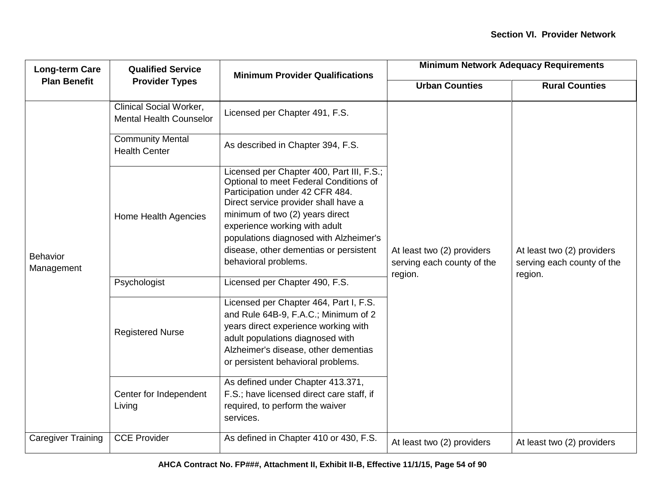| <b>Long-term Care</b><br><b>Plan Benefit</b> | <b>Qualified Service</b>                                         | <b>Minimum Provider Qualifications</b>                                                                                                                                                                                                                                                                                                         | <b>Minimum Network Adequacy Requirements</b>                        |                                                                     |
|----------------------------------------------|------------------------------------------------------------------|------------------------------------------------------------------------------------------------------------------------------------------------------------------------------------------------------------------------------------------------------------------------------------------------------------------------------------------------|---------------------------------------------------------------------|---------------------------------------------------------------------|
|                                              | <b>Provider Types</b>                                            |                                                                                                                                                                                                                                                                                                                                                | <b>Urban Counties</b>                                               | <b>Rural Counties</b>                                               |
| Behavior<br>Management                       | <b>Clinical Social Worker,</b><br><b>Mental Health Counselor</b> | Licensed per Chapter 491, F.S.                                                                                                                                                                                                                                                                                                                 |                                                                     |                                                                     |
|                                              | <b>Community Mental</b><br><b>Health Center</b>                  | As described in Chapter 394, F.S.                                                                                                                                                                                                                                                                                                              |                                                                     |                                                                     |
|                                              | Home Health Agencies                                             | Licensed per Chapter 400, Part III, F.S.;<br>Optional to meet Federal Conditions of<br>Participation under 42 CFR 484.<br>Direct service provider shall have a<br>minimum of two (2) years direct<br>experience working with adult<br>populations diagnosed with Alzheimer's<br>disease, other dementias or persistent<br>behavioral problems. | At least two (2) providers<br>serving each county of the<br>region. | At least two (2) providers<br>serving each county of the<br>region. |
|                                              | Psychologist                                                     | Licensed per Chapter 490, F.S.                                                                                                                                                                                                                                                                                                                 |                                                                     |                                                                     |
|                                              | <b>Registered Nurse</b>                                          | Licensed per Chapter 464, Part I, F.S.<br>and Rule 64B-9, F.A.C.; Minimum of 2<br>years direct experience working with<br>adult populations diagnosed with<br>Alzheimer's disease, other dementias<br>or persistent behavioral problems.                                                                                                       |                                                                     |                                                                     |
|                                              | Center for Independent<br>Living                                 | As defined under Chapter 413.371,<br>F.S.; have licensed direct care staff, if<br>required, to perform the waiver<br>services.                                                                                                                                                                                                                 |                                                                     |                                                                     |
| <b>Caregiver Training</b>                    | <b>CCE Provider</b>                                              | As defined in Chapter 410 or 430, F.S.                                                                                                                                                                                                                                                                                                         | At least two (2) providers                                          | At least two (2) providers                                          |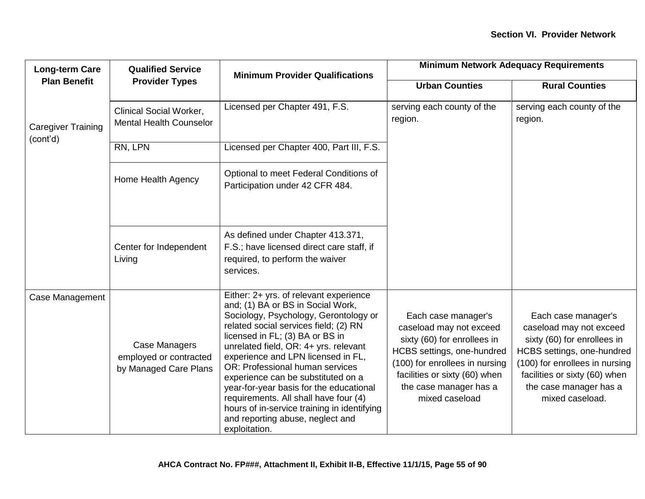| <b>Long-term Care</b>                 | <b>Qualified Service</b>                                         | <b>Minimum Provider Qualifications</b>                                                                                                                                                                                                                                                                                                                                                                                                                                                                                                           | <b>Minimum Network Adequacy Requirements</b>                                                                                                                                                                               |                                                                                                                                                                                                                             |
|---------------------------------------|------------------------------------------------------------------|--------------------------------------------------------------------------------------------------------------------------------------------------------------------------------------------------------------------------------------------------------------------------------------------------------------------------------------------------------------------------------------------------------------------------------------------------------------------------------------------------------------------------------------------------|----------------------------------------------------------------------------------------------------------------------------------------------------------------------------------------------------------------------------|-----------------------------------------------------------------------------------------------------------------------------------------------------------------------------------------------------------------------------|
| <b>Plan Benefit</b>                   | <b>Provider Types</b>                                            |                                                                                                                                                                                                                                                                                                                                                                                                                                                                                                                                                  | <b>Urban Counties</b>                                                                                                                                                                                                      | <b>Rural Counties</b>                                                                                                                                                                                                       |
| <b>Caregiver Training</b><br>(cont'd) | <b>Clinical Social Worker,</b><br><b>Mental Health Counselor</b> | Licensed per Chapter 491, F.S.                                                                                                                                                                                                                                                                                                                                                                                                                                                                                                                   | serving each county of the<br>region.                                                                                                                                                                                      | serving each county of the<br>region.                                                                                                                                                                                       |
|                                       | RN, LPN                                                          | Licensed per Chapter 400, Part III, F.S.                                                                                                                                                                                                                                                                                                                                                                                                                                                                                                         |                                                                                                                                                                                                                            |                                                                                                                                                                                                                             |
|                                       | Home Health Agency                                               | Optional to meet Federal Conditions of<br>Participation under 42 CFR 484.                                                                                                                                                                                                                                                                                                                                                                                                                                                                        |                                                                                                                                                                                                                            |                                                                                                                                                                                                                             |
|                                       | Center for Independent<br>Living                                 | As defined under Chapter 413.371,<br>F.S.; have licensed direct care staff, if<br>required, to perform the waiver<br>services.                                                                                                                                                                                                                                                                                                                                                                                                                   |                                                                                                                                                                                                                            |                                                                                                                                                                                                                             |
| Case Management                       | Case Managers<br>employed or contracted<br>by Managed Care Plans | Either: 2+ yrs. of relevant experience<br>and; (1) BA or BS in Social Work,<br>Sociology, Psychology, Gerontology or<br>related social services field; (2) RN<br>licensed in FL; (3) BA or BS in<br>unrelated field, OR: 4+ yrs. relevant<br>experience and LPN licensed in FL,<br>OR: Professional human services<br>experience can be substituted on a<br>year-for-year basis for the educational<br>requirements. All shall have four (4)<br>hours of in-service training in identifying<br>and reporting abuse, neglect and<br>exploitation. | Each case manager's<br>caseload may not exceed<br>sixty (60) for enrollees in<br>HCBS settings, one-hundred<br>(100) for enrollees in nursing<br>facilities or sixty (60) when<br>the case manager has a<br>mixed caseload | Each case manager's<br>caseload may not exceed<br>sixty (60) for enrollees in<br>HCBS settings, one-hundred<br>(100) for enrollees in nursing<br>facilities or sixty (60) when<br>the case manager has a<br>mixed caseload. |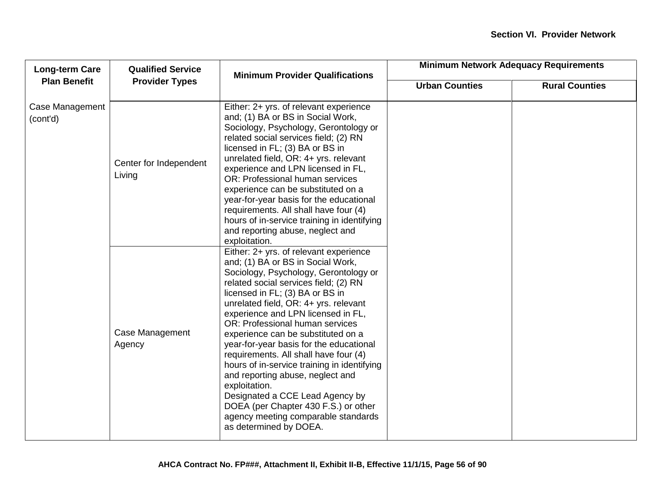| <b>Long-term Care</b>       | <b>Qualified Service</b>         | <b>Minimum Provider Qualifications</b>                                                                                                                                                                                                                                                                                                                                                                                                                                                                                                                                                                                                                                                       | <b>Minimum Network Adequacy Requirements</b> |                       |
|-----------------------------|----------------------------------|----------------------------------------------------------------------------------------------------------------------------------------------------------------------------------------------------------------------------------------------------------------------------------------------------------------------------------------------------------------------------------------------------------------------------------------------------------------------------------------------------------------------------------------------------------------------------------------------------------------------------------------------------------------------------------------------|----------------------------------------------|-----------------------|
| <b>Plan Benefit</b>         | <b>Provider Types</b>            |                                                                                                                                                                                                                                                                                                                                                                                                                                                                                                                                                                                                                                                                                              | <b>Urban Counties</b>                        | <b>Rural Counties</b> |
| Case Management<br>(cont'd) | Center for Independent<br>Living | Either: 2+ yrs. of relevant experience<br>and; (1) BA or BS in Social Work,<br>Sociology, Psychology, Gerontology or<br>related social services field; (2) RN<br>licensed in FL; (3) BA or BS in<br>unrelated field, OR: 4+ yrs. relevant<br>experience and LPN licensed in FL,<br>OR: Professional human services<br>experience can be substituted on a<br>year-for-year basis for the educational<br>requirements. All shall have four (4)<br>hours of in-service training in identifying<br>and reporting abuse, neglect and<br>exploitation.                                                                                                                                             |                                              |                       |
|                             | Case Management<br>Agency        | Either: 2+ yrs. of relevant experience<br>and; (1) BA or BS in Social Work,<br>Sociology, Psychology, Gerontology or<br>related social services field; (2) RN<br>licensed in FL; (3) BA or BS in<br>unrelated field, OR: 4+ yrs. relevant<br>experience and LPN licensed in FL,<br>OR: Professional human services<br>experience can be substituted on a<br>year-for-year basis for the educational<br>requirements. All shall have four (4)<br>hours of in-service training in identifying<br>and reporting abuse, neglect and<br>exploitation.<br>Designated a CCE Lead Agency by<br>DOEA (per Chapter 430 F.S.) or other<br>agency meeting comparable standards<br>as determined by DOEA. |                                              |                       |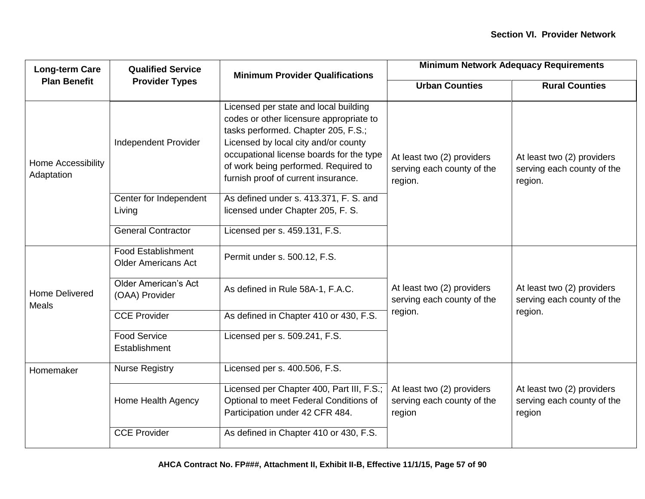| <b>Long-term Care</b>            | <b>Qualified Service</b>                                | <b>Minimum Provider Qualifications</b>                                                                                                                                                                                                                                                     | <b>Minimum Network Adequacy Requirements</b>                        |                                                                     |
|----------------------------------|---------------------------------------------------------|--------------------------------------------------------------------------------------------------------------------------------------------------------------------------------------------------------------------------------------------------------------------------------------------|---------------------------------------------------------------------|---------------------------------------------------------------------|
| <b>Plan Benefit</b>              | <b>Provider Types</b>                                   |                                                                                                                                                                                                                                                                                            | <b>Urban Counties</b>                                               | <b>Rural Counties</b>                                               |
| Home Accessibility<br>Adaptation | Independent Provider                                    | Licensed per state and local building<br>codes or other licensure appropriate to<br>tasks performed. Chapter 205, F.S.;<br>Licensed by local city and/or county<br>occupational license boards for the type<br>of work being performed. Required to<br>furnish proof of current insurance. | At least two (2) providers<br>serving each county of the<br>region. | At least two (2) providers<br>serving each county of the<br>region. |
|                                  | Center for Independent<br>Living                        | As defined under s. 413.371, F. S. and<br>licensed under Chapter 205, F. S.                                                                                                                                                                                                                |                                                                     |                                                                     |
|                                  | <b>General Contractor</b>                               | Licensed per s. 459.131, F.S.                                                                                                                                                                                                                                                              |                                                                     |                                                                     |
| <b>Home Delivered</b><br>Meals   | <b>Food Establishment</b><br><b>Older Americans Act</b> | Permit under s. 500.12, F.S.                                                                                                                                                                                                                                                               |                                                                     |                                                                     |
|                                  | <b>Older American's Act</b><br>(OAA) Provider           | As defined in Rule 58A-1, F.A.C.                                                                                                                                                                                                                                                           | At least two (2) providers<br>serving each county of the            | At least two (2) providers<br>serving each county of the            |
|                                  | <b>CCE Provider</b>                                     | As defined in Chapter 410 or 430, F.S.                                                                                                                                                                                                                                                     | region.                                                             | region.                                                             |
|                                  | <b>Food Service</b><br>Establishment                    | Licensed per s. 509.241, F.S.                                                                                                                                                                                                                                                              |                                                                     |                                                                     |
| Homemaker                        | <b>Nurse Registry</b>                                   | Licensed per s. 400.506, F.S.                                                                                                                                                                                                                                                              |                                                                     |                                                                     |
|                                  | Home Health Agency                                      | Licensed per Chapter 400, Part III, F.S.;<br>Optional to meet Federal Conditions of<br>Participation under 42 CFR 484.                                                                                                                                                                     | At least two (2) providers<br>serving each county of the<br>region  | At least two (2) providers<br>serving each county of the<br>region  |
|                                  | <b>CCE Provider</b>                                     | As defined in Chapter 410 or 430, F.S.                                                                                                                                                                                                                                                     |                                                                     |                                                                     |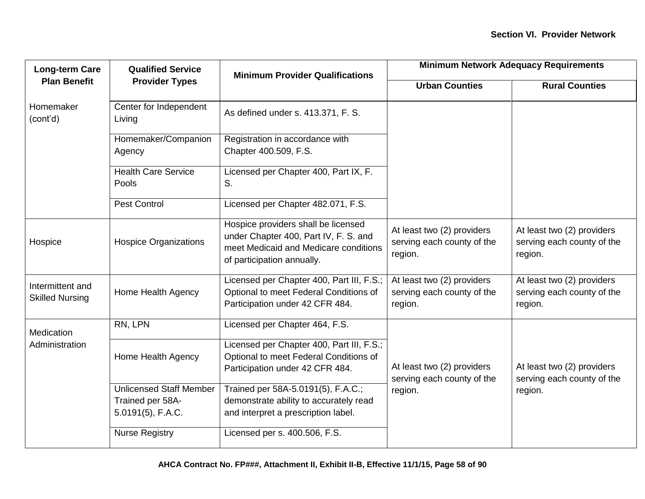| <b>Long-term Care</b>                      | <b>Qualified Service</b>                                                   | <b>Minimum Provider Qualifications</b>                                                                                                              | <b>Minimum Network Adequacy Requirements</b>                        |                                                                     |  |
|--------------------------------------------|----------------------------------------------------------------------------|-----------------------------------------------------------------------------------------------------------------------------------------------------|---------------------------------------------------------------------|---------------------------------------------------------------------|--|
| <b>Plan Benefit</b>                        | <b>Provider Types</b>                                                      |                                                                                                                                                     | <b>Urban Counties</b>                                               | <b>Rural Counties</b>                                               |  |
| Homemaker<br>(cont'd)                      | Center for Independent<br>Living                                           | As defined under s. 413.371, F. S.                                                                                                                  |                                                                     |                                                                     |  |
|                                            | Homemaker/Companion<br>Agency                                              | Registration in accordance with<br>Chapter 400.509, F.S.                                                                                            |                                                                     |                                                                     |  |
|                                            | <b>Health Care Service</b><br>Pools                                        | Licensed per Chapter 400, Part IX, F.<br>S.                                                                                                         |                                                                     |                                                                     |  |
|                                            | <b>Pest Control</b>                                                        | Licensed per Chapter 482.071, F.S.                                                                                                                  |                                                                     |                                                                     |  |
| Hospice                                    | <b>Hospice Organizations</b>                                               | Hospice providers shall be licensed<br>under Chapter 400, Part IV, F. S. and<br>meet Medicaid and Medicare conditions<br>of participation annually. | At least two (2) providers<br>serving each county of the<br>region. | At least two (2) providers<br>serving each county of the<br>region. |  |
| Intermittent and<br><b>Skilled Nursing</b> | Home Health Agency                                                         | Licensed per Chapter 400, Part III, F.S.;<br>Optional to meet Federal Conditions of<br>Participation under 42 CFR 484.                              | At least two (2) providers<br>serving each county of the<br>region. | At least two (2) providers<br>serving each county of the<br>region. |  |
| Medication                                 | RN, LPN                                                                    | Licensed per Chapter 464, F.S.                                                                                                                      |                                                                     |                                                                     |  |
| Administration                             | Home Health Agency                                                         | Licensed per Chapter 400, Part III, F.S.;<br>Optional to meet Federal Conditions of<br>Participation under 42 CFR 484.                              | At least two (2) providers<br>serving each county of the            | At least two (2) providers<br>serving each county of the            |  |
|                                            | <b>Unlicensed Staff Member</b><br>Trained per 58A-<br>$5.0191(5)$ , F.A.C. | Trained per 58A-5.0191(5), F.A.C.;<br>demonstrate ability to accurately read<br>and interpret a prescription label.                                 | region.                                                             | region.                                                             |  |
|                                            | <b>Nurse Registry</b>                                                      | Licensed per s. 400.506, F.S.                                                                                                                       |                                                                     |                                                                     |  |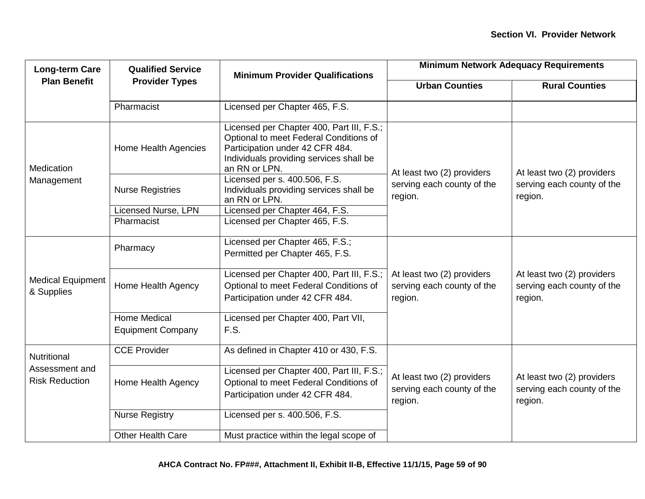| <b>Long-term Care</b>                   | <b>Qualified Service</b>                        | <b>Minimum Provider Qualifications</b>                                                                                                                                             | <b>Minimum Network Adequacy Requirements</b>                        |                                                                     |
|-----------------------------------------|-------------------------------------------------|------------------------------------------------------------------------------------------------------------------------------------------------------------------------------------|---------------------------------------------------------------------|---------------------------------------------------------------------|
| <b>Plan Benefit</b>                     | <b>Provider Types</b>                           |                                                                                                                                                                                    | <b>Urban Counties</b>                                               | <b>Rural Counties</b>                                               |
|                                         | Pharmacist                                      | Licensed per Chapter 465, F.S.                                                                                                                                                     |                                                                     |                                                                     |
| Medication                              | Home Health Agencies                            | Licensed per Chapter 400, Part III, F.S.;<br>Optional to meet Federal Conditions of<br>Participation under 42 CFR 484.<br>Individuals providing services shall be<br>an RN or LPN. | At least two (2) providers                                          | At least two (2) providers<br>serving each county of the<br>region. |
| Management                              | <b>Nurse Registries</b>                         | Licensed per s. 400.506, F.S.<br>Individuals providing services shall be<br>an RN or LPN.                                                                                          | serving each county of the<br>region.                               |                                                                     |
|                                         | <b>Licensed Nurse, LPN</b>                      | Licensed per Chapter 464, F.S.                                                                                                                                                     |                                                                     |                                                                     |
|                                         | Pharmacist                                      | Licensed per Chapter 465, F.S.                                                                                                                                                     |                                                                     |                                                                     |
|                                         | Pharmacy                                        | Licensed per Chapter 465, F.S.;<br>Permitted per Chapter 465, F.S.                                                                                                                 |                                                                     |                                                                     |
| <b>Medical Equipment</b><br>& Supplies  | Home Health Agency                              | Licensed per Chapter 400, Part III, F.S.;<br>Optional to meet Federal Conditions of<br>Participation under 42 CFR 484.                                                             | At least two (2) providers<br>serving each county of the<br>region. | At least two (2) providers<br>serving each county of the<br>region. |
|                                         | <b>Home Medical</b><br><b>Equipment Company</b> | Licensed per Chapter 400, Part VII,<br>F.S.                                                                                                                                        |                                                                     |                                                                     |
| Nutritional                             | <b>CCE Provider</b>                             | As defined in Chapter 410 or 430, F.S.                                                                                                                                             |                                                                     |                                                                     |
| Assessment and<br><b>Risk Reduction</b> | Home Health Agency                              | Licensed per Chapter 400, Part III, F.S.;<br>Optional to meet Federal Conditions of<br>Participation under 42 CFR 484.                                                             | At least two (2) providers<br>serving each county of the<br>region. | At least two (2) providers<br>serving each county of the<br>region. |
|                                         | <b>Nurse Registry</b>                           | Licensed per s. 400.506, F.S.                                                                                                                                                      |                                                                     |                                                                     |
|                                         | <b>Other Health Care</b>                        | Must practice within the legal scope of                                                                                                                                            |                                                                     |                                                                     |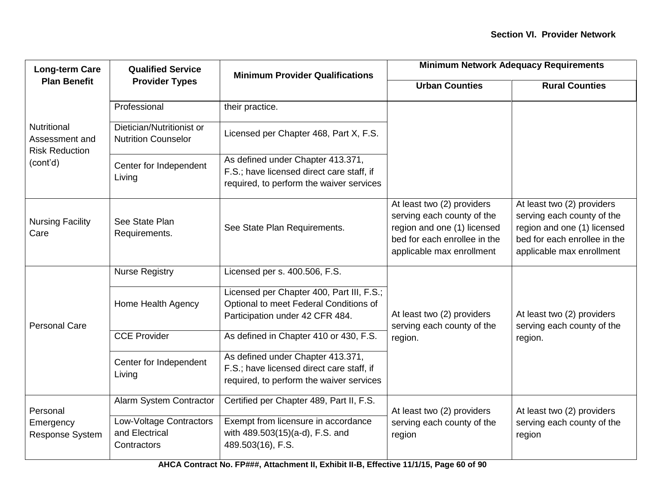| <b>Long-term Care</b>                                         | <b>Qualified Service</b>                                 | <b>Minimum Provider Qualifications</b>                                                                                     | <b>Minimum Network Adequacy Requirements</b>                                                                                                         |                                                                                                                                                      |
|---------------------------------------------------------------|----------------------------------------------------------|----------------------------------------------------------------------------------------------------------------------------|------------------------------------------------------------------------------------------------------------------------------------------------------|------------------------------------------------------------------------------------------------------------------------------------------------------|
| <b>Plan Benefit</b>                                           | <b>Provider Types</b>                                    |                                                                                                                            | <b>Urban Counties</b>                                                                                                                                | <b>Rural Counties</b>                                                                                                                                |
|                                                               | Professional                                             | their practice.                                                                                                            |                                                                                                                                                      |                                                                                                                                                      |
| <b>Nutritional</b><br>Assessment and<br><b>Risk Reduction</b> | Dietician/Nutritionist or<br><b>Nutrition Counselor</b>  | Licensed per Chapter 468, Part X, F.S.                                                                                     |                                                                                                                                                      |                                                                                                                                                      |
| (cont'd)                                                      | Center for Independent<br>Living                         | As defined under Chapter 413.371,<br>F.S.; have licensed direct care staff, if<br>required, to perform the waiver services |                                                                                                                                                      |                                                                                                                                                      |
| <b>Nursing Facility</b><br>Care                               | See State Plan<br>Requirements.                          | See State Plan Requirements.                                                                                               | At least two (2) providers<br>serving each county of the<br>region and one (1) licensed<br>bed for each enrollee in the<br>applicable max enrollment | At least two (2) providers<br>serving each county of the<br>region and one (1) licensed<br>bed for each enrollee in the<br>applicable max enrollment |
| <b>Personal Care</b>                                          | <b>Nurse Registry</b>                                    | Licensed per s. 400.506, F.S.                                                                                              |                                                                                                                                                      |                                                                                                                                                      |
|                                                               | Home Health Agency                                       | Licensed per Chapter 400, Part III, F.S.;<br>Optional to meet Federal Conditions of<br>Participation under 42 CFR 484.     | At least two (2) providers<br>serving each county of the<br>region.                                                                                  | At least two (2) providers<br>serving each county of the<br>region.                                                                                  |
|                                                               | <b>CCE Provider</b>                                      | As defined in Chapter 410 or 430, F.S.                                                                                     |                                                                                                                                                      |                                                                                                                                                      |
|                                                               | Center for Independent<br>Living                         | As defined under Chapter 413.371,<br>F.S.; have licensed direct care staff, if<br>required, to perform the waiver services |                                                                                                                                                      |                                                                                                                                                      |
| Personal                                                      | Alarm System Contractor                                  | Certified per Chapter 489, Part II, F.S.                                                                                   | At least two (2) providers                                                                                                                           | At least two (2) providers                                                                                                                           |
| Emergency<br>Response System                                  | Low-Voltage Contractors<br>and Electrical<br>Contractors | Exempt from licensure in accordance<br>with 489.503(15)(a-d), F.S. and<br>489.503(16), F.S.                                | serving each county of the<br>region                                                                                                                 | serving each county of the<br>region                                                                                                                 |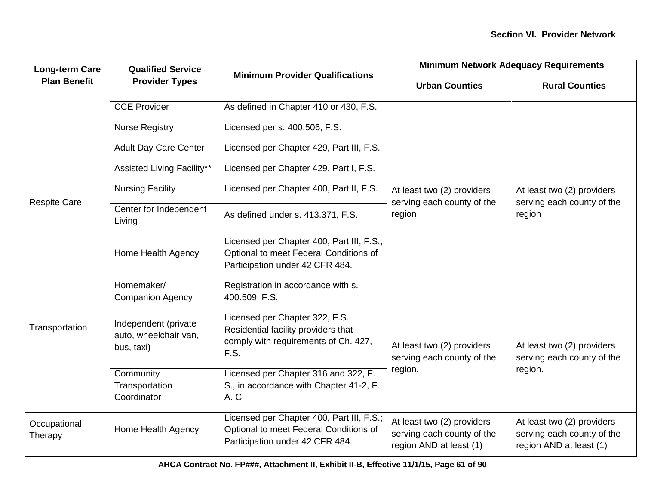| <b>Long-term Care</b>   | <b>Qualified Service</b>                                    | <b>Minimum Provider Qualifications</b>                                                                                 | <b>Minimum Network Adequacy Requirements</b>                                        |                                                                                     |
|-------------------------|-------------------------------------------------------------|------------------------------------------------------------------------------------------------------------------------|-------------------------------------------------------------------------------------|-------------------------------------------------------------------------------------|
| <b>Plan Benefit</b>     | <b>Provider Types</b>                                       |                                                                                                                        | <b>Urban Counties</b>                                                               | <b>Rural Counties</b>                                                               |
|                         | <b>CCE Provider</b>                                         | As defined in Chapter 410 or 430, F.S.                                                                                 |                                                                                     |                                                                                     |
|                         | <b>Nurse Registry</b>                                       | Licensed per s. 400.506, F.S.                                                                                          |                                                                                     |                                                                                     |
|                         | <b>Adult Day Care Center</b>                                | Licensed per Chapter 429, Part III, F.S.                                                                               |                                                                                     |                                                                                     |
|                         | Assisted Living Facility**                                  | Licensed per Chapter 429, Part I, F.S.                                                                                 |                                                                                     |                                                                                     |
|                         | <b>Nursing Facility</b>                                     | Licensed per Chapter 400, Part II, F.S.                                                                                | At least two (2) providers                                                          | At least two (2) providers<br>serving each county of the<br>region                  |
| <b>Respite Care</b>     | Center for Independent<br>Living                            | As defined under s. 413.371, F.S.                                                                                      | serving each county of the<br>region                                                |                                                                                     |
|                         | Home Health Agency                                          | Licensed per Chapter 400, Part III, F.S.;<br>Optional to meet Federal Conditions of<br>Participation under 42 CFR 484. |                                                                                     |                                                                                     |
|                         | Homemaker/<br><b>Companion Agency</b>                       | Registration in accordance with s.<br>400.509, F.S.                                                                    |                                                                                     |                                                                                     |
| Transportation          | Independent (private<br>auto, wheelchair van,<br>bus, taxi) | Licensed per Chapter 322, F.S.;<br>Residential facility providers that<br>comply with requirements of Ch. 427,<br>F.S. | At least two (2) providers<br>serving each county of the                            | At least two (2) providers<br>serving each county of the                            |
|                         | Community<br>Transportation<br>Coordinator                  | Licensed per Chapter 316 and 322, F.<br>S., in accordance with Chapter 41-2, F.<br>A.C                                 | region.                                                                             | region.                                                                             |
| Occupational<br>Therapy | Home Health Agency                                          | Licensed per Chapter 400, Part III, F.S.;<br>Optional to meet Federal Conditions of<br>Participation under 42 CFR 484. | At least two (2) providers<br>serving each county of the<br>region AND at least (1) | At least two (2) providers<br>serving each county of the<br>region AND at least (1) |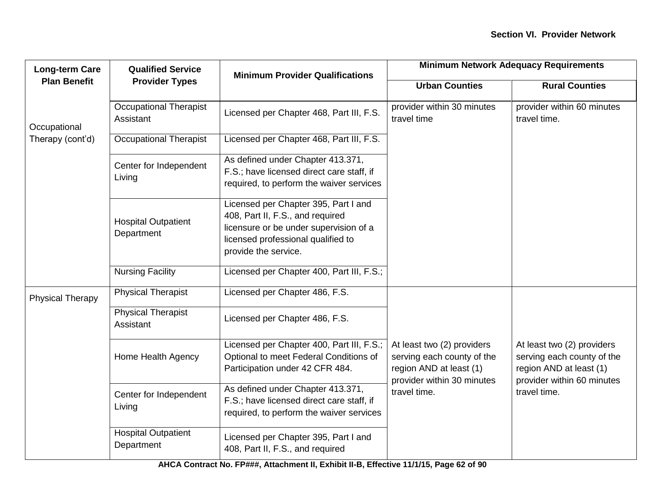| <b>Long-term Care</b>   | <b>Qualified Service</b>                   | <b>Minimum Provider Qualifications</b>                                                                                                                                           | <b>Minimum Network Adequacy Requirements</b>                                                                      |                                                                                                                   |
|-------------------------|--------------------------------------------|----------------------------------------------------------------------------------------------------------------------------------------------------------------------------------|-------------------------------------------------------------------------------------------------------------------|-------------------------------------------------------------------------------------------------------------------|
| <b>Plan Benefit</b>     | <b>Provider Types</b>                      |                                                                                                                                                                                  | <b>Urban Counties</b>                                                                                             | <b>Rural Counties</b>                                                                                             |
| Occupational            | <b>Occupational Therapist</b><br>Assistant | Licensed per Chapter 468, Part III, F.S.                                                                                                                                         | provider within 30 minutes<br>travel time                                                                         | provider within 60 minutes<br>travel time.                                                                        |
| Therapy (cont'd)        | <b>Occupational Therapist</b>              | Licensed per Chapter 468, Part III, F.S.                                                                                                                                         |                                                                                                                   |                                                                                                                   |
|                         | Center for Independent<br>Living           | As defined under Chapter 413.371,<br>F.S.; have licensed direct care staff, if<br>required, to perform the waiver services                                                       |                                                                                                                   |                                                                                                                   |
|                         | <b>Hospital Outpatient</b><br>Department   | Licensed per Chapter 395, Part I and<br>408, Part II, F.S., and required<br>licensure or be under supervision of a<br>licensed professional qualified to<br>provide the service. |                                                                                                                   |                                                                                                                   |
|                         | <b>Nursing Facility</b>                    | Licensed per Chapter 400, Part III, F.S.;                                                                                                                                        |                                                                                                                   |                                                                                                                   |
| <b>Physical Therapy</b> | <b>Physical Therapist</b>                  | Licensed per Chapter 486, F.S.                                                                                                                                                   |                                                                                                                   |                                                                                                                   |
|                         | <b>Physical Therapist</b><br>Assistant     | Licensed per Chapter 486, F.S.                                                                                                                                                   |                                                                                                                   |                                                                                                                   |
|                         | Home Health Agency                         | Licensed per Chapter 400, Part III, F.S.;<br>Optional to meet Federal Conditions of<br>Participation under 42 CFR 484.                                                           | At least two (2) providers<br>serving each county of the<br>region AND at least (1)<br>provider within 30 minutes | At least two (2) providers<br>serving each county of the<br>region AND at least (1)<br>provider within 60 minutes |
|                         | Center for Independent<br>Living           | As defined under Chapter 413.371,<br>F.S.; have licensed direct care staff, if<br>required, to perform the waiver services                                                       | travel time.                                                                                                      | travel time.                                                                                                      |
|                         | <b>Hospital Outpatient</b><br>Department   | Licensed per Chapter 395, Part I and<br>408, Part II, F.S., and required                                                                                                         |                                                                                                                   |                                                                                                                   |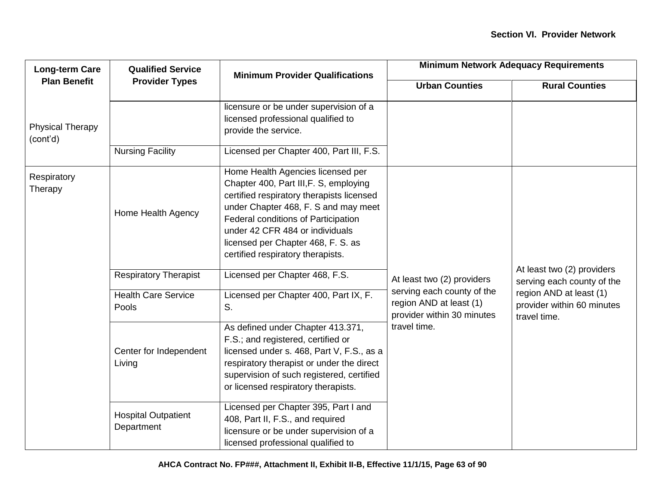| <b>Long-term Care</b><br><b>Plan Benefit</b> | <b>Qualified Service</b>                 | <b>Minimum Provider Qualifications</b>                                                                                                                                                                                                                                                                                | <b>Minimum Network Adequacy Requirements</b>                                        |                                                                       |
|----------------------------------------------|------------------------------------------|-----------------------------------------------------------------------------------------------------------------------------------------------------------------------------------------------------------------------------------------------------------------------------------------------------------------------|-------------------------------------------------------------------------------------|-----------------------------------------------------------------------|
|                                              | <b>Provider Types</b>                    |                                                                                                                                                                                                                                                                                                                       | <b>Urban Counties</b>                                                               | <b>Rural Counties</b>                                                 |
| <b>Physical Therapy</b><br>(cont'd)          |                                          | licensure or be under supervision of a<br>licensed professional qualified to<br>provide the service.                                                                                                                                                                                                                  |                                                                                     |                                                                       |
|                                              | <b>Nursing Facility</b>                  | Licensed per Chapter 400, Part III, F.S.                                                                                                                                                                                                                                                                              |                                                                                     |                                                                       |
| Respiratory<br>Therapy                       | Home Health Agency                       | Home Health Agencies licensed per<br>Chapter 400, Part III, F. S, employing<br>certified respiratory therapists licensed<br>under Chapter 468, F. S and may meet<br>Federal conditions of Participation<br>under 42 CFR 484 or individuals<br>licensed per Chapter 468, F. S. as<br>certified respiratory therapists. | At least two (2) providers                                                          |                                                                       |
|                                              | <b>Respiratory Therapist</b>             | Licensed per Chapter 468, F.S.                                                                                                                                                                                                                                                                                        |                                                                                     | At least two (2) providers<br>serving each county of the              |
|                                              | <b>Health Care Service</b><br>Pools      | Licensed per Chapter 400, Part IX, F.<br>S.                                                                                                                                                                                                                                                                           | serving each county of the<br>region AND at least (1)<br>provider within 30 minutes | region AND at least (1)<br>provider within 60 minutes<br>travel time. |
|                                              | Center for Independent<br>Living         | As defined under Chapter 413.371,<br>F.S.; and registered, certified or<br>licensed under s. 468, Part V, F.S., as a<br>respiratory therapist or under the direct<br>supervision of such registered, certified<br>or licensed respiratory therapists.                                                                 | travel time.                                                                        |                                                                       |
|                                              | <b>Hospital Outpatient</b><br>Department | Licensed per Chapter 395, Part I and<br>408, Part II, F.S., and required<br>licensure or be under supervision of a<br>licensed professional qualified to                                                                                                                                                              |                                                                                     |                                                                       |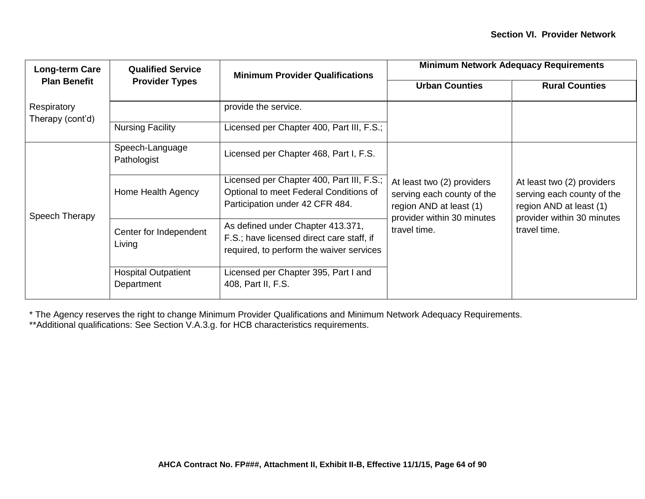| <b>Long-term Care</b>           | <b>Qualified Service</b>                 | <b>Minimum Provider Qualifications</b>                                                                                     | <b>Minimum Network Adequacy Requirements</b>                                                                                      |                                                                                                                                   |
|---------------------------------|------------------------------------------|----------------------------------------------------------------------------------------------------------------------------|-----------------------------------------------------------------------------------------------------------------------------------|-----------------------------------------------------------------------------------------------------------------------------------|
| <b>Plan Benefit</b>             | <b>Provider Types</b>                    |                                                                                                                            | <b>Urban Counties</b>                                                                                                             | <b>Rural Counties</b>                                                                                                             |
| Respiratory<br>Therapy (cont'd) |                                          | provide the service.                                                                                                       |                                                                                                                                   |                                                                                                                                   |
|                                 | <b>Nursing Facility</b>                  | Licensed per Chapter 400, Part III, F.S.;                                                                                  |                                                                                                                                   |                                                                                                                                   |
| Speech Therapy                  | Speech-Language<br>Pathologist           | Licensed per Chapter 468, Part I, F.S.                                                                                     |                                                                                                                                   |                                                                                                                                   |
|                                 | Home Health Agency                       | Licensed per Chapter 400, Part III, F.S.;<br>Optional to meet Federal Conditions of<br>Participation under 42 CFR 484.     | At least two (2) providers<br>serving each county of the<br>region AND at least (1)<br>provider within 30 minutes<br>travel time. | At least two (2) providers<br>serving each county of the<br>region AND at least (1)<br>provider within 30 minutes<br>travel time. |
|                                 | Center for Independent<br>Living         | As defined under Chapter 413.371,<br>F.S.; have licensed direct care staff, if<br>required, to perform the waiver services |                                                                                                                                   |                                                                                                                                   |
|                                 | <b>Hospital Outpatient</b><br>Department | Licensed per Chapter 395, Part I and<br>408, Part II, F.S.                                                                 |                                                                                                                                   |                                                                                                                                   |

\* The Agency reserves the right to change Minimum Provider Qualifications and Minimum Network Adequacy Requirements.

\*\*Additional qualifications: See Section V.A.3.g. for HCB characteristics requirements.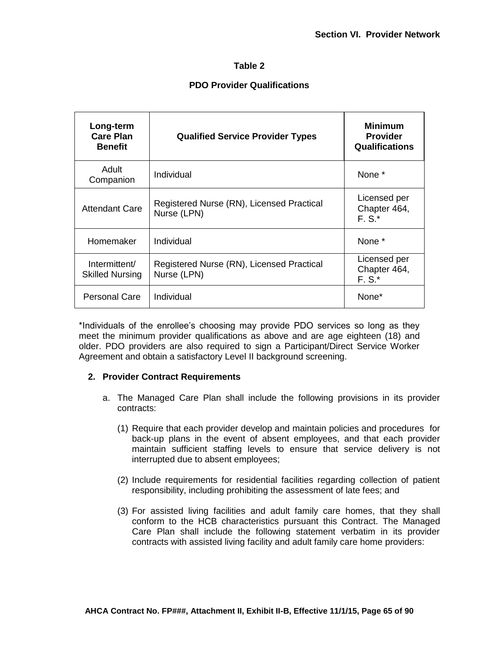## **Table 2**

## **PDO Provider Qualifications**

| Long-term<br><b>Care Plan</b><br><b>Benefit</b> | <b>Qualified Service Provider Types</b>                  | <b>Minimum</b><br><b>Provider</b><br><b>Qualifications</b> |
|-------------------------------------------------|----------------------------------------------------------|------------------------------------------------------------|
| Adult<br>Companion                              | Individual                                               | None *                                                     |
| <b>Attendant Care</b>                           | Registered Nurse (RN), Licensed Practical<br>Nurse (LPN) | Licensed per<br>Chapter 464,<br>$F.S.*$                    |
| Homemaker                                       | Individual                                               | None *                                                     |
| Intermittent/<br><b>Skilled Nursing</b>         | Registered Nurse (RN), Licensed Practical<br>Nurse (LPN) | Licensed per<br>Chapter 464,<br>$F.S.*$                    |
| <b>Personal Care</b>                            | Individual                                               | None*                                                      |

\*Individuals of the enrollee's choosing may provide PDO services so long as they meet the minimum provider qualifications as above and are age eighteen (18) and older. PDO providers are also required to sign a Participant/Direct Service Worker Agreement and obtain a satisfactory Level II background screening.

#### **2. Provider Contract Requirements**

- a. The Managed Care Plan shall include the following provisions in its provider contracts:
	- (1) Require that each provider develop and maintain policies and procedures for back-up plans in the event of absent employees, and that each provider maintain sufficient staffing levels to ensure that service delivery is not interrupted due to absent employees;
	- (2) Include requirements for residential facilities regarding collection of patient responsibility, including prohibiting the assessment of late fees; and
	- (3) For assisted living facilities and adult family care homes, that they shall conform to the HCB characteristics pursuant this Contract. The Managed Care Plan shall include the following statement verbatim in its provider contracts with assisted living facility and adult family care home providers: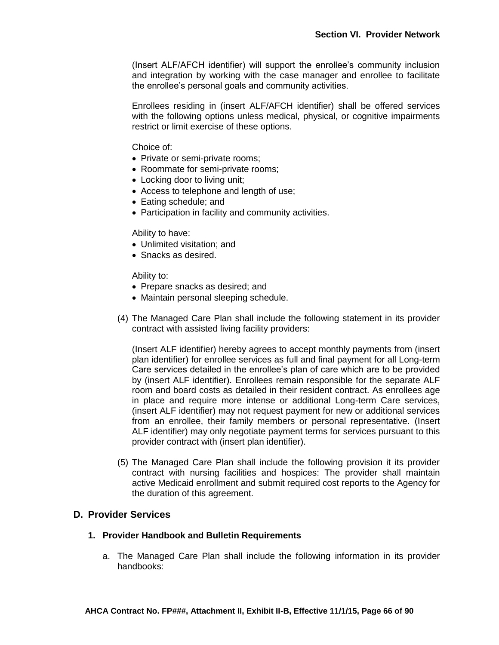(Insert ALF/AFCH identifier) will support the enrollee's community inclusion and integration by working with the case manager and enrollee to facilitate the enrollee's personal goals and community activities.

Enrollees residing in (insert ALF/AFCH identifier) shall be offered services with the following options unless medical, physical, or cognitive impairments restrict or limit exercise of these options.

Choice of:

- Private or semi-private rooms;
- Roommate for semi-private rooms;
- Locking door to living unit;
- Access to telephone and length of use;
- Eating schedule; and
- Participation in facility and community activities.

Ability to have:

- Unlimited visitation: and
- Snacks as desired.

Ability to:

- Prepare snacks as desired; and
- Maintain personal sleeping schedule.
- (4) The Managed Care Plan shall include the following statement in its provider contract with assisted living facility providers:

(Insert ALF identifier) hereby agrees to accept monthly payments from (insert plan identifier) for enrollee services as full and final payment for all Long-term Care services detailed in the enrollee's plan of care which are to be provided by (insert ALF identifier). Enrollees remain responsible for the separate ALF room and board costs as detailed in their resident contract. As enrollees age in place and require more intense or additional Long-term Care services, (insert ALF identifier) may not request payment for new or additional services from an enrollee, their family members or personal representative. (Insert ALF identifier) may only negotiate payment terms for services pursuant to this provider contract with (insert plan identifier).

(5) The Managed Care Plan shall include the following provision it its provider contract with nursing facilities and hospices: The provider shall maintain active Medicaid enrollment and submit required cost reports to the Agency for the duration of this agreement.

#### **D. Provider Services**

#### **1. Provider Handbook and Bulletin Requirements**

a. The Managed Care Plan shall include the following information in its provider handbooks: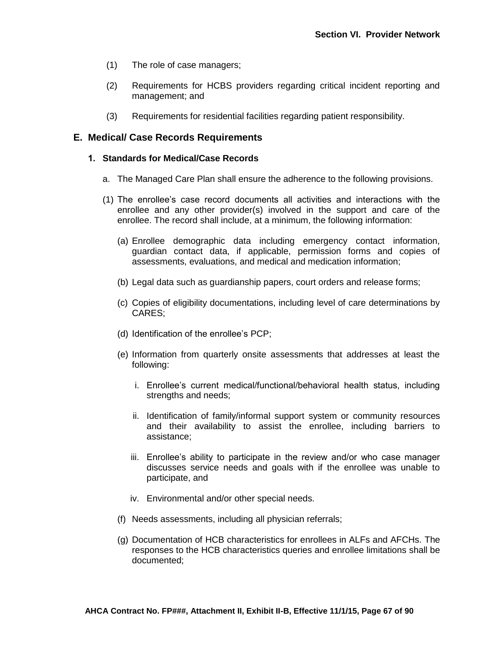- (1) The role of case managers;
- (2) Requirements for HCBS providers regarding critical incident reporting and management; and
- (3) Requirements for residential facilities regarding patient responsibility.

## **E. Medical/ Case Records Requirements**

#### **1. Standards for Medical/Case Records**

- a. The Managed Care Plan shall ensure the adherence to the following provisions.
- (1) The enrollee's case record documents all activities and interactions with the enrollee and any other provider(s) involved in the support and care of the enrollee. The record shall include, at a minimum, the following information:
	- (a) Enrollee demographic data including emergency contact information, guardian contact data, if applicable, permission forms and copies of assessments, evaluations, and medical and medication information;
	- (b) Legal data such as guardianship papers, court orders and release forms;
	- (c) Copies of eligibility documentations, including level of care determinations by CARES;
	- (d) Identification of the enrollee's PCP;
	- (e) Information from quarterly onsite assessments that addresses at least the following:
		- i. Enrollee's current medical/functional/behavioral health status, including strengths and needs;
		- ii. Identification of family/informal support system or community resources and their availability to assist the enrollee, including barriers to assistance;
		- iii. Enrollee's ability to participate in the review and/or who case manager discusses service needs and goals with if the enrollee was unable to participate, and
		- iv. Environmental and/or other special needs.
	- (f) Needs assessments, including all physician referrals;
	- (g) Documentation of HCB characteristics for enrollees in ALFs and AFCHs. The responses to the HCB characteristics queries and enrollee limitations shall be documented;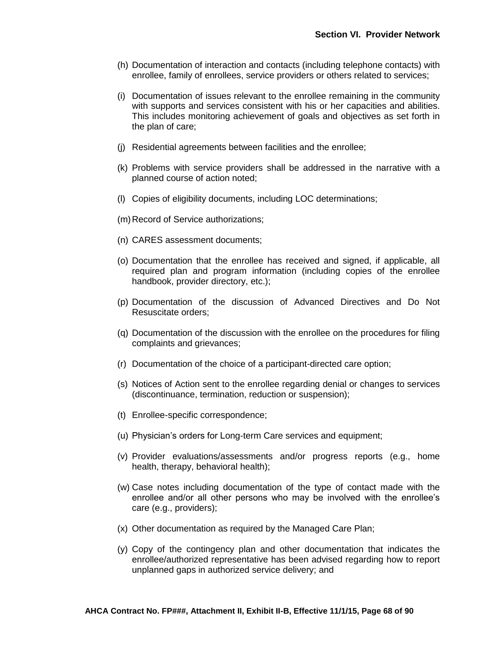- (h) Documentation of interaction and contacts (including telephone contacts) with enrollee, family of enrollees, service providers or others related to services;
- (i) Documentation of issues relevant to the enrollee remaining in the community with supports and services consistent with his or her capacities and abilities. This includes monitoring achievement of goals and objectives as set forth in the plan of care;
- (j) Residential agreements between facilities and the enrollee;
- (k) Problems with service providers shall be addressed in the narrative with a planned course of action noted;
- (l) Copies of eligibility documents, including LOC determinations;
- (m) Record of Service authorizations;
- (n) CARES assessment documents;
- (o) Documentation that the enrollee has received and signed, if applicable, all required plan and program information (including copies of the enrollee handbook, provider directory, etc.);
- (p) Documentation of the discussion of Advanced Directives and Do Not Resuscitate orders;
- (q) Documentation of the discussion with the enrollee on the procedures for filing complaints and grievances;
- (r) Documentation of the choice of a participant-directed care option;
- (s) Notices of Action sent to the enrollee regarding denial or changes to services (discontinuance, termination, reduction or suspension);
- (t) Enrollee-specific correspondence;
- (u) Physician's orders for Long-term Care services and equipment;
- (v) Provider evaluations/assessments and/or progress reports (e.g., home health, therapy, behavioral health);
- (w) Case notes including documentation of the type of contact made with the enrollee and/or all other persons who may be involved with the enrollee's care (e.g., providers);
- (x) Other documentation as required by the Managed Care Plan;
- (y) Copy of the contingency plan and other documentation that indicates the enrollee/authorized representative has been advised regarding how to report unplanned gaps in authorized service delivery; and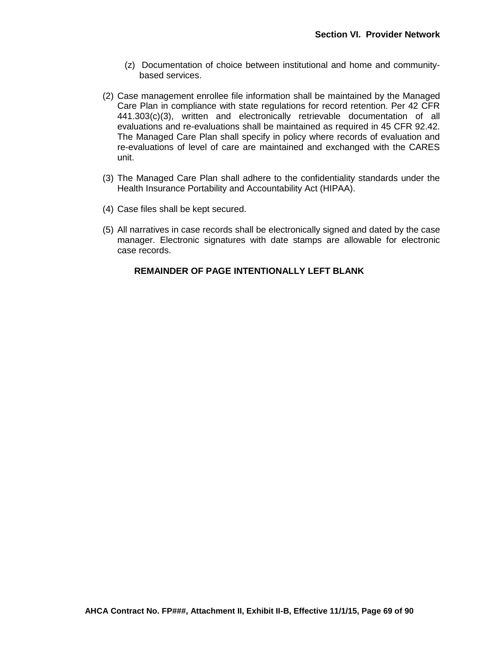- (z) Documentation of choice between institutional and home and communitybased services.
- (2) Case management enrollee file information shall be maintained by the Managed Care Plan in compliance with state regulations for record retention. Per 42 CFR 441.303(c)(3), written and electronically retrievable documentation of all evaluations and re-evaluations shall be maintained as required in 45 CFR 92.42. The Managed Care Plan shall specify in policy where records of evaluation and re-evaluations of level of care are maintained and exchanged with the CARES unit.
- (3) The Managed Care Plan shall adhere to the confidentiality standards under the Health Insurance Portability and Accountability Act (HIPAA).
- (4) Case files shall be kept secured.
- (5) All narratives in case records shall be electronically signed and dated by the case manager. Electronic signatures with date stamps are allowable for electronic case records.

### **REMAINDER OF PAGE INTENTIONALLY LEFT BLANK**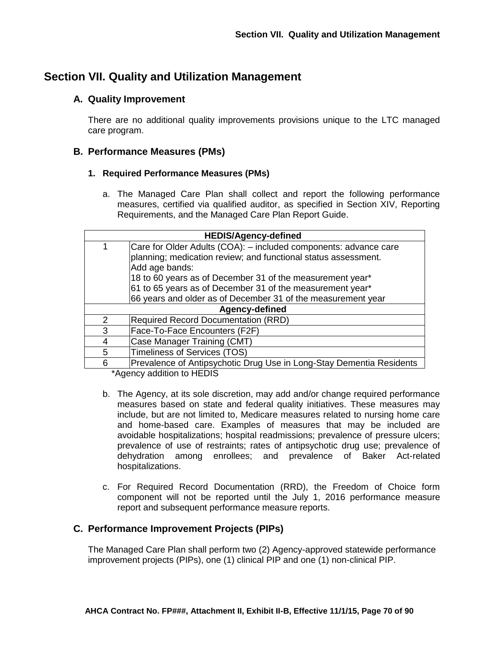# **Section VII. Quality and Utilization Management**

## **A. Quality Improvement**

There are no additional quality improvements provisions unique to the LTC managed care program.

## **B. Performance Measures (PMs)**

## **1. Required Performance Measures (PMs)**

a. The Managed Care Plan shall collect and report the following performance measures, certified via qualified auditor, as specified in Section XIV, Reporting Requirements, and the Managed Care Plan Report Guide.

| <b>HEDIS/Agency-defined</b> |                                                                      |  |  |  |
|-----------------------------|----------------------------------------------------------------------|--|--|--|
| 1                           | Care for Older Adults (COA): - included components: advance care     |  |  |  |
|                             | planning; medication review; and functional status assessment.       |  |  |  |
|                             | Add age bands:                                                       |  |  |  |
|                             | 18 to 60 years as of December 31 of the measurement year*            |  |  |  |
|                             | 61 to 65 years as of December 31 of the measurement year*            |  |  |  |
|                             | 66 years and older as of December 31 of the measurement year         |  |  |  |
| Agency-defined              |                                                                      |  |  |  |
| $\mathcal{P}$               | <b>Required Record Documentation (RRD)</b>                           |  |  |  |
| 3                           | Face-To-Face Encounters (F2F)                                        |  |  |  |
| 4                           | Case Manager Training (CMT)                                          |  |  |  |
| 5                           | <b>Timeliness of Services (TOS)</b>                                  |  |  |  |
| 6                           | Prevalence of Antipsychotic Drug Use in Long-Stay Dementia Residents |  |  |  |

\*Agency addition to HEDIS

- b. The Agency, at its sole discretion, may add and/or change required performance measures based on state and federal quality initiatives. These measures may include, but are not limited to, Medicare measures related to nursing home care and home-based care. Examples of measures that may be included are avoidable hospitalizations; hospital readmissions; prevalence of pressure ulcers; prevalence of use of restraints; rates of antipsychotic drug use; prevalence of dehydration among enrollees; and prevalence of Baker Act-related hospitalizations.
- c. For Required Record Documentation (RRD), the Freedom of Choice form component will not be reported until the July 1, 2016 performance measure report and subsequent performance measure reports.

## **C. Performance Improvement Projects (PIPs)**

The Managed Care Plan shall perform two (2) Agency-approved statewide performance improvement projects (PIPs), one (1) clinical PIP and one (1) non-clinical PIP.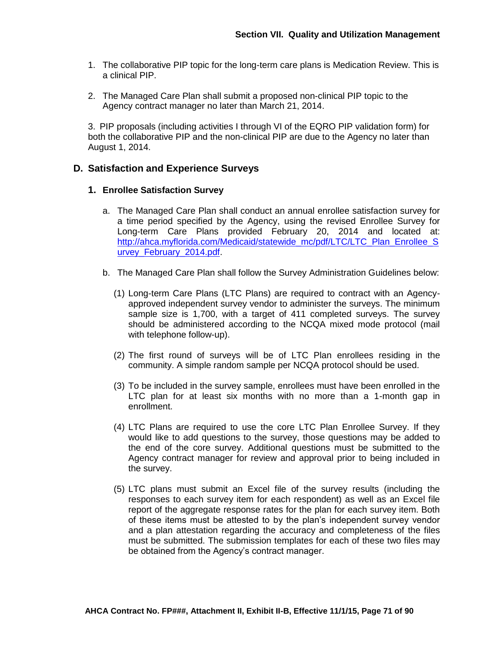- 1. The collaborative PIP topic for the long-term care plans is Medication Review. This is a clinical PIP.
- 2. The Managed Care Plan shall submit a proposed non-clinical PIP topic to the Agency contract manager no later than March 21, 2014.

3. PIP proposals (including activities I through VI of the EQRO PIP validation form) for both the collaborative PIP and the non-clinical PIP are due to the Agency no later than August 1, 2014.

## **D. Satisfaction and Experience Surveys**

### **1. Enrollee Satisfaction Survey**

- a. The Managed Care Plan shall conduct an annual enrollee satisfaction survey for a time period specified by the Agency, using the revised Enrollee Survey for Long-term Care Plans provided February 20, 2014 and located at: [http://ahca.myflorida.com/Medicaid/statewide\\_mc/pdf/LTC/LTC\\_Plan\\_Enrollee\\_S](http://ahca.myflorida.com/Medicaid/statewide_mc/pdf/LTC/LTC_Plan_Enrollee_Survey_February_2014.pdf) [urvey\\_February\\_2014.pdf.](http://ahca.myflorida.com/Medicaid/statewide_mc/pdf/LTC/LTC_Plan_Enrollee_Survey_February_2014.pdf)
- b. The Managed Care Plan shall follow the Survey Administration Guidelines below:
	- (1) Long-term Care Plans (LTC Plans) are required to contract with an Agencyapproved independent survey vendor to administer the surveys. The minimum sample size is 1,700, with a target of 411 completed surveys. The survey should be administered according to the NCQA mixed mode protocol (mail with telephone follow-up).
	- (2) The first round of surveys will be of LTC Plan enrollees residing in the community. A simple random sample per NCQA protocol should be used.
	- (3) To be included in the survey sample, enrollees must have been enrolled in the LTC plan for at least six months with no more than a 1-month gap in enrollment.
	- (4) LTC Plans are required to use the core LTC Plan Enrollee Survey. If they would like to add questions to the survey, those questions may be added to the end of the core survey. Additional questions must be submitted to the Agency contract manager for review and approval prior to being included in the survey.
	- (5) LTC plans must submit an Excel file of the survey results (including the responses to each survey item for each respondent) as well as an Excel file report of the aggregate response rates for the plan for each survey item. Both of these items must be attested to by the plan's independent survey vendor and a plan attestation regarding the accuracy and completeness of the files must be submitted. The submission templates for each of these two files may be obtained from the Agency's contract manager.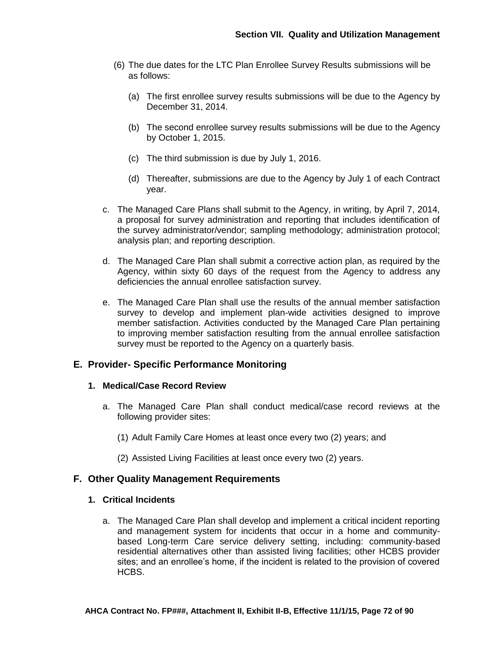- (6) The due dates for the LTC Plan Enrollee Survey Results submissions will be as follows:
	- (a) The first enrollee survey results submissions will be due to the Agency by December 31, 2014.
	- (b) The second enrollee survey results submissions will be due to the Agency by October 1, 2015.
	- (c) The third submission is due by July 1, 2016.
	- (d) Thereafter, submissions are due to the Agency by July 1 of each Contract year.
- c. The Managed Care Plans shall submit to the Agency, in writing, by April 7, 2014, a proposal for survey administration and reporting that includes identification of the survey administrator/vendor; sampling methodology; administration protocol; analysis plan; and reporting description.
- d. The Managed Care Plan shall submit a corrective action plan, as required by the Agency, within sixty 60 days of the request from the Agency to address any deficiencies the annual enrollee satisfaction survey.
- e. The Managed Care Plan shall use the results of the annual member satisfaction survey to develop and implement plan-wide activities designed to improve member satisfaction. Activities conducted by the Managed Care Plan pertaining to improving member satisfaction resulting from the annual enrollee satisfaction survey must be reported to the Agency on a quarterly basis.

## **E. Provider- Specific Performance Monitoring**

### **1. Medical/Case Record Review**

- a. The Managed Care Plan shall conduct medical/case record reviews at the following provider sites:
	- (1) Adult Family Care Homes at least once every two (2) years; and
	- (2) Assisted Living Facilities at least once every two (2) years.

## **F. Other Quality Management Requirements**

#### **1. Critical Incidents**

a. The Managed Care Plan shall develop and implement a critical incident reporting and management system for incidents that occur in a home and communitybased Long-term Care service delivery setting, including: community-based residential alternatives other than assisted living facilities; other HCBS provider sites; and an enrollee's home, if the incident is related to the provision of covered HCBS.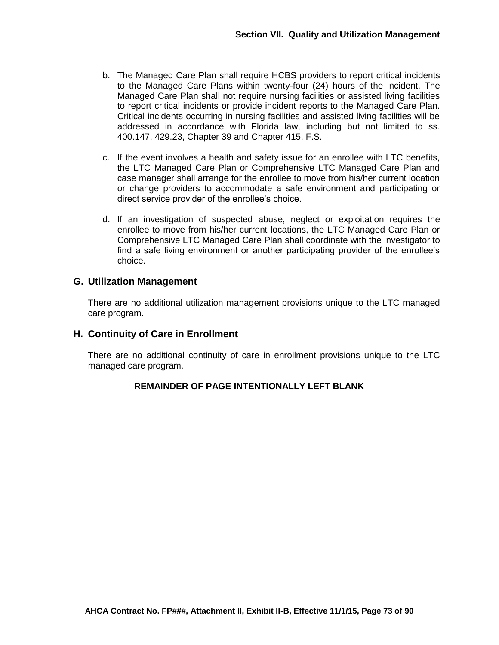- b. The Managed Care Plan shall require HCBS providers to report critical incidents to the Managed Care Plans within twenty-four (24) hours of the incident. The Managed Care Plan shall not require nursing facilities or assisted living facilities to report critical incidents or provide incident reports to the Managed Care Plan. Critical incidents occurring in nursing facilities and assisted living facilities will be addressed in accordance with Florida law, including but not limited to ss. 400.147, 429.23, Chapter 39 and Chapter 415, F.S.
- c. If the event involves a health and safety issue for an enrollee with LTC benefits, the LTC Managed Care Plan or Comprehensive LTC Managed Care Plan and case manager shall arrange for the enrollee to move from his/her current location or change providers to accommodate a safe environment and participating or direct service provider of the enrollee's choice.
- d. If an investigation of suspected abuse, neglect or exploitation requires the enrollee to move from his/her current locations, the LTC Managed Care Plan or Comprehensive LTC Managed Care Plan shall coordinate with the investigator to find a safe living environment or another participating provider of the enrollee's choice.

# **G. Utilization Management**

There are no additional utilization management provisions unique to the LTC managed care program.

#### **H. Continuity of Care in Enrollment**

There are no additional continuity of care in enrollment provisions unique to the LTC managed care program.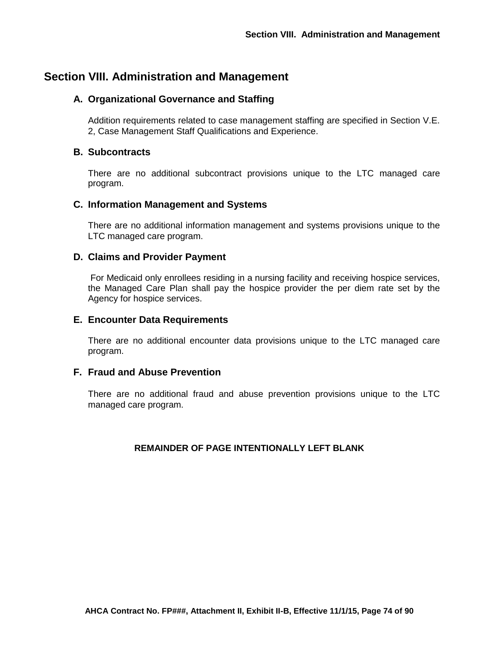# **Section VIII. Administration and Management**

# **A. Organizational Governance and Staffing**

Addition requirements related to case management staffing are specified in Section V.E. 2, Case Management Staff Qualifications and Experience.

## **B. Subcontracts**

There are no additional subcontract provisions unique to the LTC managed care program.

## **C. Information Management and Systems**

There are no additional information management and systems provisions unique to the LTC managed care program.

### **D. Claims and Provider Payment**

For Medicaid only enrollees residing in a nursing facility and receiving hospice services, the Managed Care Plan shall pay the hospice provider the per diem rate set by the Agency for hospice services.

#### **E. Encounter Data Requirements**

There are no additional encounter data provisions unique to the LTC managed care program.

#### **F. Fraud and Abuse Prevention**

There are no additional fraud and abuse prevention provisions unique to the LTC managed care program.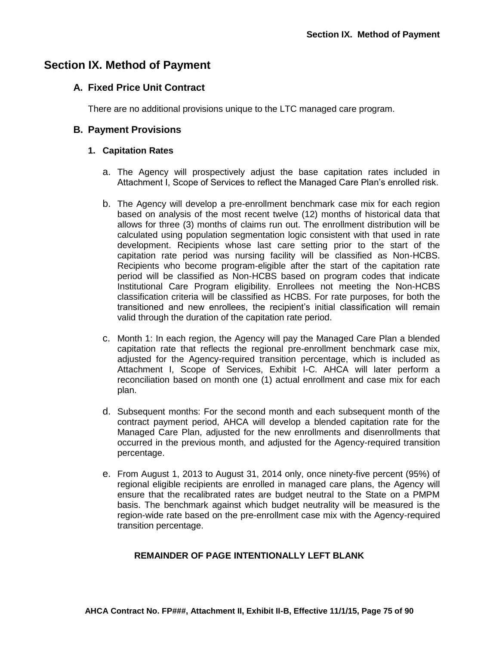# **Section IX. Method of Payment**

### **A. Fixed Price Unit Contract**

There are no additional provisions unique to the LTC managed care program.

#### **B. Payment Provisions**

#### **1. Capitation Rates**

- a. The Agency will prospectively adjust the base capitation rates included in Attachment I, Scope of Services to reflect the Managed Care Plan's enrolled risk.
- b. The Agency will develop a pre-enrollment benchmark case mix for each region based on analysis of the most recent twelve (12) months of historical data that allows for three (3) months of claims run out. The enrollment distribution will be calculated using population segmentation logic consistent with that used in rate development. Recipients whose last care setting prior to the start of the capitation rate period was nursing facility will be classified as Non-HCBS. Recipients who become program-eligible after the start of the capitation rate period will be classified as Non-HCBS based on program codes that indicate Institutional Care Program eligibility. Enrollees not meeting the Non-HCBS classification criteria will be classified as HCBS. For rate purposes, for both the transitioned and new enrollees, the recipient's initial classification will remain valid through the duration of the capitation rate period.
- c. Month 1: In each region, the Agency will pay the Managed Care Plan a blended capitation rate that reflects the regional pre-enrollment benchmark case mix, adjusted for the Agency-required transition percentage, which is included as Attachment I, Scope of Services, Exhibit I-C. AHCA will later perform a reconciliation based on month one (1) actual enrollment and case mix for each plan.
- d. Subsequent months: For the second month and each subsequent month of the contract payment period, AHCA will develop a blended capitation rate for the Managed Care Plan, adjusted for the new enrollments and disenrollments that occurred in the previous month, and adjusted for the Agency-required transition percentage.
- e. From August 1, 2013 to August 31, 2014 only, once ninety-five percent (95%) of regional eligible recipients are enrolled in managed care plans, the Agency will ensure that the recalibrated rates are budget neutral to the State on a PMPM basis. The benchmark against which budget neutrality will be measured is the region-wide rate based on the pre-enrollment case mix with the Agency-required transition percentage.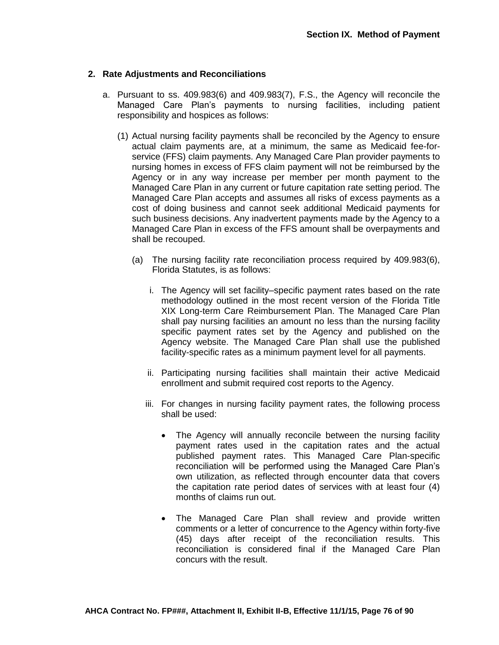#### **2. Rate Adjustments and Reconciliations**

- a. Pursuant to ss. 409.983(6) and 409.983(7), F.S., the Agency will reconcile the Managed Care Plan's payments to nursing facilities, including patient responsibility and hospices as follows:
	- (1) Actual nursing facility payments shall be reconciled by the Agency to ensure actual claim payments are, at a minimum, the same as Medicaid fee-forservice (FFS) claim payments. Any Managed Care Plan provider payments to nursing homes in excess of FFS claim payment will not be reimbursed by the Agency or in any way increase per member per month payment to the Managed Care Plan in any current or future capitation rate setting period. The Managed Care Plan accepts and assumes all risks of excess payments as a cost of doing business and cannot seek additional Medicaid payments for such business decisions. Any inadvertent payments made by the Agency to a Managed Care Plan in excess of the FFS amount shall be overpayments and shall be recouped.
		- (a) The nursing facility rate reconciliation process required by 409.983(6), Florida Statutes, is as follows:
			- i. The Agency will set facility–specific payment rates based on the rate methodology outlined in the most recent version of the Florida Title XIX Long-term Care Reimbursement Plan. The Managed Care Plan shall pay nursing facilities an amount no less than the nursing facility specific payment rates set by the Agency and published on the Agency website. The Managed Care Plan shall use the published facility-specific rates as a minimum payment level for all payments.
			- ii. Participating nursing facilities shall maintain their active Medicaid enrollment and submit required cost reports to the Agency.
			- iii. For changes in nursing facility payment rates, the following process shall be used:
				- The Agency will annually reconcile between the nursing facility payment rates used in the capitation rates and the actual published payment rates. This Managed Care Plan-specific reconciliation will be performed using the Managed Care Plan's own utilization, as reflected through encounter data that covers the capitation rate period dates of services with at least four (4) months of claims run out.
				- The Managed Care Plan shall review and provide written comments or a letter of concurrence to the Agency within forty-five (45) days after receipt of the reconciliation results. This reconciliation is considered final if the Managed Care Plan concurs with the result.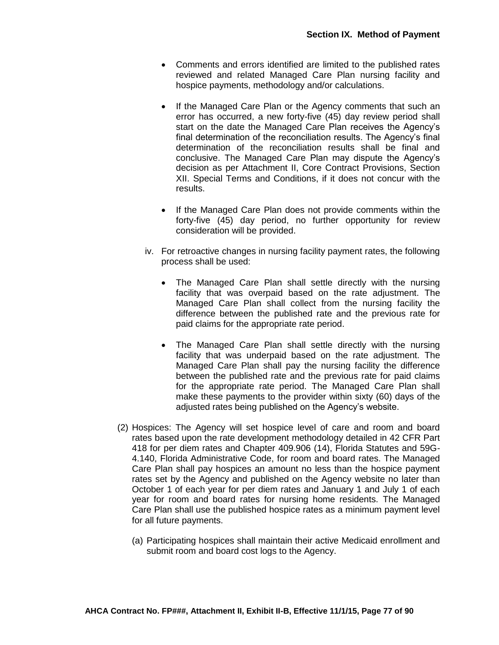- Comments and errors identified are limited to the published rates reviewed and related Managed Care Plan nursing facility and hospice payments, methodology and/or calculations.
- If the Managed Care Plan or the Agency comments that such an error has occurred, a new forty-five (45) day review period shall start on the date the Managed Care Plan receives the Agency's final determination of the reconciliation results. The Agency's final determination of the reconciliation results shall be final and conclusive. The Managed Care Plan may dispute the Agency's decision as per Attachment II, Core Contract Provisions, Section XII. Special Terms and Conditions, if it does not concur with the results.
- If the Managed Care Plan does not provide comments within the forty-five (45) day period, no further opportunity for review consideration will be provided.
- iv. For retroactive changes in nursing facility payment rates, the following process shall be used:
	- The Managed Care Plan shall settle directly with the nursing facility that was overpaid based on the rate adjustment. The Managed Care Plan shall collect from the nursing facility the difference between the published rate and the previous rate for paid claims for the appropriate rate period.
	- The Managed Care Plan shall settle directly with the nursing facility that was underpaid based on the rate adjustment. The Managed Care Plan shall pay the nursing facility the difference between the published rate and the previous rate for paid claims for the appropriate rate period. The Managed Care Plan shall make these payments to the provider within sixty (60) days of the adjusted rates being published on the Agency's website.
- (2) Hospices: The Agency will set hospice level of care and room and board rates based upon the rate development methodology detailed in 42 CFR Part 418 for per diem rates and Chapter 409.906 (14), Florida Statutes and 59G-4.140, Florida Administrative Code, for room and board rates. The Managed Care Plan shall pay hospices an amount no less than the hospice payment rates set by the Agency and published on the Agency website no later than October 1 of each year for per diem rates and January 1 and July 1 of each year for room and board rates for nursing home residents. The Managed Care Plan shall use the published hospice rates as a minimum payment level for all future payments.
	- (a) Participating hospices shall maintain their active Medicaid enrollment and submit room and board cost logs to the Agency.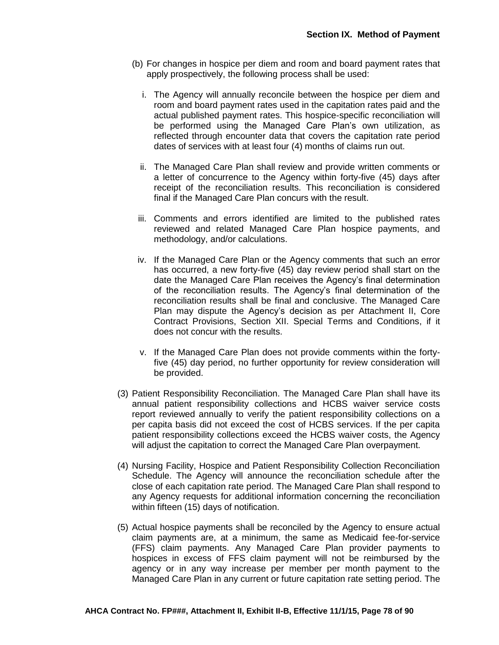- (b) For changes in hospice per diem and room and board payment rates that apply prospectively, the following process shall be used:
	- i. The Agency will annually reconcile between the hospice per diem and room and board payment rates used in the capitation rates paid and the actual published payment rates. This hospice-specific reconciliation will be performed using the Managed Care Plan's own utilization, as reflected through encounter data that covers the capitation rate period dates of services with at least four (4) months of claims run out.
	- ii. The Managed Care Plan shall review and provide written comments or a letter of concurrence to the Agency within forty-five (45) days after receipt of the reconciliation results. This reconciliation is considered final if the Managed Care Plan concurs with the result.
	- iii. Comments and errors identified are limited to the published rates reviewed and related Managed Care Plan hospice payments, and methodology, and/or calculations.
	- iv. If the Managed Care Plan or the Agency comments that such an error has occurred, a new forty-five (45) day review period shall start on the date the Managed Care Plan receives the Agency's final determination of the reconciliation results. The Agency's final determination of the reconciliation results shall be final and conclusive. The Managed Care Plan may dispute the Agency's decision as per Attachment II, Core Contract Provisions, Section XII. Special Terms and Conditions, if it does not concur with the results.
	- v. If the Managed Care Plan does not provide comments within the fortyfive (45) day period, no further opportunity for review consideration will be provided.
- (3) Patient Responsibility Reconciliation. The Managed Care Plan shall have its annual patient responsibility collections and HCBS waiver service costs report reviewed annually to verify the patient responsibility collections on a per capita basis did not exceed the cost of HCBS services. If the per capita patient responsibility collections exceed the HCBS waiver costs, the Agency will adjust the capitation to correct the Managed Care Plan overpayment.
- (4) Nursing Facility, Hospice and Patient Responsibility Collection Reconciliation Schedule. The Agency will announce the reconciliation schedule after the close of each capitation rate period. The Managed Care Plan shall respond to any Agency requests for additional information concerning the reconciliation within fifteen (15) days of notification.
- (5) Actual hospice payments shall be reconciled by the Agency to ensure actual claim payments are, at a minimum, the same as Medicaid fee-for-service (FFS) claim payments. Any Managed Care Plan provider payments to hospices in excess of FFS claim payment will not be reimbursed by the agency or in any way increase per member per month payment to the Managed Care Plan in any current or future capitation rate setting period. The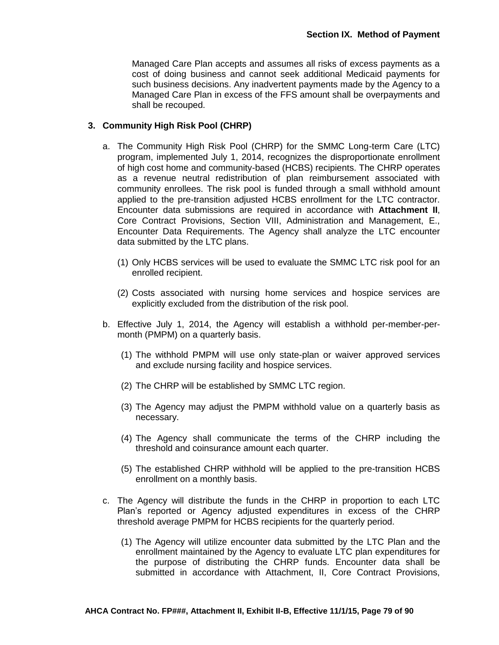Managed Care Plan accepts and assumes all risks of excess payments as a cost of doing business and cannot seek additional Medicaid payments for such business decisions. Any inadvertent payments made by the Agency to a Managed Care Plan in excess of the FFS amount shall be overpayments and shall be recouped.

#### **3. Community High Risk Pool (CHRP)**

- a. The Community High Risk Pool (CHRP) for the SMMC Long-term Care (LTC) program, implemented July 1, 2014, recognizes the disproportionate enrollment of high cost home and community-based (HCBS) recipients. The CHRP operates as a revenue neutral redistribution of plan reimbursement associated with community enrollees. The risk pool is funded through a small withhold amount applied to the pre-transition adjusted HCBS enrollment for the LTC contractor. Encounter data submissions are required in accordance with **Attachment II**, Core Contract Provisions, Section VIII, Administration and Management, E., Encounter Data Requirements. The Agency shall analyze the LTC encounter data submitted by the LTC plans.
	- (1) Only HCBS services will be used to evaluate the SMMC LTC risk pool for an enrolled recipient.
	- (2) Costs associated with nursing home services and hospice services are explicitly excluded from the distribution of the risk pool.
- b. Effective July 1, 2014, the Agency will establish a withhold per-member-permonth (PMPM) on a quarterly basis.
	- (1) The withhold PMPM will use only state-plan or waiver approved services and exclude nursing facility and hospice services.
	- (2) The CHRP will be established by SMMC LTC region.
	- (3) The Agency may adjust the PMPM withhold value on a quarterly basis as necessary.
	- (4) The Agency shall communicate the terms of the CHRP including the threshold and coinsurance amount each quarter.
	- (5) The established CHRP withhold will be applied to the pre-transition HCBS enrollment on a monthly basis.
- c. The Agency will distribute the funds in the CHRP in proportion to each LTC Plan's reported or Agency adjusted expenditures in excess of the CHRP threshold average PMPM for HCBS recipients for the quarterly period.
	- (1) The Agency will utilize encounter data submitted by the LTC Plan and the enrollment maintained by the Agency to evaluate LTC plan expenditures for the purpose of distributing the CHRP funds. Encounter data shall be submitted in accordance with Attachment, II, Core Contract Provisions,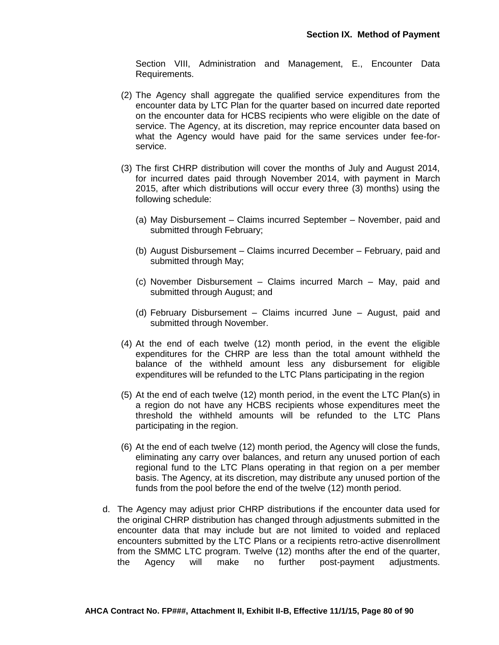Section VIII, Administration and Management, E., Encounter Data Requirements.

- (2) The Agency shall aggregate the qualified service expenditures from the encounter data by LTC Plan for the quarter based on incurred date reported on the encounter data for HCBS recipients who were eligible on the date of service. The Agency, at its discretion, may reprice encounter data based on what the Agency would have paid for the same services under fee-forservice.
- (3) The first CHRP distribution will cover the months of July and August 2014, for incurred dates paid through November 2014, with payment in March 2015, after which distributions will occur every three (3) months) using the following schedule:
	- (a) May Disbursement Claims incurred September November, paid and submitted through February;
	- (b) August Disbursement Claims incurred December February, paid and submitted through May;
	- (c) November Disbursement Claims incurred March May, paid and submitted through August; and
	- (d) February Disbursement Claims incurred June August, paid and submitted through November.
- (4) At the end of each twelve (12) month period, in the event the eligible expenditures for the CHRP are less than the total amount withheld the balance of the withheld amount less any disbursement for eligible expenditures will be refunded to the LTC Plans participating in the region
- (5) At the end of each twelve (12) month period, in the event the LTC Plan(s) in a region do not have any HCBS recipients whose expenditures meet the threshold the withheld amounts will be refunded to the LTC Plans participating in the region.
- (6) At the end of each twelve (12) month period, the Agency will close the funds, eliminating any carry over balances, and return any unused portion of each regional fund to the LTC Plans operating in that region on a per member basis. The Agency, at its discretion, may distribute any unused portion of the funds from the pool before the end of the twelve (12) month period.
- d. The Agency may adjust prior CHRP distributions if the encounter data used for the original CHRP distribution has changed through adjustments submitted in the encounter data that may include but are not limited to voided and replaced encounters submitted by the LTC Plans or a recipients retro-active disenrollment from the SMMC LTC program. Twelve (12) months after the end of the quarter, the Agency will make no further post-payment adjustments.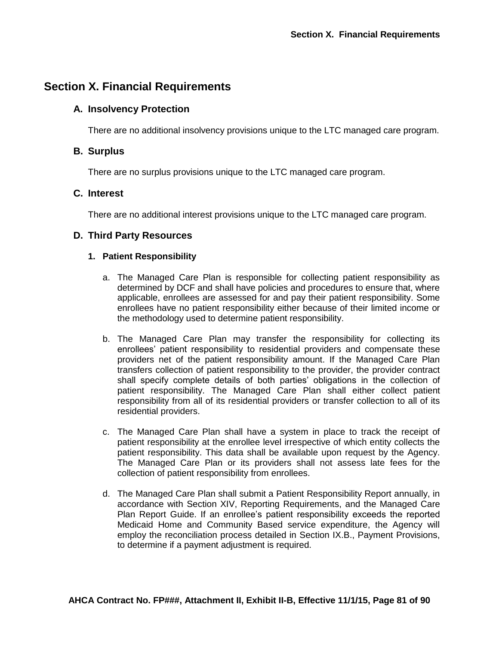# **Section X. Financial Requirements**

## **A. Insolvency Protection**

There are no additional insolvency provisions unique to the LTC managed care program.

## **B. Surplus**

There are no surplus provisions unique to the LTC managed care program.

## **C. Interest**

There are no additional interest provisions unique to the LTC managed care program.

## **D. Third Party Resources**

#### **1. Patient Responsibility**

- a. The Managed Care Plan is responsible for collecting patient responsibility as determined by DCF and shall have policies and procedures to ensure that, where applicable, enrollees are assessed for and pay their patient responsibility. Some enrollees have no patient responsibility either because of their limited income or the methodology used to determine patient responsibility.
- b. The Managed Care Plan may transfer the responsibility for collecting its enrollees' patient responsibility to residential providers and compensate these providers net of the patient responsibility amount. If the Managed Care Plan transfers collection of patient responsibility to the provider, the provider contract shall specify complete details of both parties' obligations in the collection of patient responsibility. The Managed Care Plan shall either collect patient responsibility from all of its residential providers or transfer collection to all of its residential providers.
- c. The Managed Care Plan shall have a system in place to track the receipt of patient responsibility at the enrollee level irrespective of which entity collects the patient responsibility. This data shall be available upon request by the Agency. The Managed Care Plan or its providers shall not assess late fees for the collection of patient responsibility from enrollees.
- d. The Managed Care Plan shall submit a Patient Responsibility Report annually, in accordance with Section XIV, Reporting Requirements, and the Managed Care Plan Report Guide. If an enrollee's patient responsibility exceeds the reported Medicaid Home and Community Based service expenditure, the Agency will employ the reconciliation process detailed in Section IX.B., Payment Provisions, to determine if a payment adjustment is required.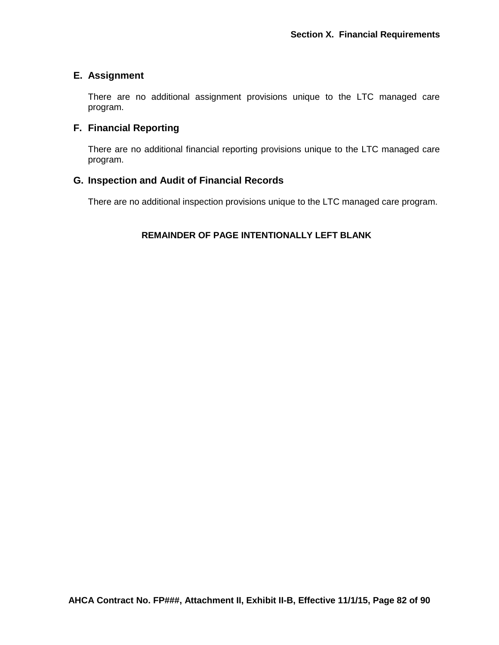# **E. Assignment**

There are no additional assignment provisions unique to the LTC managed care program.

# **F. Financial Reporting**

There are no additional financial reporting provisions unique to the LTC managed care program.

# **G. Inspection and Audit of Financial Records**

There are no additional inspection provisions unique to the LTC managed care program.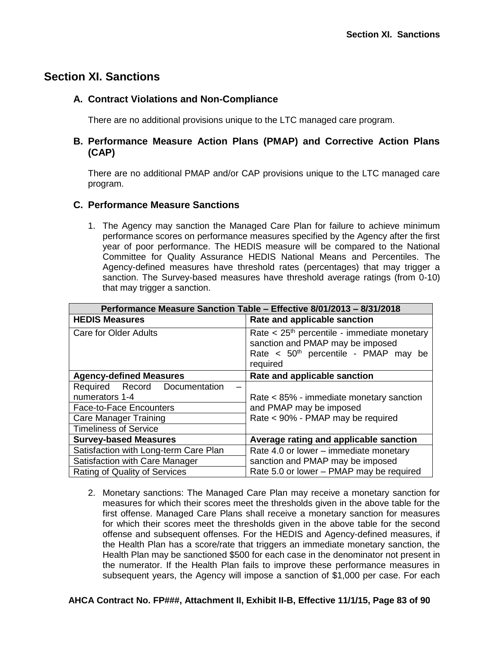# **Section XI. Sanctions**

# **A. Contract Violations and Non-Compliance**

There are no additional provisions unique to the LTC managed care program.

## **B. Performance Measure Action Plans (PMAP) and Corrective Action Plans (CAP)**

There are no additional PMAP and/or CAP provisions unique to the LTC managed care program.

## **C. Performance Measure Sanctions**

1. The Agency may sanction the Managed Care Plan for failure to achieve minimum performance scores on performance measures specified by the Agency after the first year of poor performance. The HEDIS measure will be compared to the National Committee for Quality Assurance HEDIS National Means and Percentiles. The Agency-defined measures have threshold rates (percentages) that may trigger a sanction. The Survey-based measures have threshold average ratings (from 0-10) that may trigger a sanction.

| Performance Measure Sanction Table - Effective 8/01/2013 - 8/31/2018 |                                                                                                                                                               |  |  |
|----------------------------------------------------------------------|---------------------------------------------------------------------------------------------------------------------------------------------------------------|--|--|
| <b>HEDIS Measures</b>                                                | Rate and applicable sanction                                                                                                                                  |  |  |
| Care for Older Adults                                                | Rate $<$ 25 <sup>th</sup> percentile - immediate monetary<br>sanction and PMAP may be imposed<br>Rate < 50 <sup>th</sup> percentile - PMAP may be<br>required |  |  |
| <b>Agency-defined Measures</b>                                       | Rate and applicable sanction                                                                                                                                  |  |  |
| Required Record Documentation                                        |                                                                                                                                                               |  |  |
| numerators 1-4                                                       | Rate < 85% - immediate monetary sanction<br>and PMAP may be imposed                                                                                           |  |  |
| <b>Face-to-Face Encounters</b>                                       |                                                                                                                                                               |  |  |
| <b>Care Manager Training</b>                                         | Rate < 90% - PMAP may be required                                                                                                                             |  |  |
| <b>Timeliness of Service</b>                                         |                                                                                                                                                               |  |  |
| <b>Survey-based Measures</b>                                         | Average rating and applicable sanction                                                                                                                        |  |  |
| Satisfaction with Long-term Care Plan                                | Rate 4.0 or lower – immediate monetary                                                                                                                        |  |  |
| Satisfaction with Care Manager                                       | sanction and PMAP may be imposed                                                                                                                              |  |  |
| Rating of Quality of Services                                        | Rate 5.0 or lower - PMAP may be required                                                                                                                      |  |  |

2. Monetary sanctions: The Managed Care Plan may receive a monetary sanction for measures for which their scores meet the thresholds given in the above table for the first offense. Managed Care Plans shall receive a monetary sanction for measures for which their scores meet the thresholds given in the above table for the second offense and subsequent offenses. For the HEDIS and Agency-defined measures, if the Health Plan has a score/rate that triggers an immediate monetary sanction, the Health Plan may be sanctioned \$500 for each case in the denominator not present in the numerator. If the Health Plan fails to improve these performance measures in subsequent years, the Agency will impose a sanction of \$1,000 per case. For each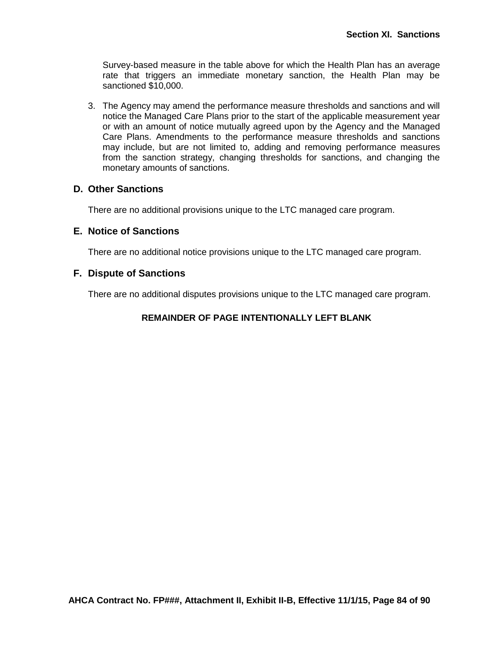Survey-based measure in the table above for which the Health Plan has an average rate that triggers an immediate monetary sanction, the Health Plan may be sanctioned \$10,000.

3. The Agency may amend the performance measure thresholds and sanctions and will notice the Managed Care Plans prior to the start of the applicable measurement year or with an amount of notice mutually agreed upon by the Agency and the Managed Care Plans. Amendments to the performance measure thresholds and sanctions may include, but are not limited to, adding and removing performance measures from the sanction strategy, changing thresholds for sanctions, and changing the monetary amounts of sanctions.

### **D. Other Sanctions**

There are no additional provisions unique to the LTC managed care program.

### **E. Notice of Sanctions**

There are no additional notice provisions unique to the LTC managed care program.

### **F. Dispute of Sanctions**

There are no additional disputes provisions unique to the LTC managed care program.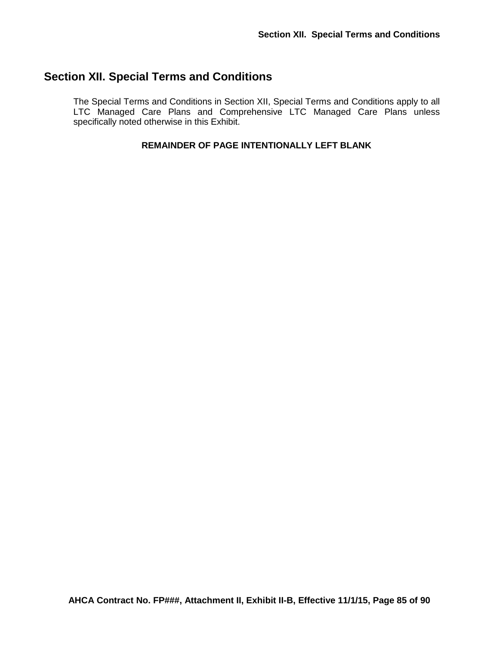# **Section XII. Special Terms and Conditions**

The Special Terms and Conditions in Section XII, Special Terms and Conditions apply to all LTC Managed Care Plans and Comprehensive LTC Managed Care Plans unless specifically noted otherwise in this Exhibit.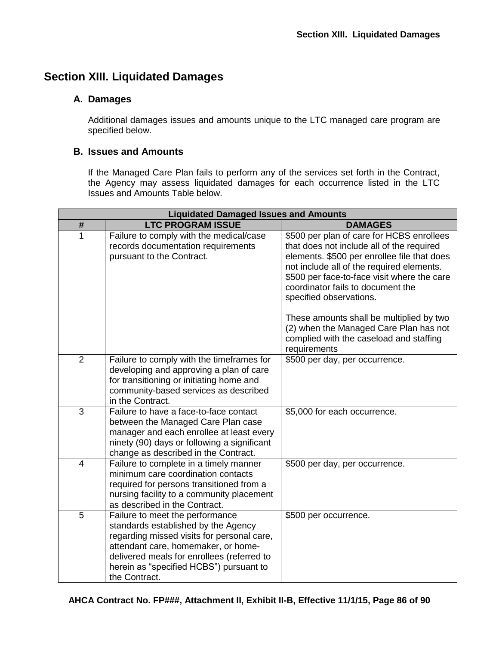# **Section XIII. Liquidated Damages**

# **A. Damages**

Additional damages issues and amounts unique to the LTC managed care program are specified below.

## **B. Issues and Amounts**

If the Managed Care Plan fails to perform any of the services set forth in the Contract, the Agency may assess liquidated damages for each occurrence listed in the LTC Issues and Amounts Table below.

| <b>Liquidated Damaged Issues and Amounts</b> |                                                                                                                                                                                                                                                                       |                                                                                                                                                                                                                                                                                                   |  |
|----------------------------------------------|-----------------------------------------------------------------------------------------------------------------------------------------------------------------------------------------------------------------------------------------------------------------------|---------------------------------------------------------------------------------------------------------------------------------------------------------------------------------------------------------------------------------------------------------------------------------------------------|--|
| $\#$                                         | <b>LTC PROGRAM ISSUE</b>                                                                                                                                                                                                                                              | <b>DAMAGES</b>                                                                                                                                                                                                                                                                                    |  |
| 1                                            | Failure to comply with the medical/case<br>records documentation requirements<br>pursuant to the Contract.                                                                                                                                                            | \$500 per plan of care for HCBS enrollees<br>that does not include all of the required<br>elements. \$500 per enrollee file that does<br>not include all of the required elements.<br>\$500 per face-to-face visit where the care<br>coordinator fails to document the<br>specified observations. |  |
|                                              |                                                                                                                                                                                                                                                                       | These amounts shall be multiplied by two<br>(2) when the Managed Care Plan has not<br>complied with the caseload and staffing<br>requirements                                                                                                                                                     |  |
| $\overline{2}$                               | Failure to comply with the timeframes for<br>developing and approving a plan of care<br>for transitioning or initiating home and<br>community-based services as described<br>in the Contract.                                                                         | \$500 per day, per occurrence.                                                                                                                                                                                                                                                                    |  |
| 3                                            | Failure to have a face-to-face contact<br>between the Managed Care Plan case<br>manager and each enrollee at least every<br>ninety (90) days or following a significant<br>change as described in the Contract.                                                       | \$5,000 for each occurrence.                                                                                                                                                                                                                                                                      |  |
| $\overline{4}$                               | Failure to complete in a timely manner<br>minimum care coordination contacts<br>required for persons transitioned from a<br>nursing facility to a community placement<br>as described in the Contract.                                                                | \$500 per day, per occurrence.                                                                                                                                                                                                                                                                    |  |
| 5                                            | Failure to meet the performance<br>standards established by the Agency<br>regarding missed visits for personal care,<br>attendant care, homemaker, or home-<br>delivered meals for enrollees (referred to<br>herein as "specified HCBS") pursuant to<br>the Contract. | \$500 per occurrence.                                                                                                                                                                                                                                                                             |  |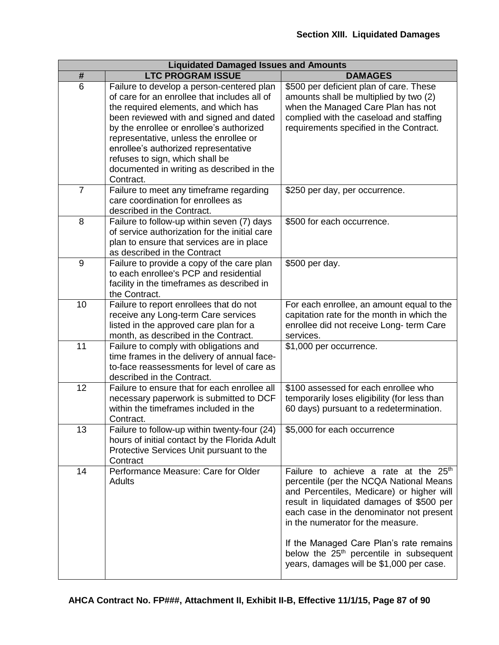| <b>Liquidated Damaged Issues and Amounts</b> |                                                                                                                                                                                                                                                                                                                                                                                                         |                                                                                                                                                                                                                                                                                                                                                                                                                       |  |
|----------------------------------------------|---------------------------------------------------------------------------------------------------------------------------------------------------------------------------------------------------------------------------------------------------------------------------------------------------------------------------------------------------------------------------------------------------------|-----------------------------------------------------------------------------------------------------------------------------------------------------------------------------------------------------------------------------------------------------------------------------------------------------------------------------------------------------------------------------------------------------------------------|--|
| #                                            | <b>LTC PROGRAM ISSUE</b>                                                                                                                                                                                                                                                                                                                                                                                | <b>DAMAGES</b>                                                                                                                                                                                                                                                                                                                                                                                                        |  |
| 6                                            | Failure to develop a person-centered plan<br>of care for an enrollee that includes all of<br>the required elements, and which has<br>been reviewed with and signed and dated<br>by the enrollee or enrollee's authorized<br>representative, unless the enrollee or<br>enrollee's authorized representative<br>refuses to sign, which shall be<br>documented in writing as described in the<br>Contract. | \$500 per deficient plan of care. These<br>amounts shall be multiplied by two (2)<br>when the Managed Care Plan has not<br>complied with the caseload and staffing<br>requirements specified in the Contract.                                                                                                                                                                                                         |  |
| $\overline{7}$                               | Failure to meet any timeframe regarding<br>care coordination for enrollees as<br>described in the Contract.                                                                                                                                                                                                                                                                                             | \$250 per day, per occurrence.                                                                                                                                                                                                                                                                                                                                                                                        |  |
| 8                                            | Failure to follow-up within seven (7) days<br>of service authorization for the initial care<br>plan to ensure that services are in place<br>as described in the Contract                                                                                                                                                                                                                                | \$500 for each occurrence.                                                                                                                                                                                                                                                                                                                                                                                            |  |
| 9                                            | Failure to provide a copy of the care plan<br>to each enrollee's PCP and residential<br>facility in the timeframes as described in<br>the Contract.                                                                                                                                                                                                                                                     | \$500 per day.                                                                                                                                                                                                                                                                                                                                                                                                        |  |
| 10                                           | Failure to report enrollees that do not<br>receive any Long-term Care services<br>listed in the approved care plan for a<br>month, as described in the Contract.                                                                                                                                                                                                                                        | For each enrollee, an amount equal to the<br>capitation rate for the month in which the<br>enrollee did not receive Long- term Care<br>services.                                                                                                                                                                                                                                                                      |  |
| 11                                           | Failure to comply with obligations and<br>time frames in the delivery of annual face-<br>to-face reassessments for level of care as<br>described in the Contract.                                                                                                                                                                                                                                       | \$1,000 per occurrence.                                                                                                                                                                                                                                                                                                                                                                                               |  |
| 12                                           | Failure to ensure that for each enrollee all<br>necessary paperwork is submitted to DCF<br>within the timeframes included in the<br>Contract.                                                                                                                                                                                                                                                           | \$100 assessed for each enrollee who<br>temporarily loses eligibility (for less than<br>60 days) pursuant to a redetermination.                                                                                                                                                                                                                                                                                       |  |
| 13                                           | Failure to follow-up within twenty-four (24)<br>hours of initial contact by the Florida Adult<br>Protective Services Unit pursuant to the<br>Contract                                                                                                                                                                                                                                                   | \$5,000 for each occurrence                                                                                                                                                                                                                                                                                                                                                                                           |  |
| 14                                           | Performance Measure: Care for Older<br><b>Adults</b>                                                                                                                                                                                                                                                                                                                                                    | Failure to achieve a rate at the 25 <sup>th</sup><br>percentile (per the NCQA National Means<br>and Percentiles, Medicare) or higher will<br>result in liquidated damages of \$500 per<br>each case in the denominator not present<br>in the numerator for the measure.<br>If the Managed Care Plan's rate remains<br>below the 25 <sup>th</sup> percentile in subsequent<br>years, damages will be \$1,000 per case. |  |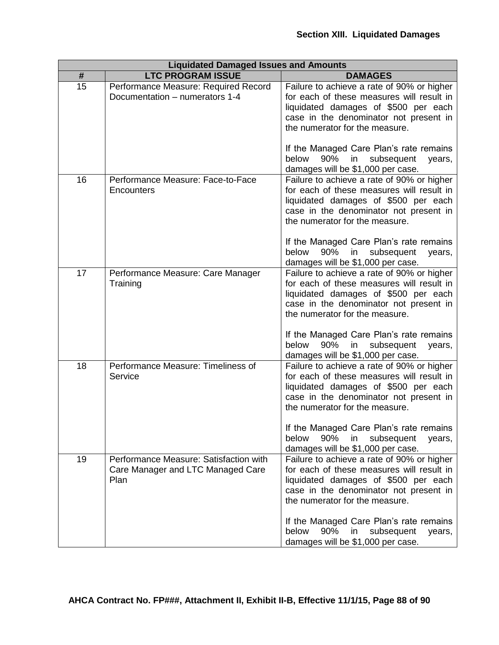| <b>Liquidated Damaged Issues and Amounts</b> |                                                                                     |                                                                                                                                                                                                                                                        |  |
|----------------------------------------------|-------------------------------------------------------------------------------------|--------------------------------------------------------------------------------------------------------------------------------------------------------------------------------------------------------------------------------------------------------|--|
| #                                            | <b>LTC PROGRAM ISSUE</b>                                                            | <b>DAMAGES</b>                                                                                                                                                                                                                                         |  |
| 15                                           | Performance Measure: Required Record<br>Documentation - numerators 1-4              | Failure to achieve a rate of 90% or higher<br>for each of these measures will result in<br>liquidated damages of \$500 per each<br>case in the denominator not present in<br>the numerator for the measure.                                            |  |
|                                              |                                                                                     | If the Managed Care Plan's rate remains<br>90%<br>below<br>in<br>subsequent<br>years,<br>damages will be \$1,000 per case.                                                                                                                             |  |
| 16                                           | Performance Measure: Face-to-Face<br>Encounters                                     | Failure to achieve a rate of 90% or higher<br>for each of these measures will result in<br>liquidated damages of \$500 per each<br>case in the denominator not present in<br>the numerator for the measure.<br>If the Managed Care Plan's rate remains |  |
|                                              |                                                                                     | 90%<br>below<br>in<br>subsequent<br>years,<br>damages will be \$1,000 per case.                                                                                                                                                                        |  |
| 17                                           | Performance Measure: Care Manager<br>Training                                       | Failure to achieve a rate of 90% or higher<br>for each of these measures will result in<br>liquidated damages of \$500 per each<br>case in the denominator not present in<br>the numerator for the measure.                                            |  |
|                                              |                                                                                     | If the Managed Care Plan's rate remains<br>below<br>90%<br>in<br>subsequent<br>years,<br>damages will be \$1,000 per case.                                                                                                                             |  |
| 18                                           | Performance Measure: Timeliness of<br>Service                                       | Failure to achieve a rate of 90% or higher<br>for each of these measures will result in<br>liquidated damages of \$500 per each<br>case in the denominator not present in<br>the numerator for the measure.                                            |  |
|                                              |                                                                                     | If the Managed Care Plan's rate remains<br>90%<br>below<br>in<br>subsequent<br>years,<br>damages will be \$1,000 per case.                                                                                                                             |  |
| 19                                           | Performance Measure: Satisfaction with<br>Care Manager and LTC Managed Care<br>Plan | Failure to achieve a rate of 90% or higher<br>for each of these measures will result in<br>liquidated damages of \$500 per each<br>case in the denominator not present in<br>the numerator for the measure.                                            |  |
|                                              |                                                                                     | If the Managed Care Plan's rate remains<br>90%<br>below<br>in.<br>subsequent<br>years,<br>damages will be \$1,000 per case.                                                                                                                            |  |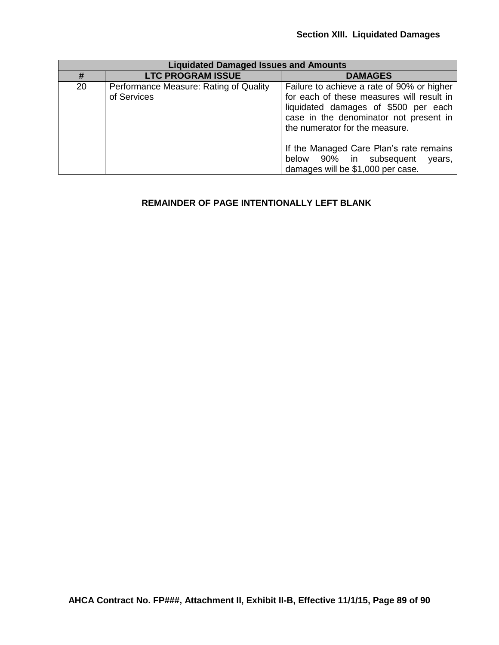| <b>Liquidated Damaged Issues and Amounts</b> |                                                       |                                                                                                                                                                                                             |  |
|----------------------------------------------|-------------------------------------------------------|-------------------------------------------------------------------------------------------------------------------------------------------------------------------------------------------------------------|--|
| #                                            | <b>LTC PROGRAM ISSUE</b>                              | <b>DAMAGES</b>                                                                                                                                                                                              |  |
| 20                                           | Performance Measure: Rating of Quality<br>of Services | Failure to achieve a rate of 90% or higher<br>for each of these measures will result in<br>liquidated damages of \$500 per each<br>case in the denominator not present in<br>the numerator for the measure. |  |
|                                              |                                                       | If the Managed Care Plan's rate remains<br>below 90% in subsequent<br>years,<br>damages will be \$1,000 per case.                                                                                           |  |